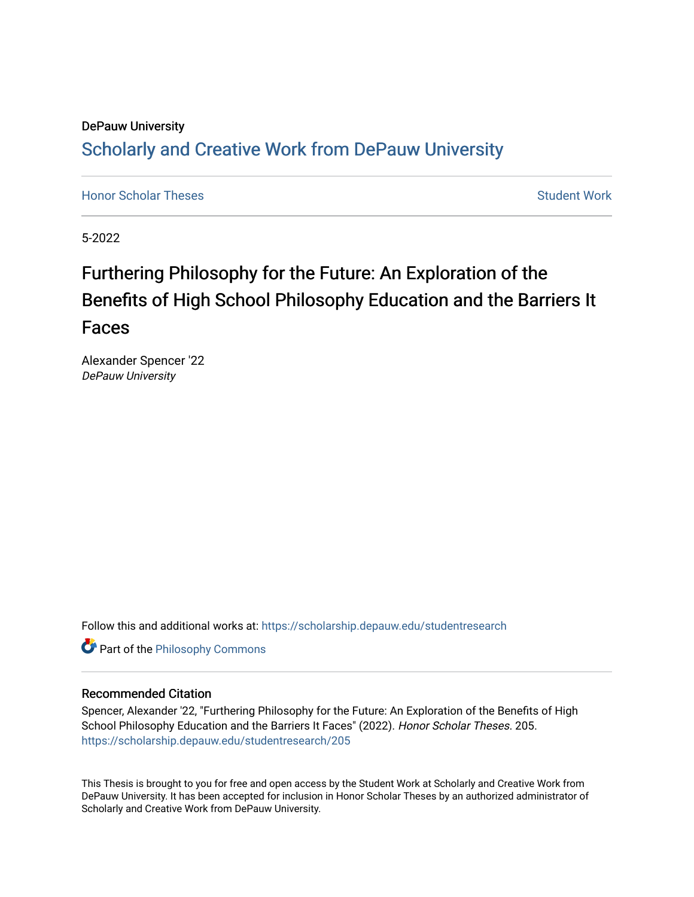# DePauw University Scholarly and [Creative Work from DePauw Univ](https://scholarship.depauw.edu/)ersity

**[Honor Scholar Theses](https://scholarship.depauw.edu/studentresearch) [Student Work](https://scholarship.depauw.edu/studentwork) Student Work Student Work** 

5-2022

# Furthering Philosophy for the Future: An Exploration of the Benefits of High School Philosophy Education and the Barriers It Faces

Alexander Spencer '22 DePauw University

Follow this and additional works at: [https://scholarship.depauw.edu/studentresearch](https://scholarship.depauw.edu/studentresearch?utm_source=scholarship.depauw.edu%2Fstudentresearch%2F205&utm_medium=PDF&utm_campaign=PDFCoverPages)

**Part of the Philosophy Commons** 

# Recommended Citation

Spencer, Alexander '22, "Furthering Philosophy for the Future: An Exploration of the Benefits of High School Philosophy Education and the Barriers It Faces" (2022). Honor Scholar Theses. 205. [https://scholarship.depauw.edu/studentresearch/205](https://scholarship.depauw.edu/studentresearch/205?utm_source=scholarship.depauw.edu%2Fstudentresearch%2F205&utm_medium=PDF&utm_campaign=PDFCoverPages)

This Thesis is brought to you for free and open access by the Student Work at Scholarly and Creative Work from DePauw University. It has been accepted for inclusion in Honor Scholar Theses by an authorized administrator of Scholarly and Creative Work from DePauw University.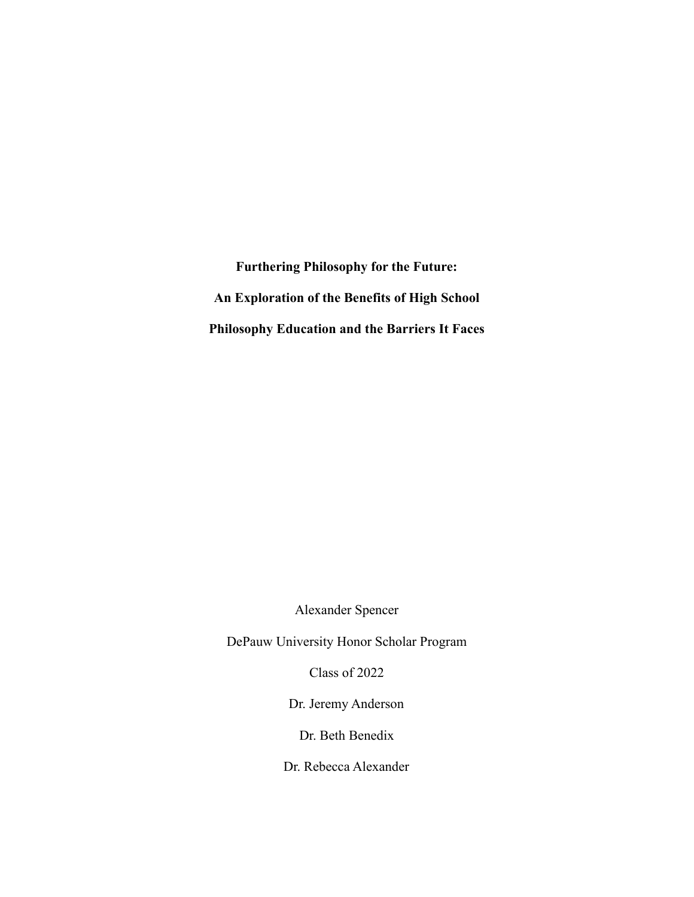**Furthering Philosophy for the Future: An Exploration of the Benefits of High School Philosophy Education and the Barriers It Faces**

Alexander Spencer

DePauw University Honor Scholar Program

Class of 2022

Dr. Jeremy Anderson

Dr. Beth Benedix

Dr. Rebecca Alexander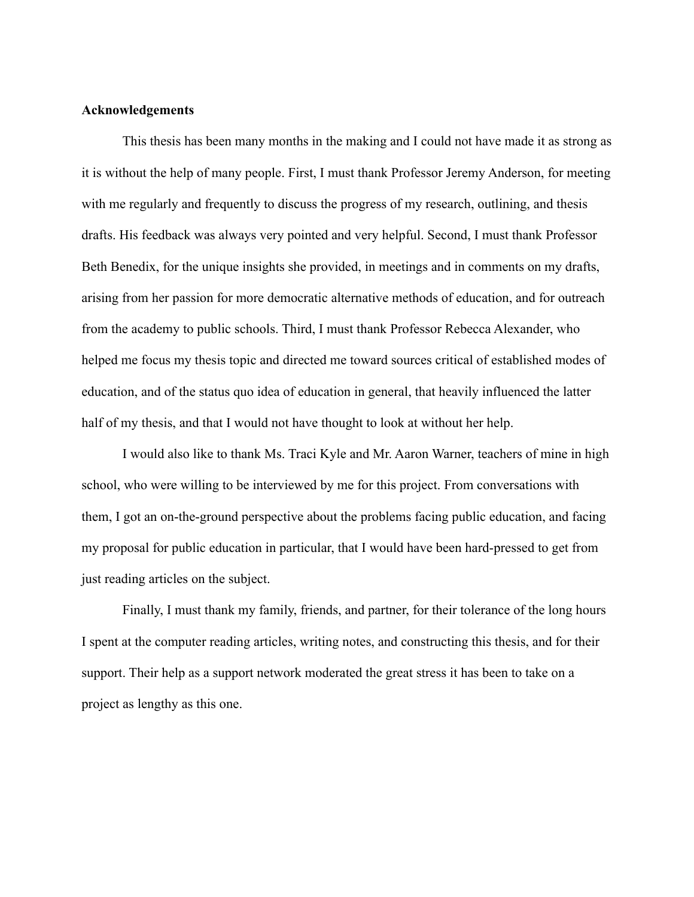#### **Acknowledgements**

This thesis has been many months in the making and I could not have made it as strong as it is without the help of many people. First, I must thank Professor Jeremy Anderson, for meeting with me regularly and frequently to discuss the progress of my research, outlining, and thesis drafts. His feedback was always very pointed and very helpful. Second, I must thank Professor Beth Benedix, for the unique insights she provided, in meetings and in comments on my drafts, arising from her passion for more democratic alternative methods of education, and for outreach from the academy to public schools. Third, I must thank Professor Rebecca Alexander, who helped me focus my thesis topic and directed me toward sources critical of established modes of education, and of the status quo idea of education in general, that heavily influenced the latter half of my thesis, and that I would not have thought to look at without her help.

I would also like to thank Ms. Traci Kyle and Mr. Aaron Warner, teachers of mine in high school, who were willing to be interviewed by me for this project. From conversations with them, I got an on-the-ground perspective about the problems facing public education, and facing my proposal for public education in particular, that I would have been hard-pressed to get from just reading articles on the subject.

Finally, I must thank my family, friends, and partner, for their tolerance of the long hours I spent at the computer reading articles, writing notes, and constructing this thesis, and for their support. Their help as a support network moderated the great stress it has been to take on a project as lengthy as this one.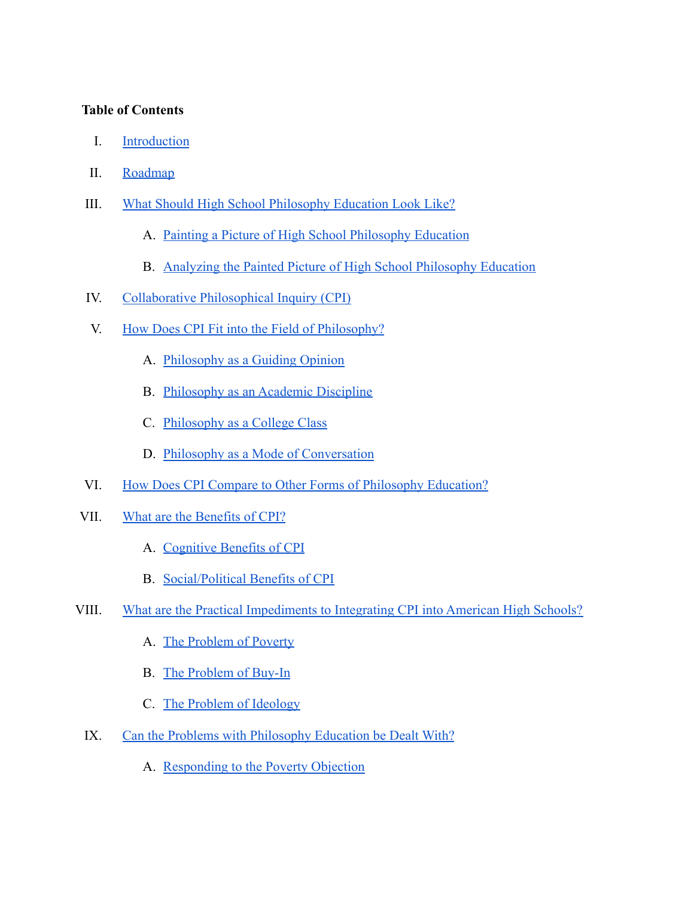# **Table of Contents**

- I. [Introduction](#page-5-0)
- II. [Roadmap](#page-7-0)
- III. [What Should High School Philosophy Education Look Like?](#page-8-0)
	- A. [Painting a Picture of High School Philosophy Education](#page-8-1)
	- B. [Analyzing the Painted Picture of High School Philosophy Education](#page-20-0)
- IV. [Collaborative Philosophical Inquiry \(CPI\)](#page-21-0)
- V. [How Does CPI Fit into the Field of Philosophy?](#page-25-0)
	- A. [Philosophy as a Guiding Opinion](#page-26-0)
	- B. [Philosophy as an Academic Discipline](#page-26-1)
	- C. [Philosophy as a College Class](#page-28-0)
	- D. [Philosophy as a Mode of Conversation](#page-30-0)
- VI. [How Does CPI Compare to Other Forms of Philosophy Education?](#page-32-0)
- VII. [What are the Benefits of CPI?](#page-35-0)
	- A. [Cognitive Benefits of CPI](#page-36-0)
	- B. [Social/Political Benefits of CPI](#page-39-0)
- VIII. [What are the Practical Impediments to Integrating CPI into American High Schools?](#page-40-0)
	- A. [The Problem of Poverty](#page-42-0)
	- B. [The Problem of Buy-In](#page-44-0)
	- C. [The Problem of Ideology](#page-46-0)
	- IX. [Can the Problems with Philosophy Education be Dealt With?](#page-47-0)
		- A. [Responding to the Poverty Objection](#page-47-1)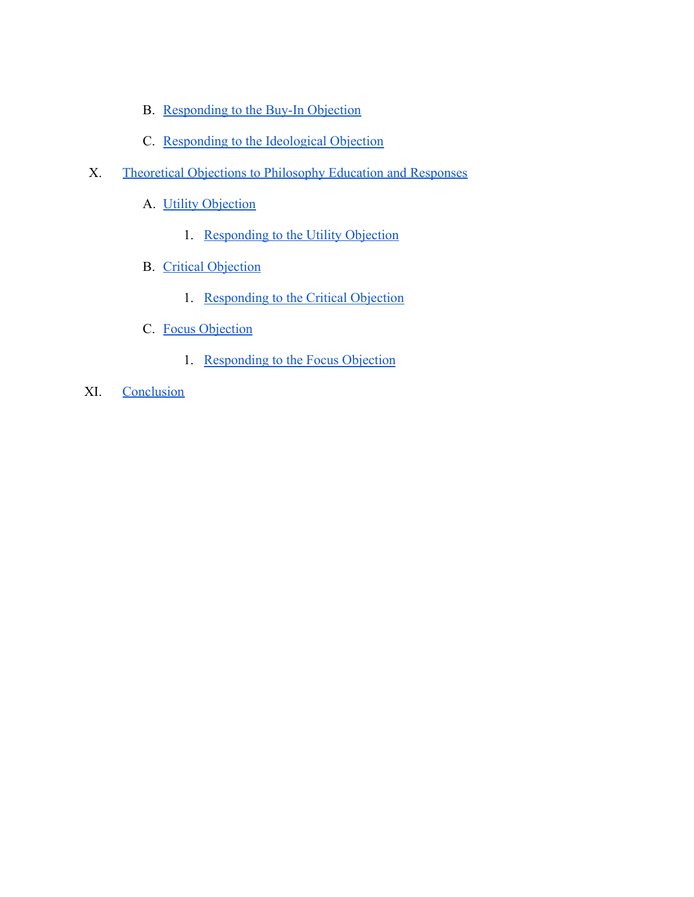- B. [Responding to the Buy-In Objection](#page-53-0)
- C. [Responding to the Ideological Objection](#page-65-0)
- X. [Theoretical Objections to Philosophy Education and Responses](#page-69-0)
	- A. [Utility Objection](#page-69-1)
		- 1. [Responding to the Utility Objection](#page-71-0)
	- B. [Critical Objection](#page-73-0)
		- 1. [Responding to the Critical Objection](#page-77-0)
	- C. [Focus Objection](#page-78-0)
		- 1. [Responding to the Focus Objection](#page-81-0)
- XI. [Conclusion](#page-83-0)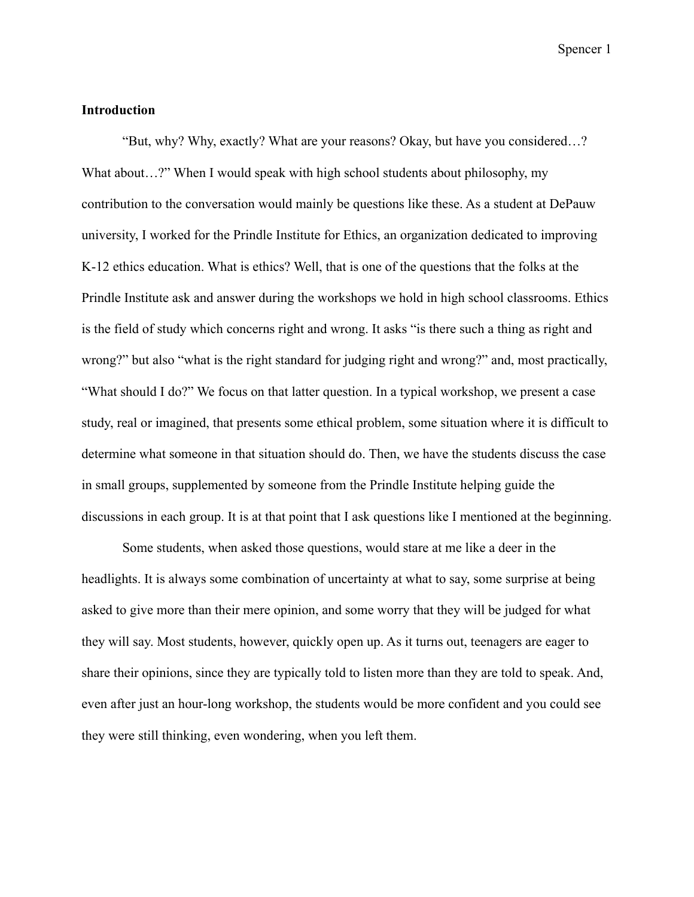#### <span id="page-5-0"></span>**Introduction**

"But, why? Why, exactly? What are your reasons? Okay, but have you considered…? What about...?" When I would speak with high school students about philosophy, my contribution to the conversation would mainly be questions like these. As a student at DePauw university, I worked for the Prindle Institute for Ethics, an organization dedicated to improving K-12 ethics education. What is ethics? Well, that is one of the questions that the folks at the Prindle Institute ask and answer during the workshops we hold in high school classrooms. Ethics is the field of study which concerns right and wrong. It asks "is there such a thing as right and wrong?" but also "what is the right standard for judging right and wrong?" and, most practically, "What should I do?" We focus on that latter question. In a typical workshop, we present a case study, real or imagined, that presents some ethical problem, some situation where it is difficult to determine what someone in that situation should do. Then, we have the students discuss the case in small groups, supplemented by someone from the Prindle Institute helping guide the discussions in each group. It is at that point that I ask questions like I mentioned at the beginning.

Some students, when asked those questions, would stare at me like a deer in the headlights. It is always some combination of uncertainty at what to say, some surprise at being asked to give more than their mere opinion, and some worry that they will be judged for what they will say. Most students, however, quickly open up. As it turns out, teenagers are eager to share their opinions, since they are typically told to listen more than they are told to speak. And, even after just an hour-long workshop, the students would be more confident and you could see they were still thinking, even wondering, when you left them.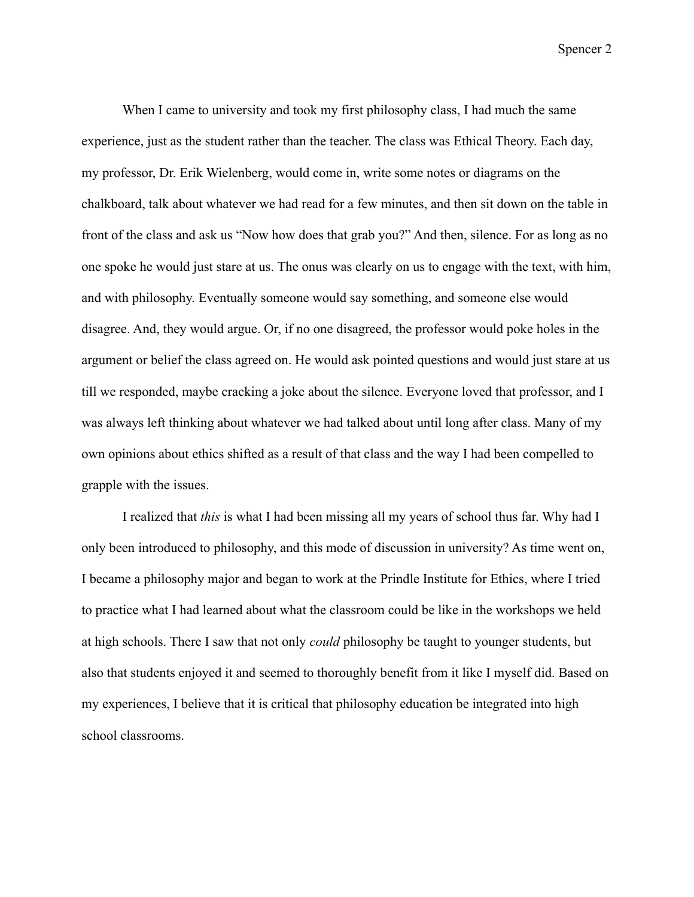When I came to university and took my first philosophy class, I had much the same experience, just as the student rather than the teacher. The class was Ethical Theory. Each day, my professor, Dr. Erik Wielenberg, would come in, write some notes or diagrams on the chalkboard, talk about whatever we had read for a few minutes, and then sit down on the table in front of the class and ask us "Now how does that grab you?" And then, silence. For as long as no one spoke he would just stare at us. The onus was clearly on us to engage with the text, with him, and with philosophy. Eventually someone would say something, and someone else would disagree. And, they would argue. Or, if no one disagreed, the professor would poke holes in the argument or belief the class agreed on. He would ask pointed questions and would just stare at us till we responded, maybe cracking a joke about the silence. Everyone loved that professor, and I was always left thinking about whatever we had talked about until long after class. Many of my own opinions about ethics shifted as a result of that class and the way I had been compelled to grapple with the issues.

I realized that *this* is what I had been missing all my years of school thus far. Why had I only been introduced to philosophy, and this mode of discussion in university? As time went on, I became a philosophy major and began to work at the Prindle Institute for Ethics, where I tried to practice what I had learned about what the classroom could be like in the workshops we held at high schools. There I saw that not only *could* philosophy be taught to younger students, but also that students enjoyed it and seemed to thoroughly benefit from it like I myself did. Based on my experiences, I believe that it is critical that philosophy education be integrated into high school classrooms.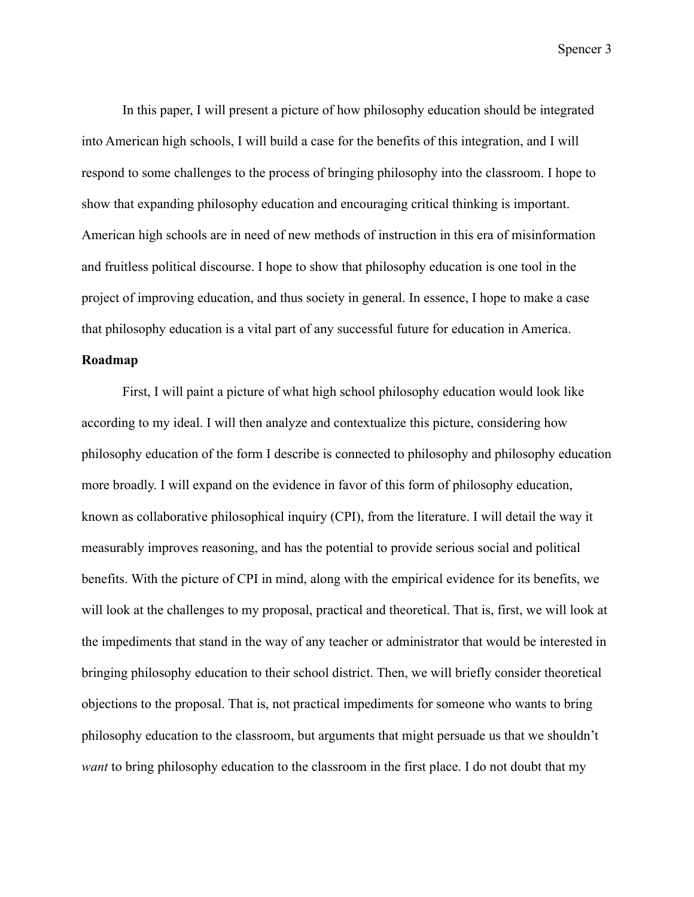In this paper, I will present a picture of how philosophy education should be integrated into American high schools, I will build a case for the benefits of this integration, and I will respond to some challenges to the process of bringing philosophy into the classroom. I hope to show that expanding philosophy education and encouraging critical thinking is important. American high schools are in need of new methods of instruction in this era of misinformation and fruitless political discourse. I hope to show that philosophy education is one tool in the project of improving education, and thus society in general. In essence, I hope to make a case that philosophy education is a vital part of any successful future for education in America.

# <span id="page-7-0"></span>**Roadmap**

First, I will paint a picture of what high school philosophy education would look like according to my ideal. I will then analyze and contextualize this picture, considering how philosophy education of the form I describe is connected to philosophy and philosophy education more broadly. I will expand on the evidence in favor of this form of philosophy education, known as collaborative philosophical inquiry (CPI), from the literature. I will detail the way it measurably improves reasoning, and has the potential to provide serious social and political benefits. With the picture of CPI in mind, along with the empirical evidence for its benefits, we will look at the challenges to my proposal, practical and theoretical. That is, first, we will look at the impediments that stand in the way of any teacher or administrator that would be interested in bringing philosophy education to their school district. Then, we will briefly consider theoretical objections to the proposal. That is, not practical impediments for someone who wants to bring philosophy education to the classroom, but arguments that might persuade us that we shouldn't *want* to bring philosophy education to the classroom in the first place. I do not doubt that my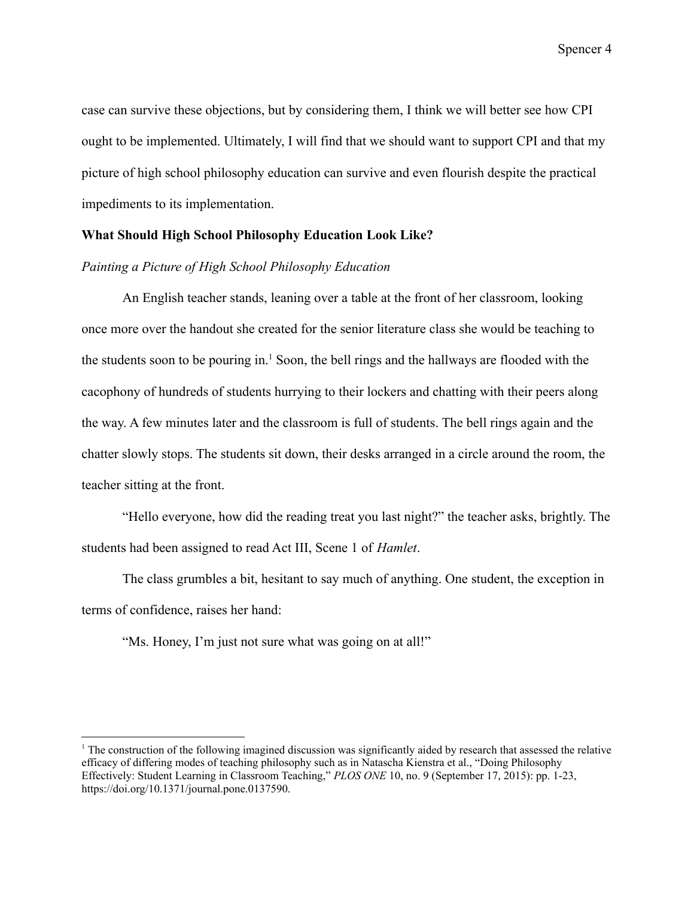case can survive these objections, but by considering them, I think we will better see how CPI ought to be implemented. Ultimately, I will find that we should want to support CPI and that my picture of high school philosophy education can survive and even flourish despite the practical impediments to its implementation.

### <span id="page-8-0"></span>**What Should High School Philosophy Education Look Like?**

#### <span id="page-8-1"></span>*Painting a Picture of High School Philosophy Education*

An English teacher stands, leaning over a table at the front of her classroom, looking once more over the handout she created for the senior literature class she would be teaching to the students soon to be pouring in.<sup>1</sup> Soon, the bell rings and the hallways are flooded with the cacophony of hundreds of students hurrying to their lockers and chatting with their peers along the way. A few minutes later and the classroom is full of students. The bell rings again and the chatter slowly stops. The students sit down, their desks arranged in a circle around the room, the teacher sitting at the front.

"Hello everyone, how did the reading treat you last night?" the teacher asks, brightly. The students had been assigned to read Act III, Scene 1 of *Hamlet*.

The class grumbles a bit, hesitant to say much of anything. One student, the exception in terms of confidence, raises her hand:

"Ms. Honey, I'm just not sure what was going on at all!"

 $<sup>1</sup>$  The construction of the following imagined discussion was significantly aided by research that assessed the relative</sup> efficacy of differing modes of teaching philosophy such as in Natascha Kienstra et al., "Doing Philosophy Effectively: Student Learning in Classroom Teaching," *PLOS ONE* 10, no. 9 (September 17, 2015): pp. 1-23, https://doi.org/10.1371/journal.pone.0137590.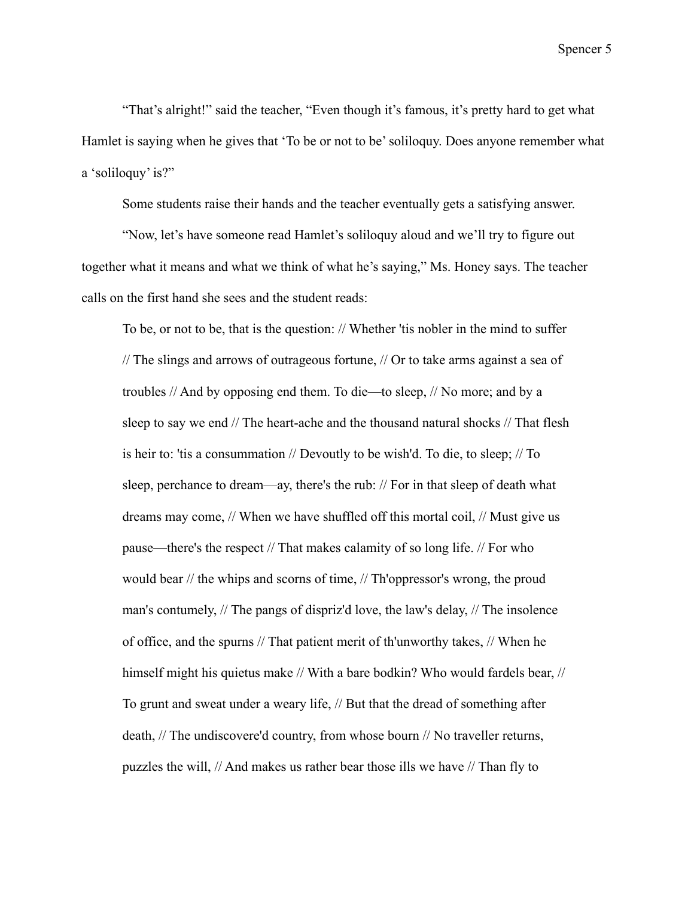"That's alright!" said the teacher, "Even though it's famous, it's pretty hard to get what Hamlet is saying when he gives that 'To be or not to be' soliloquy. Does anyone remember what a 'soliloquy' is?"

Some students raise their hands and the teacher eventually gets a satisfying answer.

"Now, let's have someone read Hamlet's soliloquy aloud and we'll try to figure out together what it means and what we think of what he's saying," Ms. Honey says. The teacher calls on the first hand she sees and the student reads:

To be, or not to be, that is the question: // Whether 'tis nobler in the mind to suffer // The slings and arrows of outrageous fortune, // Or to take arms against a sea of troubles // And by opposing end them. To die—to sleep, // No more; and by a sleep to say we end // The heart-ache and the thousand natural shocks // That flesh is heir to: 'tis a consummation // Devoutly to be wish'd. To die, to sleep; // To sleep, perchance to dream—ay, there's the rub: // For in that sleep of death what dreams may come, // When we have shuffled off this mortal coil, // Must give us pause—there's the respect // That makes calamity of so long life. // For who would bear // the whips and scorns of time, // Th'oppressor's wrong, the proud man's contumely, // The pangs of dispriz'd love, the law's delay, // The insolence of office, and the spurns // That patient merit of th'unworthy takes, // When he himself might his quietus make // With a bare bodkin? Who would fardels bear, // To grunt and sweat under a weary life, // But that the dread of something after death, // The undiscovere'd country, from whose bourn // No traveller returns, puzzles the will, // And makes us rather bear those ills we have // Than fly to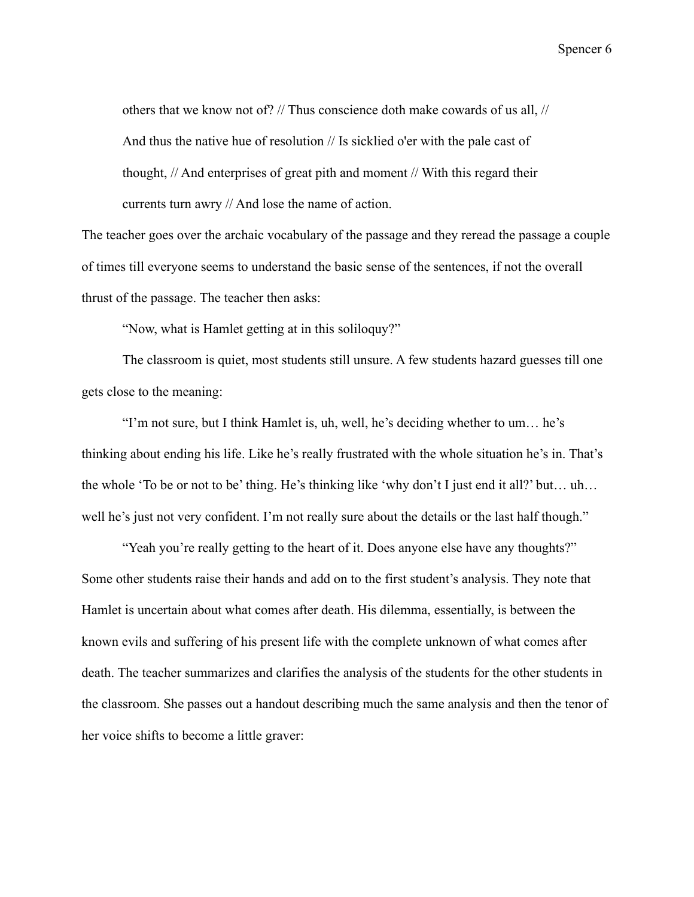others that we know not of? // Thus conscience doth make cowards of us all, // And thus the native hue of resolution // Is sicklied o'er with the pale cast of thought, // And enterprises of great pith and moment // With this regard their currents turn awry // And lose the name of action.

The teacher goes over the archaic vocabulary of the passage and they reread the passage a couple of times till everyone seems to understand the basic sense of the sentences, if not the overall thrust of the passage. The teacher then asks:

"Now, what is Hamlet getting at in this soliloquy?"

The classroom is quiet, most students still unsure. A few students hazard guesses till one gets close to the meaning:

"I'm not sure, but I think Hamlet is, uh, well, he's deciding whether to um… he's thinking about ending his life. Like he's really frustrated with the whole situation he's in. That's the whole 'To be or not to be' thing. He's thinking like 'why don't I just end it all?' but… uh… well he's just not very confident. I'm not really sure about the details or the last half though."

"Yeah you're really getting to the heart of it. Does anyone else have any thoughts?" Some other students raise their hands and add on to the first student's analysis. They note that Hamlet is uncertain about what comes after death. His dilemma, essentially, is between the known evils and suffering of his present life with the complete unknown of what comes after death. The teacher summarizes and clarifies the analysis of the students for the other students in the classroom. She passes out a handout describing much the same analysis and then the tenor of her voice shifts to become a little graver: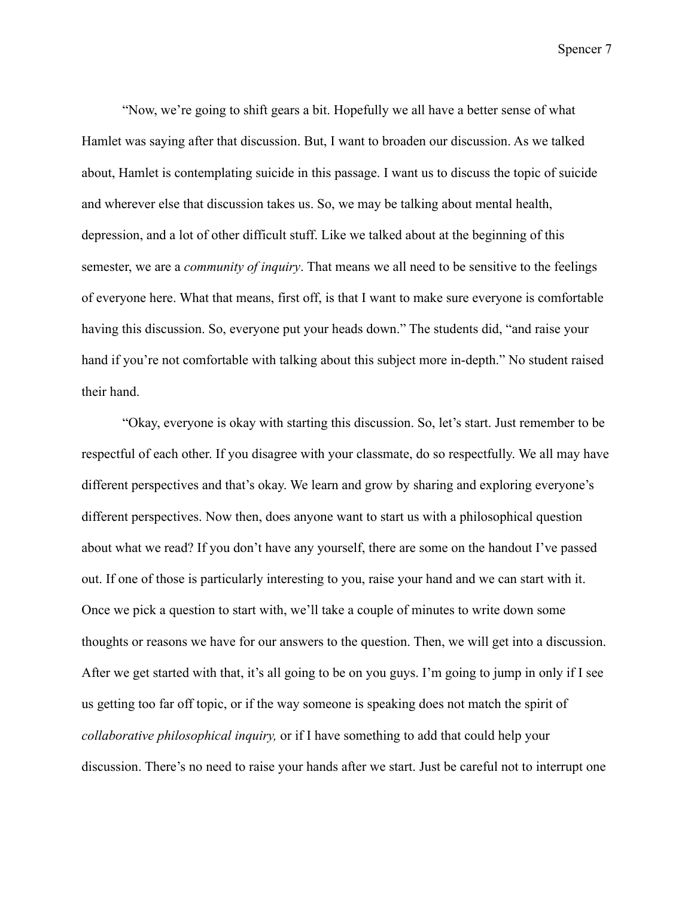"Now, we're going to shift gears a bit. Hopefully we all have a better sense of what Hamlet was saying after that discussion. But, I want to broaden our discussion. As we talked about, Hamlet is contemplating suicide in this passage. I want us to discuss the topic of suicide and wherever else that discussion takes us. So, we may be talking about mental health, depression, and a lot of other difficult stuff. Like we talked about at the beginning of this semester, we are a *community of inquiry*. That means we all need to be sensitive to the feelings of everyone here. What that means, first off, is that I want to make sure everyone is comfortable having this discussion. So, everyone put your heads down." The students did, "and raise your hand if you're not comfortable with talking about this subject more in-depth." No student raised their hand.

"Okay, everyone is okay with starting this discussion. So, let's start. Just remember to be respectful of each other. If you disagree with your classmate, do so respectfully. We all may have different perspectives and that's okay. We learn and grow by sharing and exploring everyone's different perspectives. Now then, does anyone want to start us with a philosophical question about what we read? If you don't have any yourself, there are some on the handout I've passed out. If one of those is particularly interesting to you, raise your hand and we can start with it. Once we pick a question to start with, we'll take a couple of minutes to write down some thoughts or reasons we have for our answers to the question. Then, we will get into a discussion. After we get started with that, it's all going to be on you guys. I'm going to jump in only if I see us getting too far off topic, or if the way someone is speaking does not match the spirit of *collaborative philosophical inquiry,* or if I have something to add that could help your discussion. There's no need to raise your hands after we start. Just be careful not to interrupt one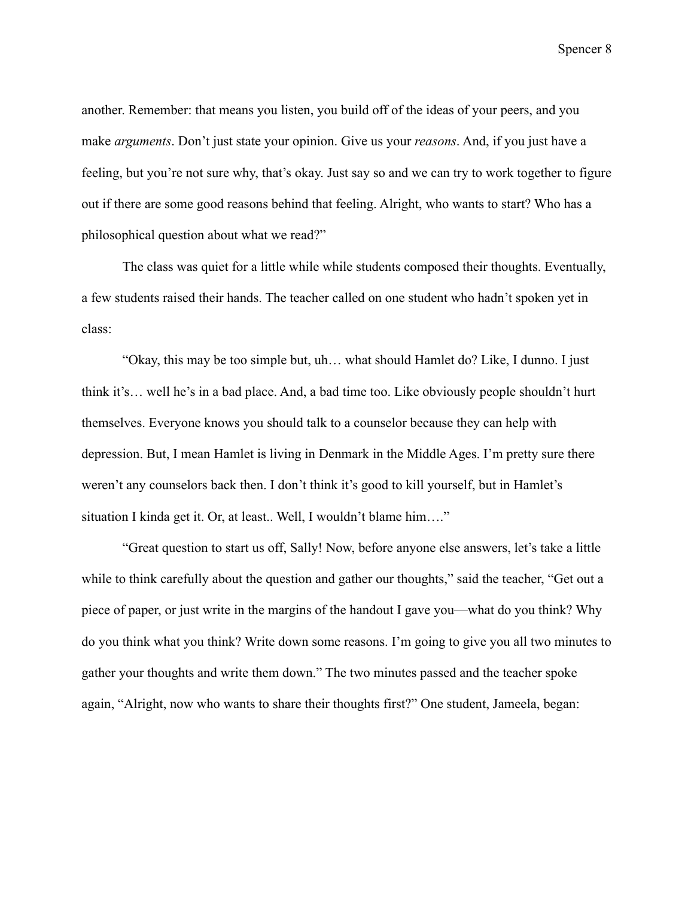another. Remember: that means you listen, you build off of the ideas of your peers, and you make *arguments*. Don't just state your opinion. Give us your *reasons*. And, if you just have a feeling, but you're not sure why, that's okay. Just say so and we can try to work together to figure out if there are some good reasons behind that feeling. Alright, who wants to start? Who has a philosophical question about what we read?"

The class was quiet for a little while while students composed their thoughts. Eventually, a few students raised their hands. The teacher called on one student who hadn't spoken yet in class:

"Okay, this may be too simple but, uh… what should Hamlet do? Like, I dunno. I just think it's… well he's in a bad place. And, a bad time too. Like obviously people shouldn't hurt themselves. Everyone knows you should talk to a counselor because they can help with depression. But, I mean Hamlet is living in Denmark in the Middle Ages. I'm pretty sure there weren't any counselors back then. I don't think it's good to kill yourself, but in Hamlet's situation I kinda get it. Or, at least.. Well, I wouldn't blame him…."

"Great question to start us off, Sally! Now, before anyone else answers, let's take a little while to think carefully about the question and gather our thoughts," said the teacher, "Get out a piece of paper, or just write in the margins of the handout I gave you—what do you think? Why do you think what you think? Write down some reasons. I'm going to give you all two minutes to gather your thoughts and write them down." The two minutes passed and the teacher spoke again, "Alright, now who wants to share their thoughts first?" One student, Jameela, began: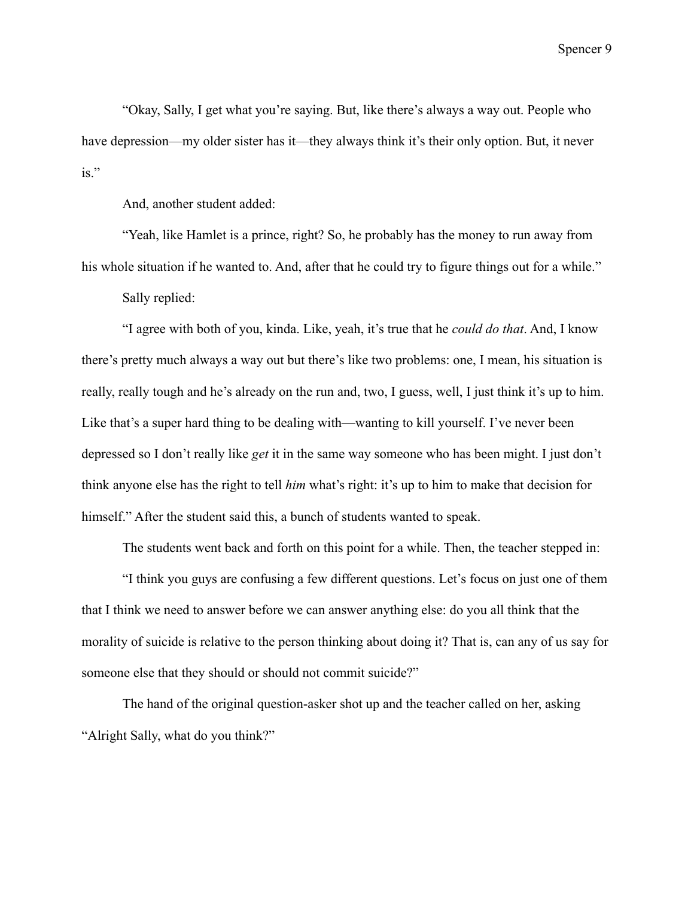"Okay, Sally, I get what you're saying. But, like there's always a way out. People who have depression—my older sister has it—they always think it's their only option. But, it never is."

And, another student added:

"Yeah, like Hamlet is a prince, right? So, he probably has the money to run away from his whole situation if he wanted to. And, after that he could try to figure things out for a while." Sally replied:

"I agree with both of you, kinda. Like, yeah, it's true that he *could do that*. And, I know there's pretty much always a way out but there's like two problems: one, I mean, his situation is really, really tough and he's already on the run and, two, I guess, well, I just think it's up to him. Like that's a super hard thing to be dealing with—wanting to kill yourself. I've never been depressed so I don't really like *get* it in the same way someone who has been might. I just don't think anyone else has the right to tell *him* what's right: it's up to him to make that decision for himself." After the student said this, a bunch of students wanted to speak.

The students went back and forth on this point for a while. Then, the teacher stepped in:

"I think you guys are confusing a few different questions. Let's focus on just one of them that I think we need to answer before we can answer anything else: do you all think that the morality of suicide is relative to the person thinking about doing it? That is, can any of us say for someone else that they should or should not commit suicide?"

The hand of the original question-asker shot up and the teacher called on her, asking "Alright Sally, what do you think?"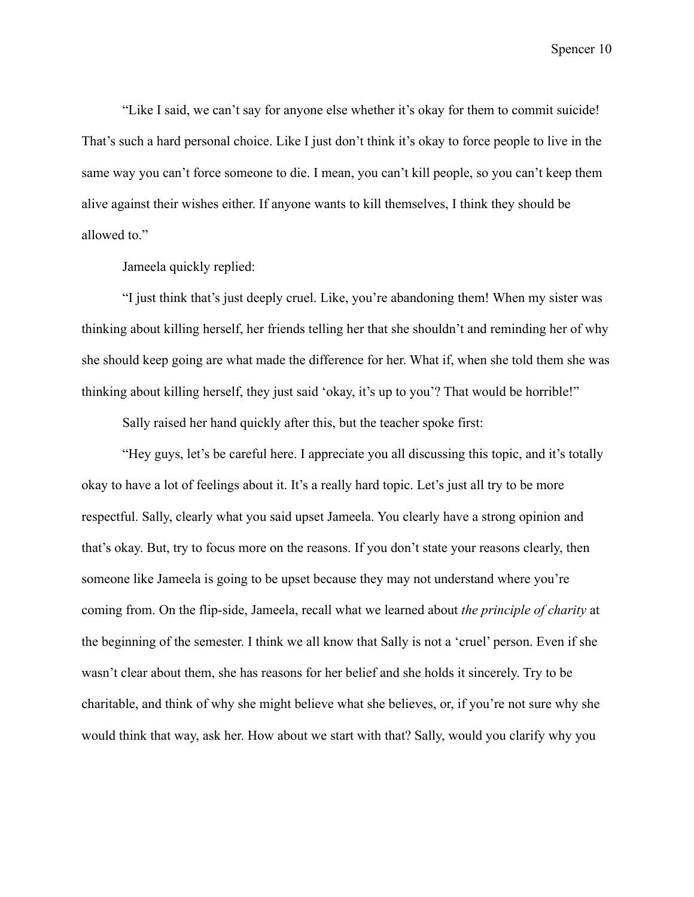"Like I said, we can't say for anyone else whether it's okay for them to commit suicide! That's such a hard personal choice. Like I just don't think it's okay to force people to live in the same way you can't force someone to die. I mean, you can't kill people, so you can't keep them alive against their wishes either. If anyone wants to kill themselves, I think they should be allowed to."

Jameela quickly replied:

"I just think that's just deeply cruel. Like, you're abandoning them! When my sister was thinking about killing herself, her friends telling her that she shouldn't and reminding her of why she should keep going are what made the difference for her. What if, when she told them she was thinking about killing herself, they just said 'okay, it's up to you'? That would be horrible!"

Sally raised her hand quickly after this, but the teacher spoke first:

"Hey guys, let's be careful here. I appreciate you all discussing this topic, and it's totally okay to have a lot of feelings about it. It's a really hard topic. Let's just all try to be more respectful. Sally, clearly what you said upset Jameela. You clearly have a strong opinion and that's okay. But, try to focus more on the reasons. If you don't state your reasons clearly, then someone like Jameela is going to be upset because they may not understand where you're coming from. On the flip-side, Jameela, recall what we learned about *the principle of charity* at the beginning of the semester. I think we all know that Sally is not a 'cruel' person. Even if she wasn't clear about them, she has reasons for her belief and she holds it sincerely. Try to be charitable, and think of why she might believe what she believes, or, if you're not sure why she would think that way, ask her. How about we start with that? Sally, would you clarify why you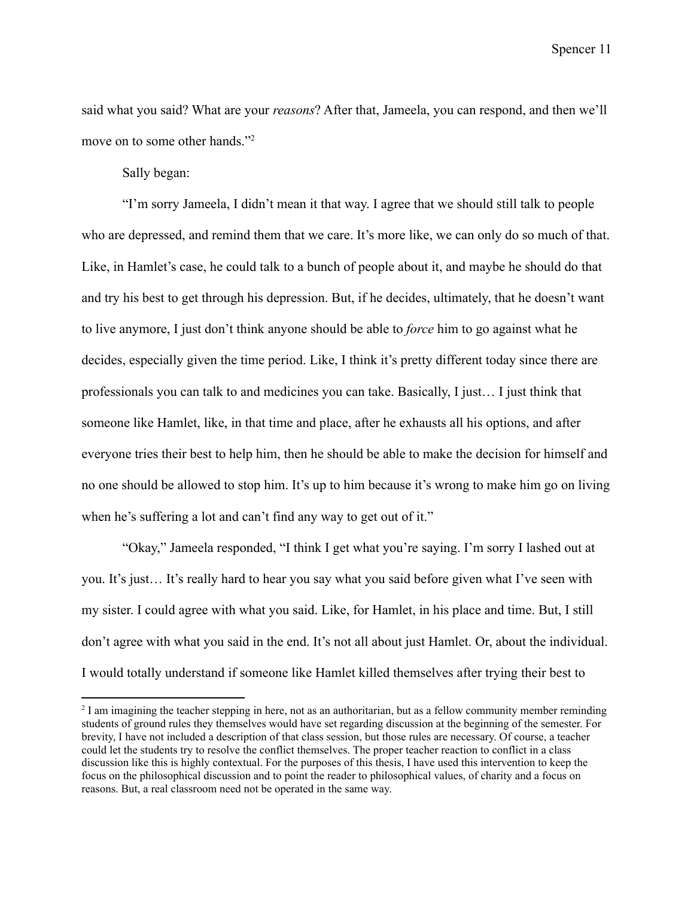said what you said? What are your *reasons*? After that, Jameela, you can respond, and then we'll move on to some other hands."<sup>2</sup>

Sally began:

"I'm sorry Jameela, I didn't mean it that way. I agree that we should still talk to people who are depressed, and remind them that we care. It's more like, we can only do so much of that. Like, in Hamlet's case, he could talk to a bunch of people about it, and maybe he should do that and try his best to get through his depression. But, if he decides, ultimately, that he doesn't want to live anymore, I just don't think anyone should be able to *force* him to go against what he decides, especially given the time period. Like, I think it's pretty different today since there are professionals you can talk to and medicines you can take. Basically, I just… I just think that someone like Hamlet, like, in that time and place, after he exhausts all his options, and after everyone tries their best to help him, then he should be able to make the decision for himself and no one should be allowed to stop him. It's up to him because it's wrong to make him go on living when he's suffering a lot and can't find any way to get out of it."

"Okay," Jameela responded, "I think I get what you're saying. I'm sorry I lashed out at you. It's just… It's really hard to hear you say what you said before given what I've seen with my sister. I could agree with what you said. Like, for Hamlet, in his place and time. But, I still don't agree with what you said in the end. It's not all about just Hamlet. Or, about the individual. I would totally understand if someone like Hamlet killed themselves after trying their best to

<sup>&</sup>lt;sup>2</sup> I am imagining the teacher stepping in here, not as an authoritarian, but as a fellow community member reminding students of ground rules they themselves would have set regarding discussion at the beginning of the semester. For brevity, I have not included a description of that class session, but those rules are necessary. Of course, a teacher could let the students try to resolve the conflict themselves. The proper teacher reaction to conflict in a class discussion like this is highly contextual. For the purposes of this thesis, I have used this intervention to keep the focus on the philosophical discussion and to point the reader to philosophical values, of charity and a focus on reasons. But, a real classroom need not be operated in the same way.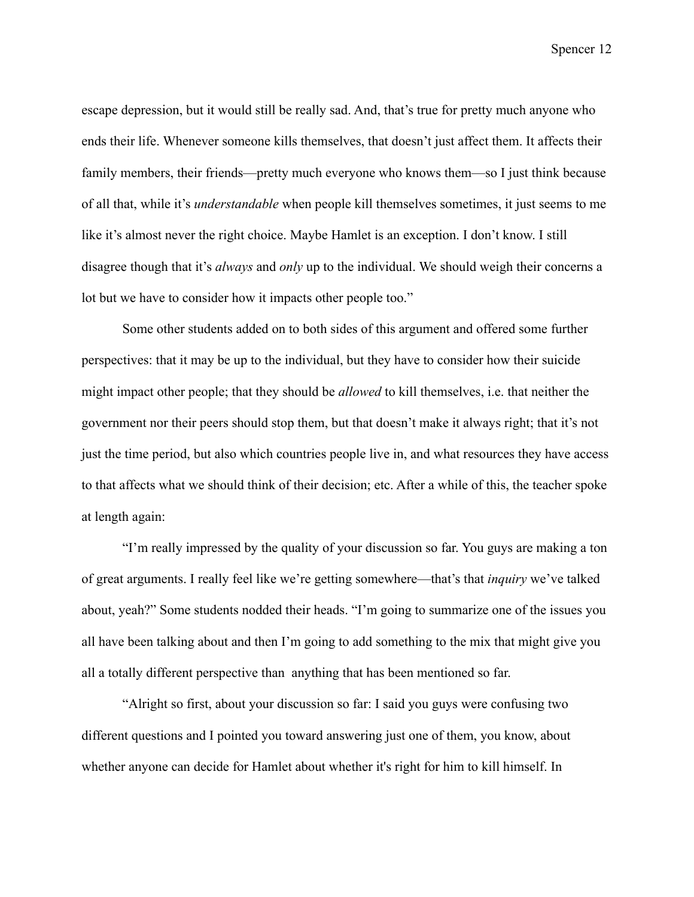escape depression, but it would still be really sad. And, that's true for pretty much anyone who ends their life. Whenever someone kills themselves, that doesn't just affect them. It affects their family members, their friends—pretty much everyone who knows them—so I just think because of all that, while it's *understandable* when people kill themselves sometimes, it just seems to me like it's almost never the right choice. Maybe Hamlet is an exception. I don't know. I still disagree though that it's *always* and *only* up to the individual. We should weigh their concerns a lot but we have to consider how it impacts other people too."

Some other students added on to both sides of this argument and offered some further perspectives: that it may be up to the individual, but they have to consider how their suicide might impact other people; that they should be *allowed* to kill themselves, i.e. that neither the government nor their peers should stop them, but that doesn't make it always right; that it's not just the time period, but also which countries people live in, and what resources they have access to that affects what we should think of their decision; etc. After a while of this, the teacher spoke at length again:

"I'm really impressed by the quality of your discussion so far. You guys are making a ton of great arguments. I really feel like we're getting somewhere—that's that *inquiry* we've talked about, yeah?" Some students nodded their heads. "I'm going to summarize one of the issues you all have been talking about and then I'm going to add something to the mix that might give you all a totally different perspective than anything that has been mentioned so far.

"Alright so first, about your discussion so far: I said you guys were confusing two different questions and I pointed you toward answering just one of them, you know, about whether anyone can decide for Hamlet about whether it's right for him to kill himself. In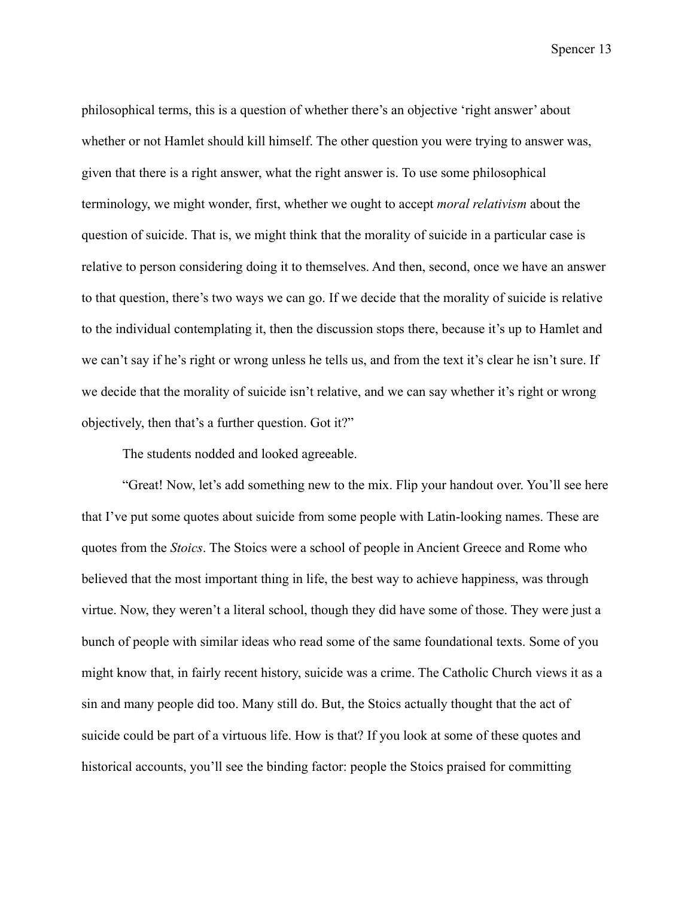philosophical terms, this is a question of whether there's an objective 'right answer' about whether or not Hamlet should kill himself. The other question you were trying to answer was, given that there is a right answer, what the right answer is. To use some philosophical terminology, we might wonder, first, whether we ought to accept *moral relativism* about the question of suicide. That is, we might think that the morality of suicide in a particular case is relative to person considering doing it to themselves. And then, second, once we have an answer to that question, there's two ways we can go. If we decide that the morality of suicide is relative to the individual contemplating it, then the discussion stops there, because it's up to Hamlet and we can't say if he's right or wrong unless he tells us, and from the text it's clear he isn't sure. If we decide that the morality of suicide isn't relative, and we can say whether it's right or wrong objectively, then that's a further question. Got it?"

The students nodded and looked agreeable.

"Great! Now, let's add something new to the mix. Flip your handout over. You'll see here that I've put some quotes about suicide from some people with Latin-looking names. These are quotes from the *Stoics*. The Stoics were a school of people in Ancient Greece and Rome who believed that the most important thing in life, the best way to achieve happiness, was through virtue. Now, they weren't a literal school, though they did have some of those. They were just a bunch of people with similar ideas who read some of the same foundational texts. Some of you might know that, in fairly recent history, suicide was a crime. The Catholic Church views it as a sin and many people did too. Many still do. But, the Stoics actually thought that the act of suicide could be part of a virtuous life. How is that? If you look at some of these quotes and historical accounts, you'll see the binding factor: people the Stoics praised for committing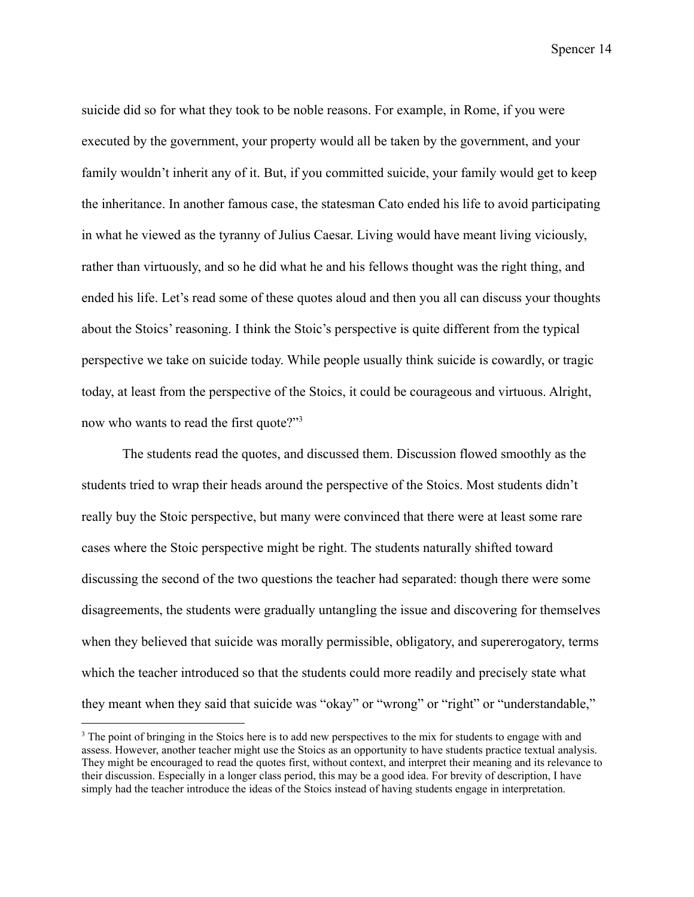suicide did so for what they took to be noble reasons. For example, in Rome, if you were executed by the government, your property would all be taken by the government, and your family wouldn't inherit any of it. But, if you committed suicide, your family would get to keep the inheritance. In another famous case, the statesman Cato ended his life to avoid participating in what he viewed as the tyranny of Julius Caesar. Living would have meant living viciously, rather than virtuously, and so he did what he and his fellows thought was the right thing, and ended his life. Let's read some of these quotes aloud and then you all can discuss your thoughts about the Stoics' reasoning. I think the Stoic's perspective is quite different from the typical perspective we take on suicide today. While people usually think suicide is cowardly, or tragic today, at least from the perspective of the Stoics, it could be courageous and virtuous. Alright, now who wants to read the first quote?"<sup>3</sup>

The students read the quotes, and discussed them. Discussion flowed smoothly as the students tried to wrap their heads around the perspective of the Stoics. Most students didn't really buy the Stoic perspective, but many were convinced that there were at least some rare cases where the Stoic perspective might be right. The students naturally shifted toward discussing the second of the two questions the teacher had separated: though there were some disagreements, the students were gradually untangling the issue and discovering for themselves when they believed that suicide was morally permissible, obligatory, and supererogatory, terms which the teacher introduced so that the students could more readily and precisely state what they meant when they said that suicide was "okay" or "wrong" or "right" or "understandable,"

<sup>&</sup>lt;sup>3</sup> The point of bringing in the Stoics here is to add new perspectives to the mix for students to engage with and assess. However, another teacher might use the Stoics as an opportunity to have students practice textual analysis. They might be encouraged to read the quotes first, without context, and interpret their meaning and its relevance to their discussion. Especially in a longer class period, this may be a good idea. For brevity of description, I have simply had the teacher introduce the ideas of the Stoics instead of having students engage in interpretation.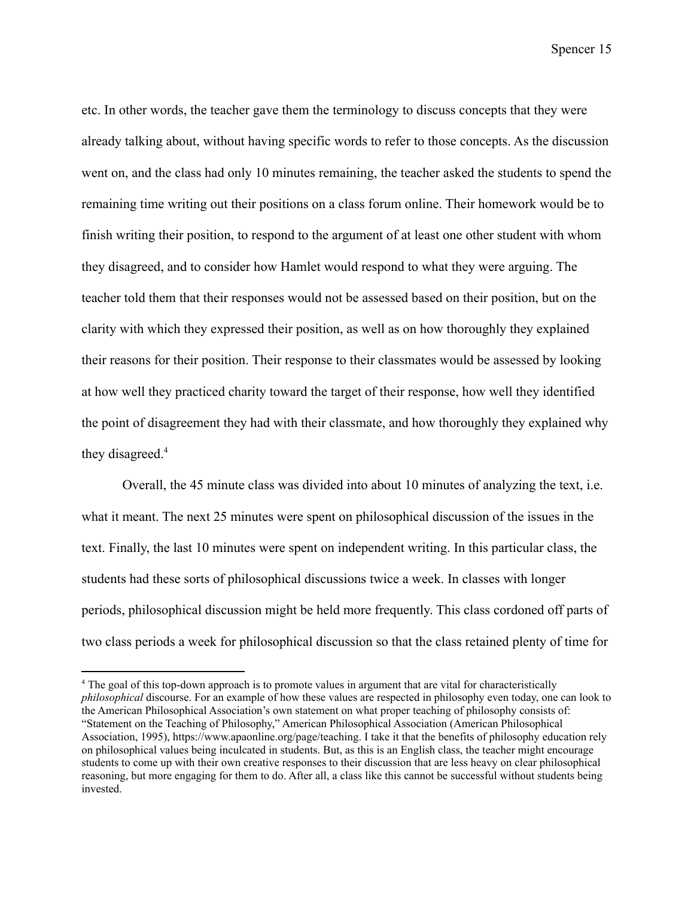etc. In other words, the teacher gave them the terminology to discuss concepts that they were already talking about, without having specific words to refer to those concepts. As the discussion went on, and the class had only 10 minutes remaining, the teacher asked the students to spend the remaining time writing out their positions on a class forum online. Their homework would be to finish writing their position, to respond to the argument of at least one other student with whom they disagreed, and to consider how Hamlet would respond to what they were arguing. The teacher told them that their responses would not be assessed based on their position, but on the clarity with which they expressed their position, as well as on how thoroughly they explained their reasons for their position. Their response to their classmates would be assessed by looking at how well they practiced charity toward the target of their response, how well they identified the point of disagreement they had with their classmate, and how thoroughly they explained why they disagreed.<sup>4</sup>

Overall, the 45 minute class was divided into about 10 minutes of analyzing the text, i.e. what it meant. The next 25 minutes were spent on philosophical discussion of the issues in the text. Finally, the last 10 minutes were spent on independent writing. In this particular class, the students had these sorts of philosophical discussions twice a week. In classes with longer periods, philosophical discussion might be held more frequently. This class cordoned off parts of two class periods a week for philosophical discussion so that the class retained plenty of time for

<sup>4</sup> The goal of this top-down approach is to promote values in argument that are vital for characteristically *philosophical* discourse. For an example of how these values are respected in philosophy even today, one can look to the American Philosophical Association's own statement on what proper teaching of philosophy consists of: "Statement on the Teaching of Philosophy," American Philosophical Association (American Philosophical Association, 1995), https://www.apaonline.org/page/teaching. I take it that the benefits of philosophy education rely on philosophical values being inculcated in students. But, as this is an English class, the teacher might encourage students to come up with their own creative responses to their discussion that are less heavy on clear philosophical reasoning, but more engaging for them to do. After all, a class like this cannot be successful without students being invested.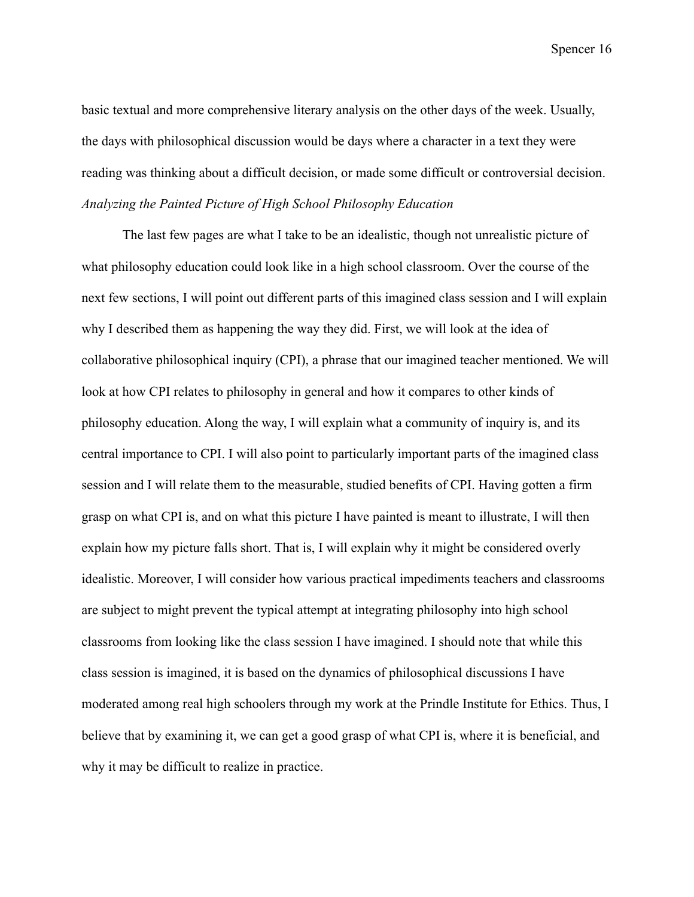basic textual and more comprehensive literary analysis on the other days of the week. Usually, the days with philosophical discussion would be days where a character in a text they were reading was thinking about a difficult decision, or made some difficult or controversial decision. *Analyzing the Painted Picture of High School Philosophy Education*

<span id="page-20-0"></span>The last few pages are what I take to be an idealistic, though not unrealistic picture of what philosophy education could look like in a high school classroom. Over the course of the next few sections, I will point out different parts of this imagined class session and I will explain why I described them as happening the way they did. First, we will look at the idea of collaborative philosophical inquiry (CPI), a phrase that our imagined teacher mentioned. We will look at how CPI relates to philosophy in general and how it compares to other kinds of philosophy education. Along the way, I will explain what a community of inquiry is, and its central importance to CPI. I will also point to particularly important parts of the imagined class session and I will relate them to the measurable, studied benefits of CPI. Having gotten a firm grasp on what CPI is, and on what this picture I have painted is meant to illustrate, I will then explain how my picture falls short. That is, I will explain why it might be considered overly idealistic. Moreover, I will consider how various practical impediments teachers and classrooms are subject to might prevent the typical attempt at integrating philosophy into high school classrooms from looking like the class session I have imagined. I should note that while this class session is imagined, it is based on the dynamics of philosophical discussions I have moderated among real high schoolers through my work at the Prindle Institute for Ethics. Thus, I believe that by examining it, we can get a good grasp of what CPI is, where it is beneficial, and why it may be difficult to realize in practice.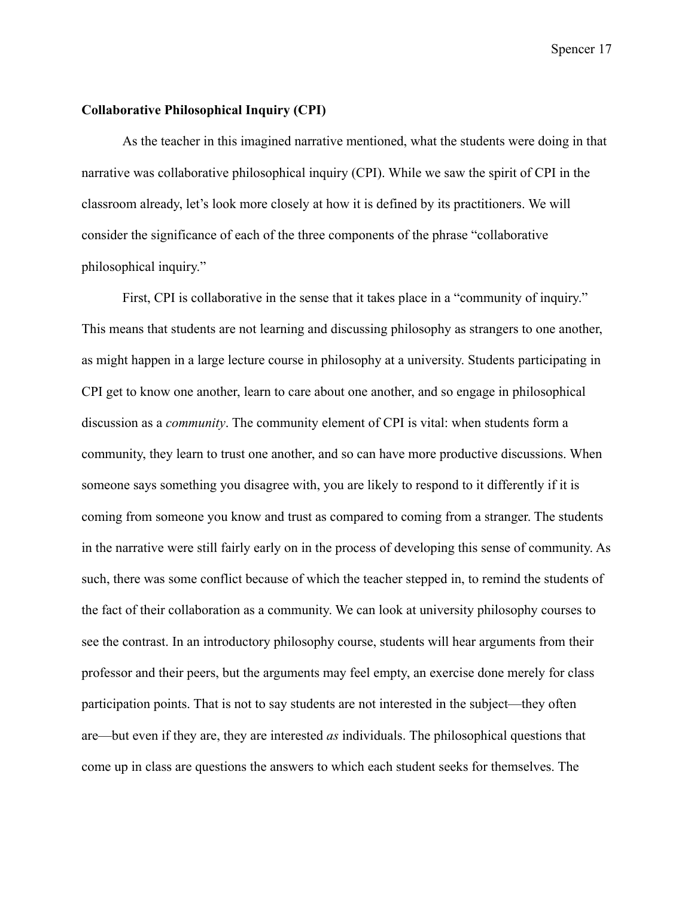#### <span id="page-21-0"></span>**Collaborative Philosophical Inquiry (CPI)**

As the teacher in this imagined narrative mentioned, what the students were doing in that narrative was collaborative philosophical inquiry (CPI). While we saw the spirit of CPI in the classroom already, let's look more closely at how it is defined by its practitioners. We will consider the significance of each of the three components of the phrase "collaborative philosophical inquiry."

First, CPI is collaborative in the sense that it takes place in a "community of inquiry." This means that students are not learning and discussing philosophy as strangers to one another, as might happen in a large lecture course in philosophy at a university. Students participating in CPI get to know one another, learn to care about one another, and so engage in philosophical discussion as a *community*. The community element of CPI is vital: when students form a community, they learn to trust one another, and so can have more productive discussions. When someone says something you disagree with, you are likely to respond to it differently if it is coming from someone you know and trust as compared to coming from a stranger. The students in the narrative were still fairly early on in the process of developing this sense of community. As such, there was some conflict because of which the teacher stepped in, to remind the students of the fact of their collaboration as a community. We can look at university philosophy courses to see the contrast. In an introductory philosophy course, students will hear arguments from their professor and their peers, but the arguments may feel empty, an exercise done merely for class participation points. That is not to say students are not interested in the subject—they often are—but even if they are, they are interested *as* individuals. The philosophical questions that come up in class are questions the answers to which each student seeks for themselves. The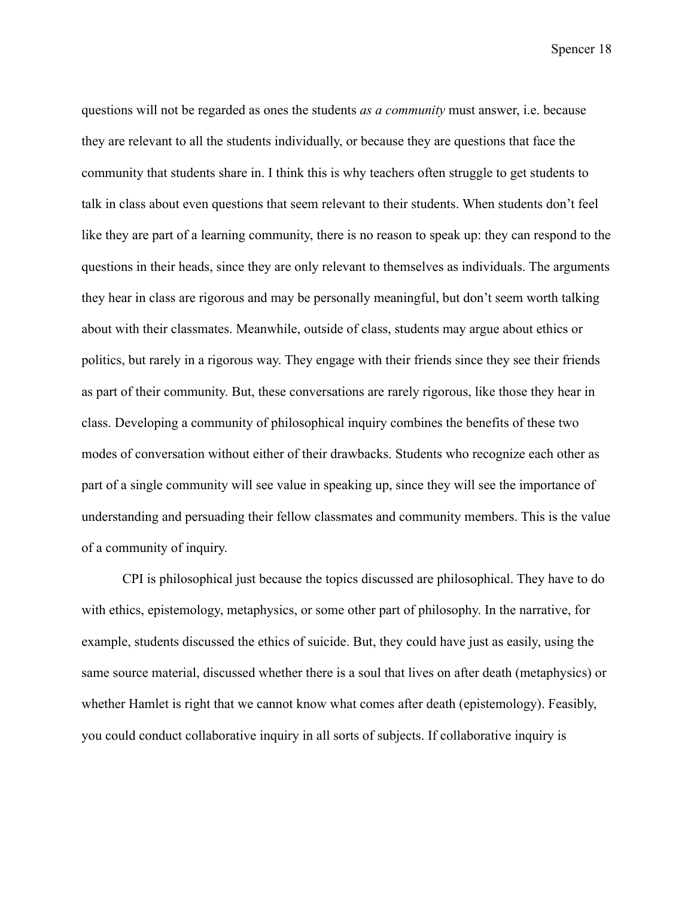questions will not be regarded as ones the students *as a community* must answer, i.e. because they are relevant to all the students individually, or because they are questions that face the community that students share in. I think this is why teachers often struggle to get students to talk in class about even questions that seem relevant to their students. When students don't feel like they are part of a learning community, there is no reason to speak up: they can respond to the questions in their heads, since they are only relevant to themselves as individuals. The arguments they hear in class are rigorous and may be personally meaningful, but don't seem worth talking about with their classmates. Meanwhile, outside of class, students may argue about ethics or politics, but rarely in a rigorous way. They engage with their friends since they see their friends as part of their community. But, these conversations are rarely rigorous, like those they hear in class. Developing a community of philosophical inquiry combines the benefits of these two modes of conversation without either of their drawbacks. Students who recognize each other as part of a single community will see value in speaking up, since they will see the importance of understanding and persuading their fellow classmates and community members. This is the value of a community of inquiry.

CPI is philosophical just because the topics discussed are philosophical. They have to do with ethics, epistemology, metaphysics, or some other part of philosophy. In the narrative, for example, students discussed the ethics of suicide. But, they could have just as easily, using the same source material, discussed whether there is a soul that lives on after death (metaphysics) or whether Hamlet is right that we cannot know what comes after death (epistemology). Feasibly, you could conduct collaborative inquiry in all sorts of subjects. If collaborative inquiry is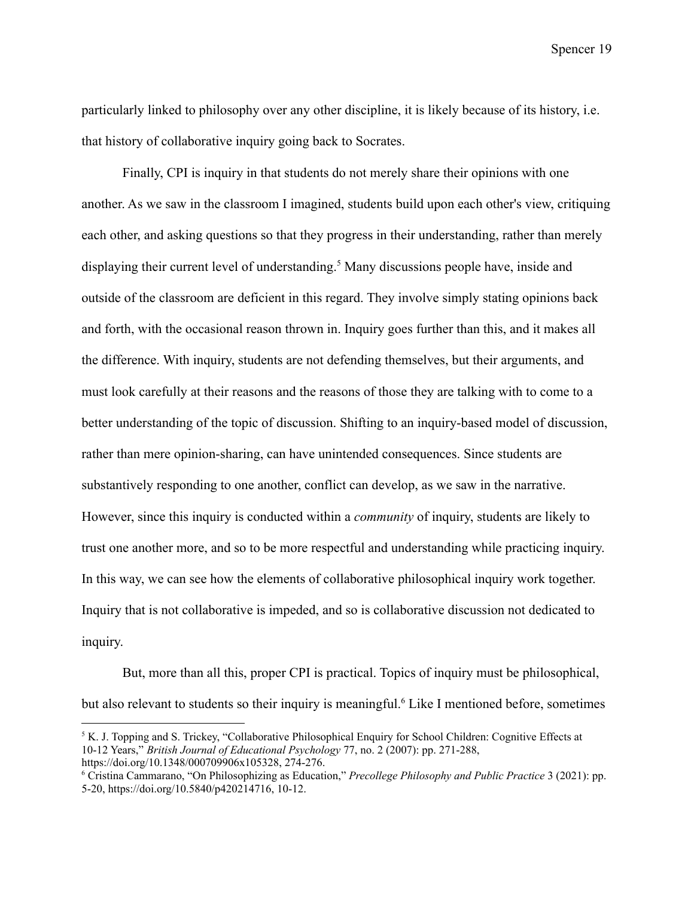particularly linked to philosophy over any other discipline, it is likely because of its history, i.e. that history of collaborative inquiry going back to Socrates.

Finally, CPI is inquiry in that students do not merely share their opinions with one another. As we saw in the classroom I imagined, students build upon each other's view, critiquing each other, and asking questions so that they progress in their understanding, rather than merely displaying their current level of understanding.<sup>5</sup> Many discussions people have, inside and outside of the classroom are deficient in this regard. They involve simply stating opinions back and forth, with the occasional reason thrown in. Inquiry goes further than this, and it makes all the difference. With inquiry, students are not defending themselves, but their arguments, and must look carefully at their reasons and the reasons of those they are talking with to come to a better understanding of the topic of discussion. Shifting to an inquiry-based model of discussion, rather than mere opinion-sharing, can have unintended consequences. Since students are substantively responding to one another, conflict can develop, as we saw in the narrative. However, since this inquiry is conducted within a *community* of inquiry, students are likely to trust one another more, and so to be more respectful and understanding while practicing inquiry. In this way, we can see how the elements of collaborative philosophical inquiry work together. Inquiry that is not collaborative is impeded, and so is collaborative discussion not dedicated to inquiry.

But, more than all this, proper CPI is practical. Topics of inquiry must be philosophical, but also relevant to students so their inquiry is meaningful.<sup>6</sup> Like I mentioned before, sometimes

<sup>&</sup>lt;sup>5</sup> K. J. Topping and S. Trickey, "Collaborative Philosophical Enquiry for School Children: Cognitive Effects at 10-12 Years," *British Journal of Educational Psychology* 77, no. 2 (2007): pp. 271-288, https://doi.org/10.1348/000709906x105328, 274-276.

<sup>6</sup> Cristina Cammarano, "On Philosophizing as Education," *Precollege Philosophy and Public Practice* 3 (2021): pp. 5-20, https://doi.org/10.5840/p420214716, 10-12.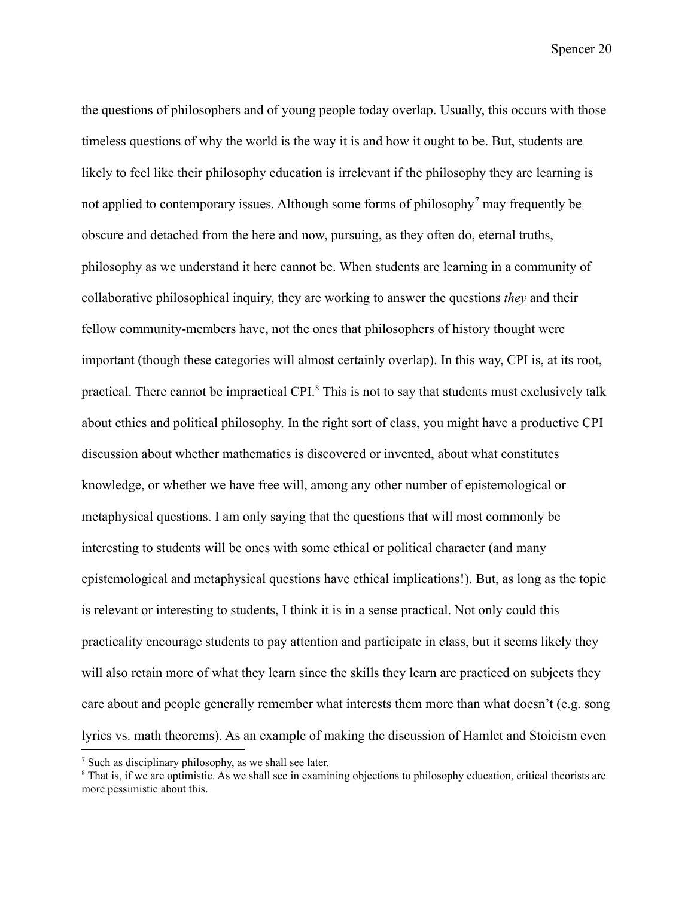the questions of philosophers and of young people today overlap. Usually, this occurs with those timeless questions of why the world is the way it is and how it ought to be. But, students are likely to feel like their philosophy education is irrelevant if the philosophy they are learning is not applied to contemporary issues. Although some forms of philosophy<sup>7</sup> may frequently be obscure and detached from the here and now, pursuing, as they often do, eternal truths, philosophy as we understand it here cannot be. When students are learning in a community of collaborative philosophical inquiry, they are working to answer the questions *they* and their fellow community-members have, not the ones that philosophers of history thought were important (though these categories will almost certainly overlap). In this way, CPI is, at its root, practical. There cannot be impractical CPI.<sup>8</sup> This is not to say that students must exclusively talk about ethics and political philosophy. In the right sort of class, you might have a productive CPI discussion about whether mathematics is discovered or invented, about what constitutes knowledge, or whether we have free will, among any other number of epistemological or metaphysical questions. I am only saying that the questions that will most commonly be interesting to students will be ones with some ethical or political character (and many epistemological and metaphysical questions have ethical implications!). But, as long as the topic is relevant or interesting to students, I think it is in a sense practical. Not only could this practicality encourage students to pay attention and participate in class, but it seems likely they will also retain more of what they learn since the skills they learn are practiced on subjects they care about and people generally remember what interests them more than what doesn't (e.g. song lyrics vs. math theorems). As an example of making the discussion of Hamlet and Stoicism even

<sup>7</sup> Such as disciplinary philosophy, as we shall see later.

<sup>&</sup>lt;sup>8</sup> That is, if we are optimistic. As we shall see in examining objections to philosophy education, critical theorists are more pessimistic about this.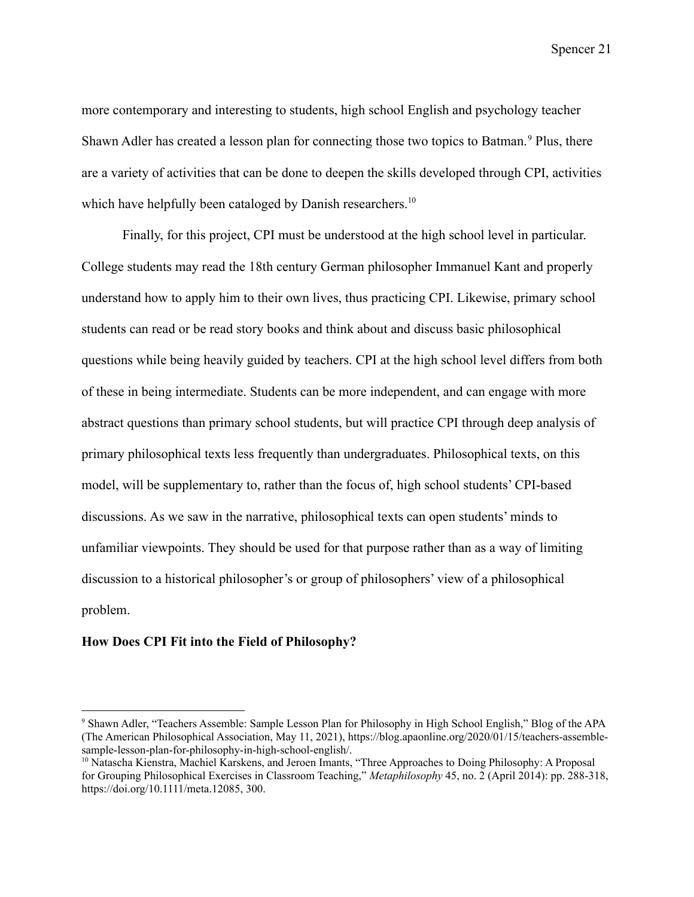more contemporary and interesting to students, high school English and psychology teacher Shawn Adler has created a lesson plan for connecting those two topics to Batman. <sup>9</sup> Plus, there are a variety of activities that can be done to deepen the skills developed through CPI, activities which have helpfully been cataloged by Danish researchers.<sup>10</sup>

Finally, for this project, CPI must be understood at the high school level in particular. College students may read the 18th century German philosopher Immanuel Kant and properly understand how to apply him to their own lives, thus practicing CPI. Likewise, primary school students can read or be read story books and think about and discuss basic philosophical questions while being heavily guided by teachers. CPI at the high school level differs from both of these in being intermediate. Students can be more independent, and can engage with more abstract questions than primary school students, but will practice CPI through deep analysis of primary philosophical texts less frequently than undergraduates. Philosophical texts, on this model, will be supplementary to, rather than the focus of, high school students' CPI-based discussions. As we saw in the narrative, philosophical texts can open students' minds to unfamiliar viewpoints. They should be used for that purpose rather than as a way of limiting discussion to a historical philosopher's or group of philosophers' view of a philosophical problem.

#### <span id="page-25-0"></span>**How Does CPI Fit into the Field of Philosophy?**

<sup>9</sup> Shawn Adler, "Teachers Assemble: Sample Lesson Plan for Philosophy in High School English," Blog of the APA (The American Philosophical Association, May 11, 2021), https://blog.apaonline.org/2020/01/15/teachers-assemblesample-lesson-plan-for-philosophy-in-high-school-english/.

<sup>10</sup> Natascha Kienstra, Machiel Karskens, and Jeroen Imants, "Three Approaches to Doing Philosophy: A Proposal for Grouping Philosophical Exercises in Classroom Teaching," *Metaphilosophy* 45, no. 2 (April 2014): pp. 288-318, https://doi.org/10.1111/meta.12085, 300.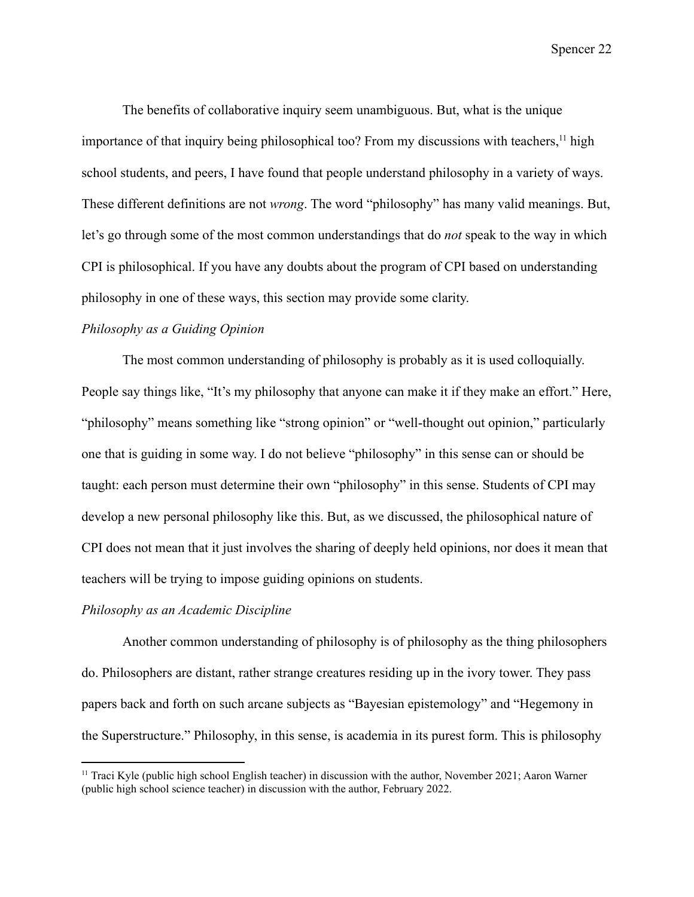The benefits of collaborative inquiry seem unambiguous. But, what is the unique importance of that inquiry being philosophical too? From my discussions with teachers,  $\frac{11}{11}$  high school students, and peers, I have found that people understand philosophy in a variety of ways. These different definitions are not *wrong*. The word "philosophy" has many valid meanings. But, let's go through some of the most common understandings that do *not* speak to the way in which CPI is philosophical. If you have any doubts about the program of CPI based on understanding philosophy in one of these ways, this section may provide some clarity.

## <span id="page-26-0"></span>*Philosophy as a Guiding Opinion*

The most common understanding of philosophy is probably as it is used colloquially. People say things like, "It's my philosophy that anyone can make it if they make an effort." Here, "philosophy" means something like "strong opinion" or "well-thought out opinion," particularly one that is guiding in some way. I do not believe "philosophy" in this sense can or should be taught: each person must determine their own "philosophy" in this sense. Students of CPI may develop a new personal philosophy like this. But, as we discussed, the philosophical nature of CPI does not mean that it just involves the sharing of deeply held opinions, nor does it mean that teachers will be trying to impose guiding opinions on students.

# <span id="page-26-1"></span>*Philosophy as an Academic Discipline*

Another common understanding of philosophy is of philosophy as the thing philosophers do. Philosophers are distant, rather strange creatures residing up in the ivory tower. They pass papers back and forth on such arcane subjects as "Bayesian epistemology" and "Hegemony in the Superstructure." Philosophy, in this sense, is academia in its purest form. This is philosophy

<sup>&</sup>lt;sup>11</sup> Traci Kyle (public high school English teacher) in discussion with the author, November 2021; Aaron Warner (public high school science teacher) in discussion with the author, February 2022.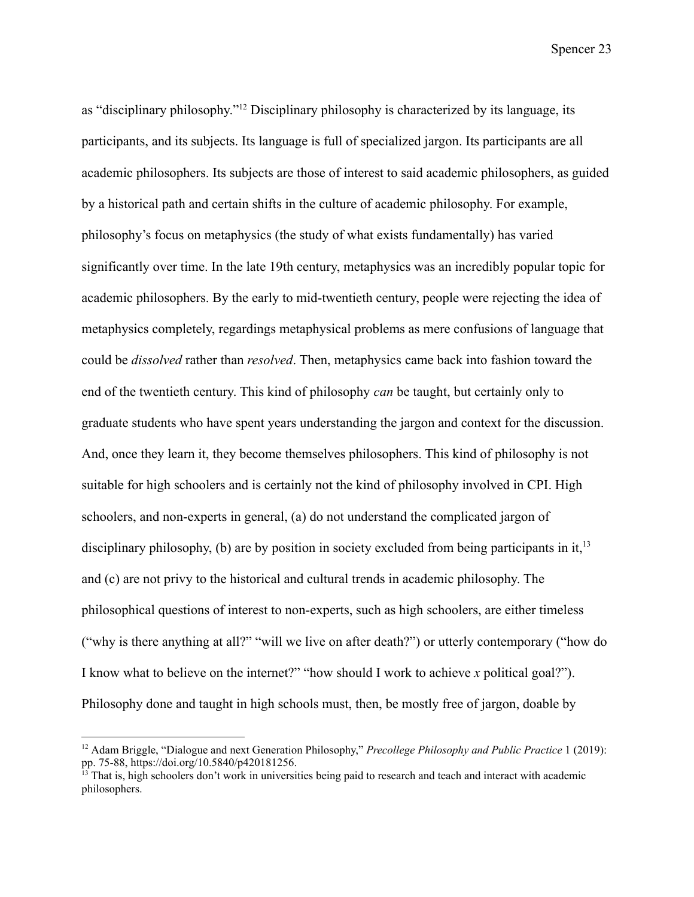as "disciplinary philosophy."<sup>12</sup> Disciplinary philosophy is characterized by its language, its participants, and its subjects. Its language is full of specialized jargon. Its participants are all academic philosophers. Its subjects are those of interest to said academic philosophers, as guided by a historical path and certain shifts in the culture of academic philosophy. For example, philosophy's focus on metaphysics (the study of what exists fundamentally) has varied significantly over time. In the late 19th century, metaphysics was an incredibly popular topic for academic philosophers. By the early to mid-twentieth century, people were rejecting the idea of metaphysics completely, regardings metaphysical problems as mere confusions of language that could be *dissolved* rather than *resolved*. Then, metaphysics came back into fashion toward the end of the twentieth century. This kind of philosophy *can* be taught, but certainly only to graduate students who have spent years understanding the jargon and context for the discussion. And, once they learn it, they become themselves philosophers. This kind of philosophy is not suitable for high schoolers and is certainly not the kind of philosophy involved in CPI. High schoolers, and non-experts in general, (a) do not understand the complicated jargon of disciplinary philosophy, (b) are by position in society excluded from being participants in it,  $13$ and (c) are not privy to the historical and cultural trends in academic philosophy. The philosophical questions of interest to non-experts, such as high schoolers, are either timeless ("why is there anything at all?" "will we live on after death?") or utterly contemporary ("how do I know what to believe on the internet?" "how should I work to achieve *x* political goal?"). Philosophy done and taught in high schools must, then, be mostly free of jargon, doable by

<sup>12</sup> Adam Briggle, "Dialogue and next Generation Philosophy," *Precollege Philosophy and Public Practice* 1 (2019): pp. 75-88, https://doi.org/10.5840/p420181256.

 $\frac{13}{13}$  That is, high schoolers don't work in universities being paid to research and teach and interact with academic philosophers.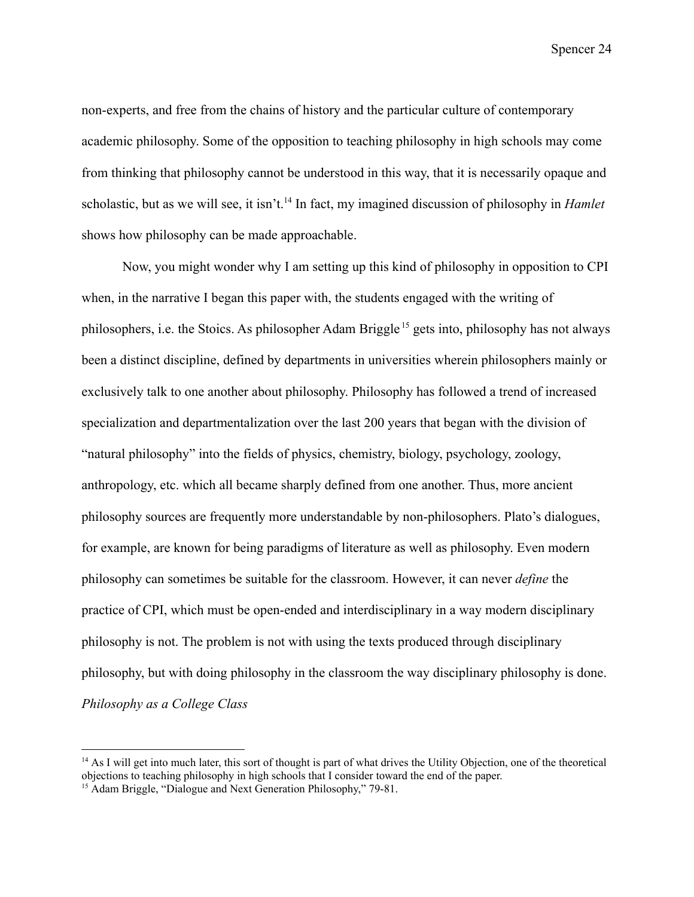non-experts, and free from the chains of history and the particular culture of contemporary academic philosophy. Some of the opposition to teaching philosophy in high schools may come from thinking that philosophy cannot be understood in this way, that it is necessarily opaque and scholastic, but as we will see, it isn't.<sup>14</sup> In fact, my imagined discussion of philosophy in *Hamlet* shows how philosophy can be made approachable.

Now, you might wonder why I am setting up this kind of philosophy in opposition to CPI when, in the narrative I began this paper with, the students engaged with the writing of philosophers, i.e. the Stoics. As philosopher Adam Briggle <sup>15</sup> gets into, philosophy has not always been a distinct discipline, defined by departments in universities wherein philosophers mainly or exclusively talk to one another about philosophy. Philosophy has followed a trend of increased specialization and departmentalization over the last 200 years that began with the division of "natural philosophy" into the fields of physics, chemistry, biology, psychology, zoology, anthropology, etc. which all became sharply defined from one another. Thus, more ancient philosophy sources are frequently more understandable by non-philosophers. Plato's dialogues, for example, are known for being paradigms of literature as well as philosophy. Even modern philosophy can sometimes be suitable for the classroom. However, it can never *define* the practice of CPI, which must be open-ended and interdisciplinary in a way modern disciplinary philosophy is not. The problem is not with using the texts produced through disciplinary philosophy, but with doing philosophy in the classroom the way disciplinary philosophy is done. *Philosophy as a College Class*

<span id="page-28-0"></span> $14$  As I will get into much later, this sort of thought is part of what drives the Utility Objection, one of the theoretical objections to teaching philosophy in high schools that I consider toward the end of the paper.

<sup>&</sup>lt;sup>15</sup> Adam Briggle, "Dialogue and Next Generation Philosophy," 79-81.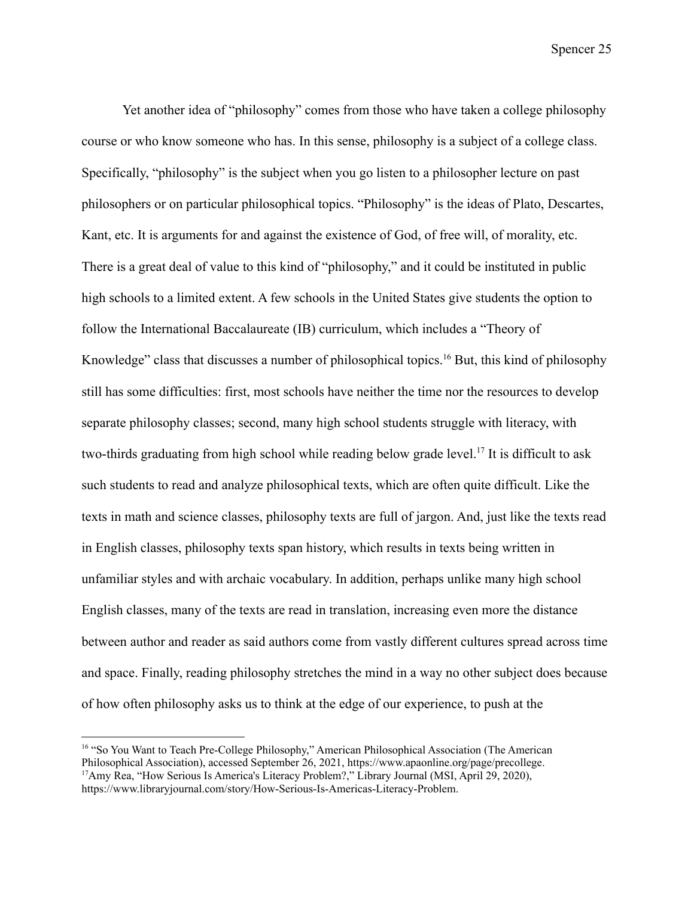Yet another idea of "philosophy" comes from those who have taken a college philosophy course or who know someone who has. In this sense, philosophy is a subject of a college class. Specifically, "philosophy" is the subject when you go listen to a philosopher lecture on past philosophers or on particular philosophical topics. "Philosophy" is the ideas of Plato, Descartes, Kant, etc. It is arguments for and against the existence of God, of free will, of morality, etc. There is a great deal of value to this kind of "philosophy," and it could be instituted in public high schools to a limited extent. A few schools in the United States give students the option to follow the International Baccalaureate (IB) curriculum, which includes a "Theory of Knowledge" class that discusses a number of philosophical topics.<sup>16</sup> But, this kind of philosophy still has some difficulties: first, most schools have neither the time nor the resources to develop separate philosophy classes; second, many high school students struggle with literacy, with two-thirds graduating from high school while reading below grade level.<sup>17</sup> It is difficult to ask such students to read and analyze philosophical texts, which are often quite difficult. Like the texts in math and science classes, philosophy texts are full of jargon. And, just like the texts read in English classes, philosophy texts span history, which results in texts being written in unfamiliar styles and with archaic vocabulary. In addition, perhaps unlike many high school English classes, many of the texts are read in translation, increasing even more the distance between author and reader as said authors come from vastly different cultures spread across time and space. Finally, reading philosophy stretches the mind in a way no other subject does because of how often philosophy asks us to think at the edge of our experience, to push at the

<sup>&</sup>lt;sup>17</sup>Amy Rea, "How Serious Is America's Literacy Problem?," Library Journal (MSI, April 29, 2020), https://www.libraryjournal.com/story/How-Serious-Is-Americas-Literacy-Problem. <sup>16</sup> "So You Want to Teach Pre-College Philosophy," American Philosophical Association (The American Philosophical Association), accessed September 26, 2021, https://www.apaonline.org/page/precollege.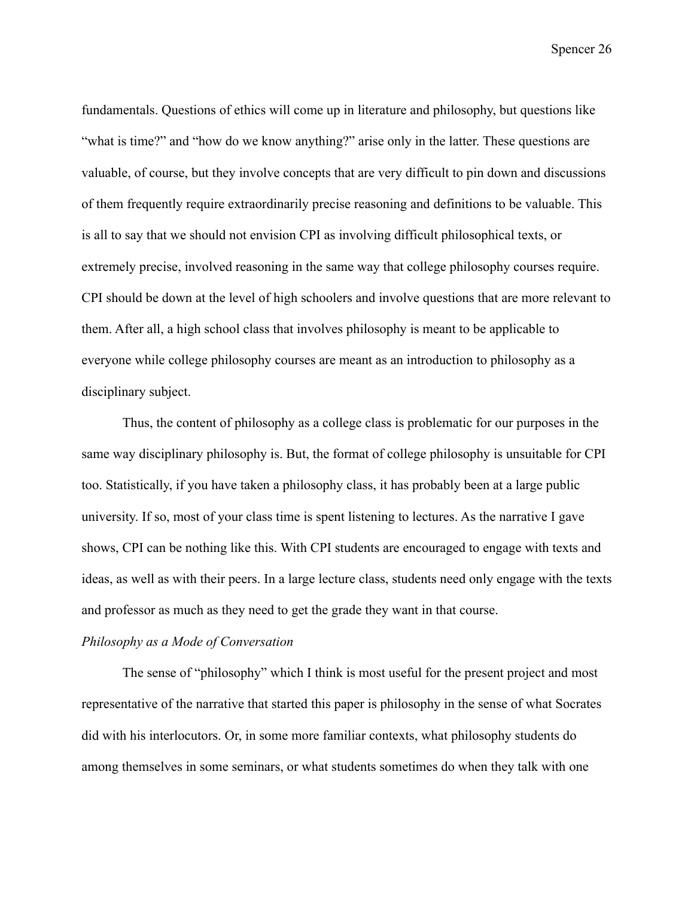fundamentals. Questions of ethics will come up in literature and philosophy, but questions like "what is time?" and "how do we know anything?" arise only in the latter. These questions are valuable, of course, but they involve concepts that are very difficult to pin down and discussions of them frequently require extraordinarily precise reasoning and definitions to be valuable. This is all to say that we should not envision CPI as involving difficult philosophical texts, or extremely precise, involved reasoning in the same way that college philosophy courses require. CPI should be down at the level of high schoolers and involve questions that are more relevant to them. After all, a high school class that involves philosophy is meant to be applicable to everyone while college philosophy courses are meant as an introduction to philosophy as a disciplinary subject.

Thus, the content of philosophy as a college class is problematic for our purposes in the same way disciplinary philosophy is. But, the format of college philosophy is unsuitable for CPI too. Statistically, if you have taken a philosophy class, it has probably been at a large public university. If so, most of your class time is spent listening to lectures. As the narrative I gave shows, CPI can be nothing like this. With CPI students are encouraged to engage with texts and ideas, as well as with their peers. In a large lecture class, students need only engage with the texts and professor as much as they need to get the grade they want in that course.

# <span id="page-30-0"></span>*Philosophy as a Mode of Conversation*

The sense of "philosophy" which I think is most useful for the present project and most representative of the narrative that started this paper is philosophy in the sense of what Socrates did with his interlocutors. Or, in some more familiar contexts, what philosophy students do among themselves in some seminars, or what students sometimes do when they talk with one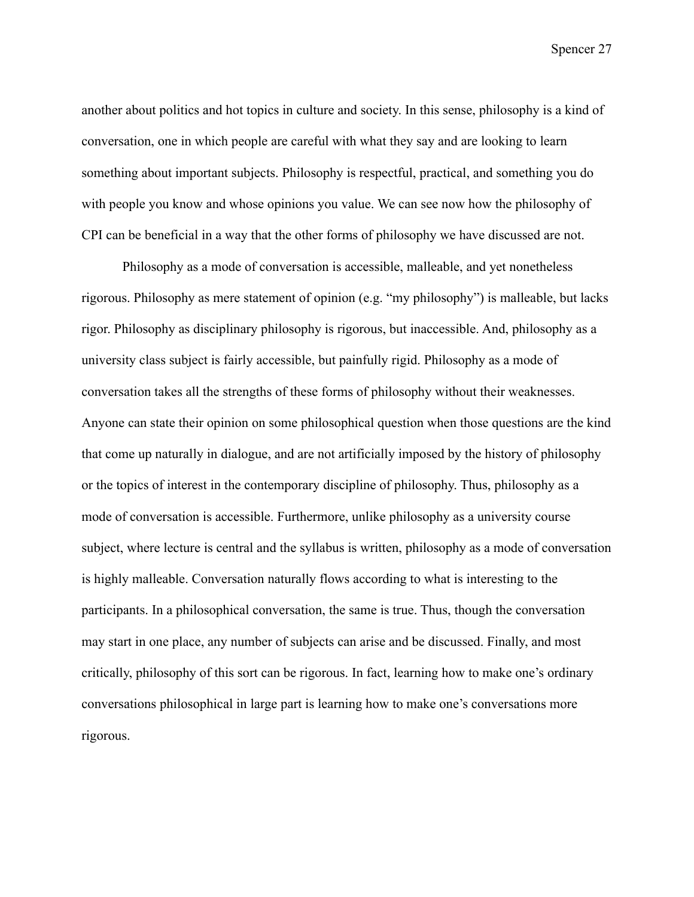another about politics and hot topics in culture and society. In this sense, philosophy is a kind of conversation, one in which people are careful with what they say and are looking to learn something about important subjects. Philosophy is respectful, practical, and something you do with people you know and whose opinions you value. We can see now how the philosophy of CPI can be beneficial in a way that the other forms of philosophy we have discussed are not.

Philosophy as a mode of conversation is accessible, malleable, and yet nonetheless rigorous. Philosophy as mere statement of opinion (e.g. "my philosophy") is malleable, but lacks rigor. Philosophy as disciplinary philosophy is rigorous, but inaccessible. And, philosophy as a university class subject is fairly accessible, but painfully rigid. Philosophy as a mode of conversation takes all the strengths of these forms of philosophy without their weaknesses. Anyone can state their opinion on some philosophical question when those questions are the kind that come up naturally in dialogue, and are not artificially imposed by the history of philosophy or the topics of interest in the contemporary discipline of philosophy. Thus, philosophy as a mode of conversation is accessible. Furthermore, unlike philosophy as a university course subject, where lecture is central and the syllabus is written, philosophy as a mode of conversation is highly malleable. Conversation naturally flows according to what is interesting to the participants. In a philosophical conversation, the same is true. Thus, though the conversation may start in one place, any number of subjects can arise and be discussed. Finally, and most critically, philosophy of this sort can be rigorous. In fact, learning how to make one's ordinary conversations philosophical in large part is learning how to make one's conversations more rigorous.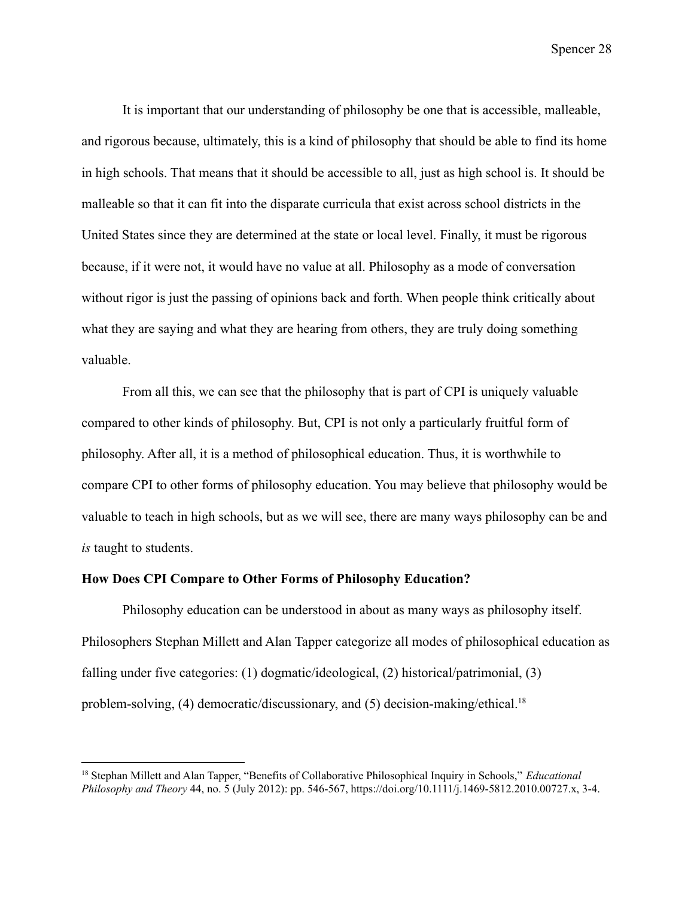It is important that our understanding of philosophy be one that is accessible, malleable, and rigorous because, ultimately, this is a kind of philosophy that should be able to find its home in high schools. That means that it should be accessible to all, just as high school is. It should be malleable so that it can fit into the disparate curricula that exist across school districts in the United States since they are determined at the state or local level. Finally, it must be rigorous because, if it were not, it would have no value at all. Philosophy as a mode of conversation without rigor is just the passing of opinions back and forth. When people think critically about what they are saying and what they are hearing from others, they are truly doing something valuable.

From all this, we can see that the philosophy that is part of CPI is uniquely valuable compared to other kinds of philosophy. But, CPI is not only a particularly fruitful form of philosophy. After all, it is a method of philosophical education. Thus, it is worthwhile to compare CPI to other forms of philosophy education. You may believe that philosophy would be valuable to teach in high schools, but as we will see, there are many ways philosophy can be and *is* taught to students.

# <span id="page-32-0"></span>**How Does CPI Compare to Other Forms of Philosophy Education?**

Philosophy education can be understood in about as many ways as philosophy itself. Philosophers Stephan Millett and Alan Tapper categorize all modes of philosophical education as falling under five categories: (1) dogmatic/ideological, (2) historical/patrimonial, (3) problem-solving, (4) democratic/discussionary, and (5) decision-making/ethical.<sup>18</sup>

<sup>18</sup> Stephan Millett and Alan Tapper, "Benefits of Collaborative Philosophical Inquiry in Schools," *Educational Philosophy and Theory* 44, no. 5 (July 2012): pp. 546-567, https://doi.org/10.1111/j.1469-5812.2010.00727.x, 3-4.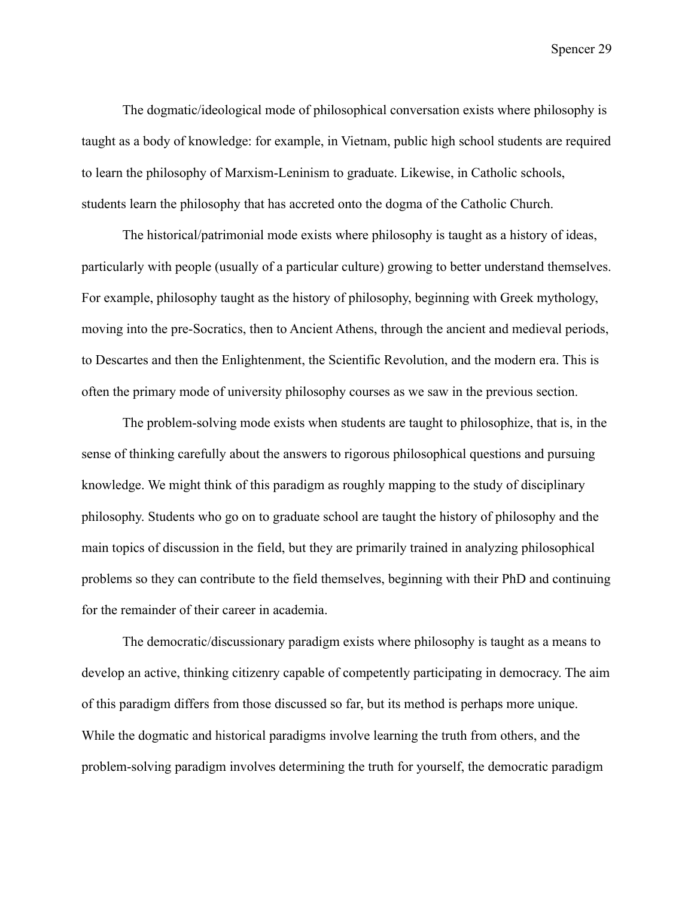The dogmatic/ideological mode of philosophical conversation exists where philosophy is taught as a body of knowledge: for example, in Vietnam, public high school students are required to learn the philosophy of Marxism-Leninism to graduate. Likewise, in Catholic schools, students learn the philosophy that has accreted onto the dogma of the Catholic Church.

The historical/patrimonial mode exists where philosophy is taught as a history of ideas, particularly with people (usually of a particular culture) growing to better understand themselves. For example, philosophy taught as the history of philosophy, beginning with Greek mythology, moving into the pre-Socratics, then to Ancient Athens, through the ancient and medieval periods, to Descartes and then the Enlightenment, the Scientific Revolution, and the modern era. This is often the primary mode of university philosophy courses as we saw in the previous section.

The problem-solving mode exists when students are taught to philosophize, that is, in the sense of thinking carefully about the answers to rigorous philosophical questions and pursuing knowledge. We might think of this paradigm as roughly mapping to the study of disciplinary philosophy. Students who go on to graduate school are taught the history of philosophy and the main topics of discussion in the field, but they are primarily trained in analyzing philosophical problems so they can contribute to the field themselves, beginning with their PhD and continuing for the remainder of their career in academia.

The democratic/discussionary paradigm exists where philosophy is taught as a means to develop an active, thinking citizenry capable of competently participating in democracy. The aim of this paradigm differs from those discussed so far, but its method is perhaps more unique. While the dogmatic and historical paradigms involve learning the truth from others, and the problem-solving paradigm involves determining the truth for yourself, the democratic paradigm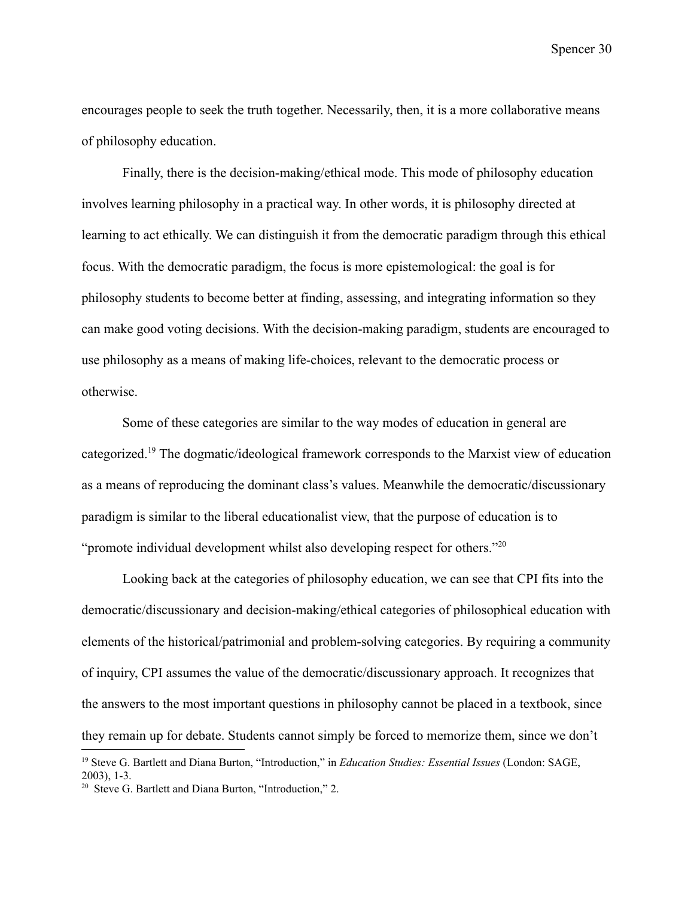encourages people to seek the truth together. Necessarily, then, it is a more collaborative means of philosophy education.

Finally, there is the decision-making/ethical mode. This mode of philosophy education involves learning philosophy in a practical way. In other words, it is philosophy directed at learning to act ethically. We can distinguish it from the democratic paradigm through this ethical focus. With the democratic paradigm, the focus is more epistemological: the goal is for philosophy students to become better at finding, assessing, and integrating information so they can make good voting decisions. With the decision-making paradigm, students are encouraged to use philosophy as a means of making life-choices, relevant to the democratic process or otherwise.

Some of these categories are similar to the way modes of education in general are categorized.<sup>19</sup> The dogmatic/ideological framework corresponds to the Marxist view of education as a means of reproducing the dominant class's values. Meanwhile the democratic/discussionary paradigm is similar to the liberal educationalist view, that the purpose of education is to "promote individual development whilst also developing respect for others."<sup>20</sup>

Looking back at the categories of philosophy education, we can see that CPI fits into the democratic/discussionary and decision-making/ethical categories of philosophical education with elements of the historical/patrimonial and problem-solving categories. By requiring a community of inquiry, CPI assumes the value of the democratic/discussionary approach. It recognizes that the answers to the most important questions in philosophy cannot be placed in a textbook, since they remain up for debate. Students cannot simply be forced to memorize them, since we don't

<sup>19</sup> Steve G. Bartlett and Diana Burton, "Introduction," in *Education Studies: Essential Issues* (London: SAGE, 2003), 1-3.

<sup>&</sup>lt;sup>20</sup> Steve G. Bartlett and Diana Burton, "Introduction," 2.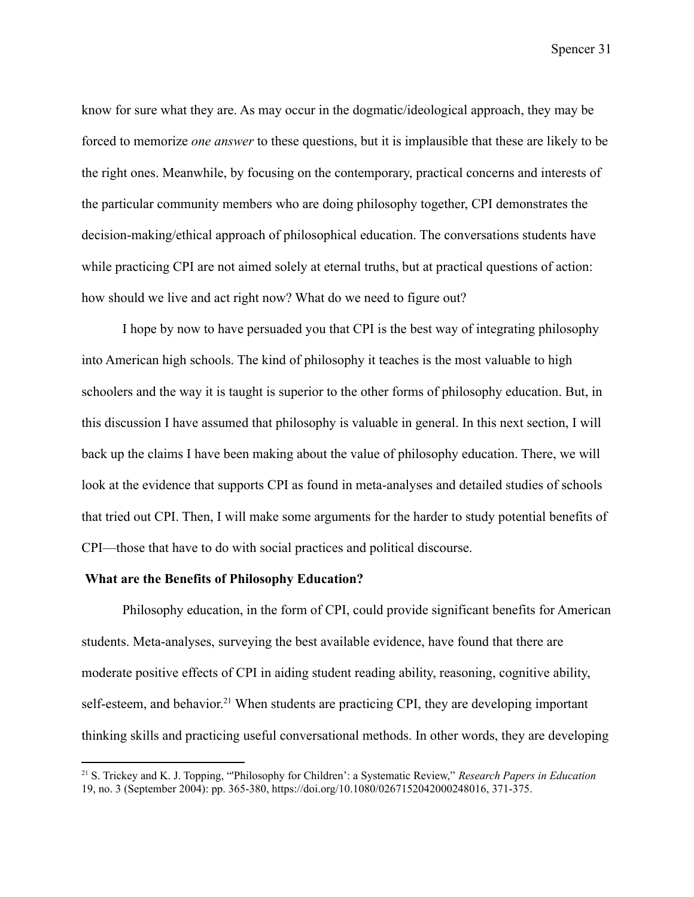know for sure what they are. As may occur in the dogmatic/ideological approach, they may be forced to memorize *one answer* to these questions, but it is implausible that these are likely to be the right ones. Meanwhile, by focusing on the contemporary, practical concerns and interests of the particular community members who are doing philosophy together, CPI demonstrates the decision-making/ethical approach of philosophical education. The conversations students have while practicing CPI are not aimed solely at eternal truths, but at practical questions of action: how should we live and act right now? What do we need to figure out?

I hope by now to have persuaded you that CPI is the best way of integrating philosophy into American high schools. The kind of philosophy it teaches is the most valuable to high schoolers and the way it is taught is superior to the other forms of philosophy education. But, in this discussion I have assumed that philosophy is valuable in general. In this next section, I will back up the claims I have been making about the value of philosophy education. There, we will look at the evidence that supports CPI as found in meta-analyses and detailed studies of schools that tried out CPI. Then, I will make some arguments for the harder to study potential benefits of CPI—those that have to do with social practices and political discourse.

## <span id="page-35-0"></span>**What are the Benefits of Philosophy Education?**

Philosophy education, in the form of CPI, could provide significant benefits for American students. Meta-analyses, surveying the best available evidence, have found that there are moderate positive effects of CPI in aiding student reading ability, reasoning, cognitive ability, self-esteem, and behavior.<sup>21</sup> When students are practicing CPI, they are developing important thinking skills and practicing useful conversational methods. In other words, they are developing

<sup>21</sup> S. Trickey and K. J. Topping, "'Philosophy for Children': a Systematic Review," *Research Papers in Education* 19, no. 3 (September 2004): pp. 365-380, https://doi.org/10.1080/0267152042000248016, 371-375.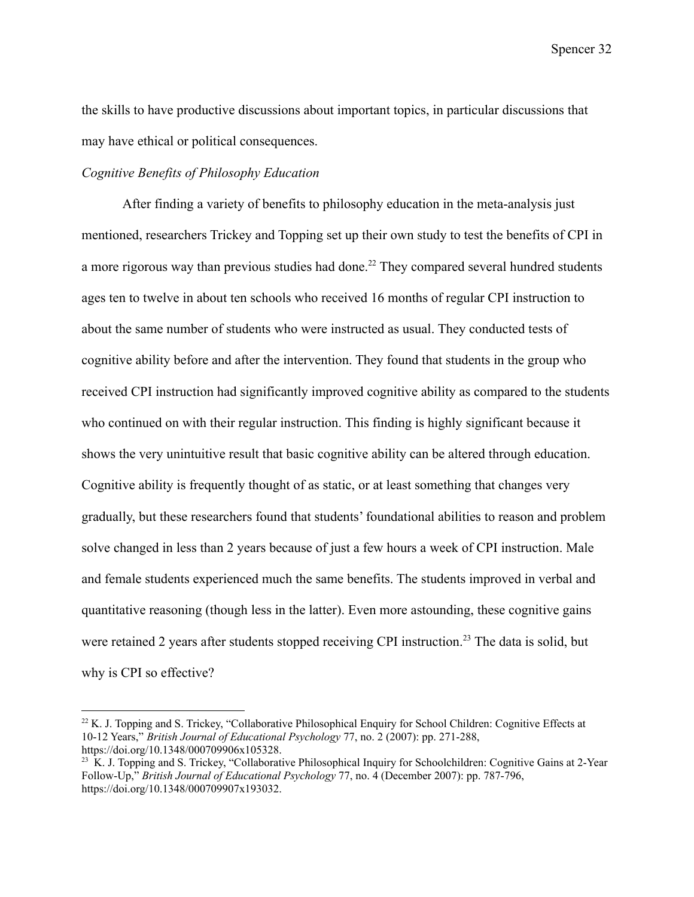the skills to have productive discussions about important topics, in particular discussions that may have ethical or political consequences.

### *Cognitive Benefits of Philosophy Education*

After finding a variety of benefits to philosophy education in the meta-analysis just mentioned, researchers Trickey and Topping set up their own study to test the benefits of CPI in a more rigorous way than previous studies had done.<sup>22</sup> They compared several hundred students ages ten to twelve in about ten schools who received 16 months of regular CPI instruction to about the same number of students who were instructed as usual. They conducted tests of cognitive ability before and after the intervention. They found that students in the group who received CPI instruction had significantly improved cognitive ability as compared to the students who continued on with their regular instruction. This finding is highly significant because it shows the very unintuitive result that basic cognitive ability can be altered through education. Cognitive ability is frequently thought of as static, or at least something that changes very gradually, but these researchers found that students' foundational abilities to reason and problem solve changed in less than 2 years because of just a few hours a week of CPI instruction. Male and female students experienced much the same benefits. The students improved in verbal and quantitative reasoning (though less in the latter). Even more astounding, these cognitive gains were retained 2 years after students stopped receiving CPI instruction.<sup>23</sup> The data is solid, but why is CPI so effective?

<sup>&</sup>lt;sup>22</sup> K. J. Topping and S. Trickey, "Collaborative Philosophical Enquiry for School Children: Cognitive Effects at 10-12 Years," *British Journal of Educational Psychology* 77, no. 2 (2007): pp. 271-288, https://doi.org/10.1348/000709906x105328.

<sup>&</sup>lt;sup>23</sup> K. J. Topping and S. Trickey, "Collaborative Philosophical Inquiry for Schoolchildren: Cognitive Gains at 2-Year Follow-Up," *British Journal of Educational Psychology* 77, no. 4 (December 2007): pp. 787-796, https://doi.org/10.1348/000709907x193032.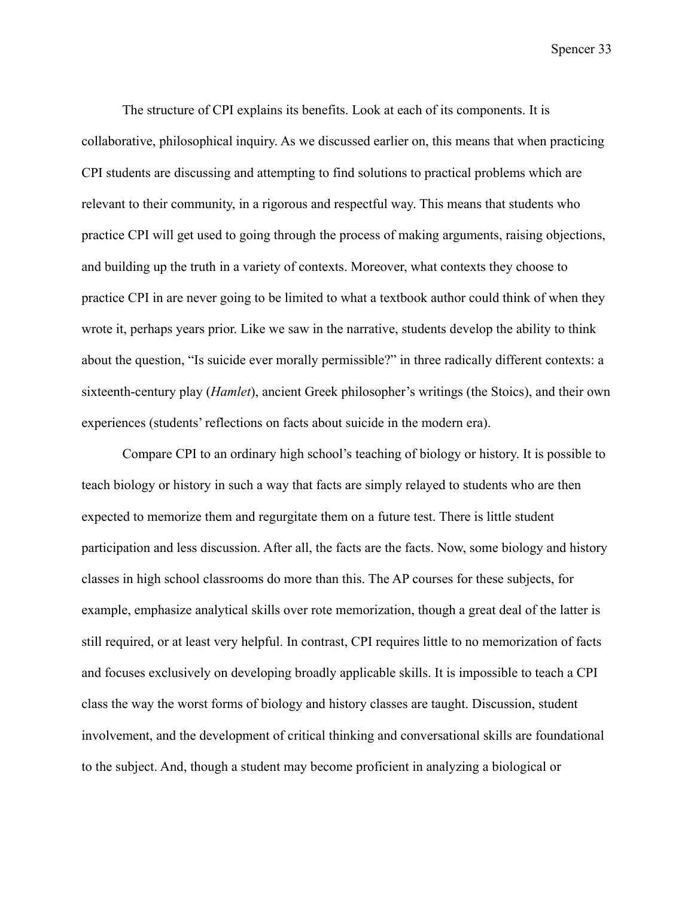The structure of CPI explains its benefits. Look at each of its components. It is collaborative, philosophical inquiry. As we discussed earlier on, this means that when practicing CPI students are discussing and attempting to find solutions to practical problems which are relevant to their community, in a rigorous and respectful way. This means that students who practice CPI will get used to going through the process of making arguments, raising objections, and building up the truth in a variety of contexts. Moreover, what contexts they choose to practice CPI in are never going to be limited to what a textbook author could think of when they wrote it, perhaps years prior. Like we saw in the narrative, students develop the ability to think about the question, "Is suicide ever morally permissible?" in three radically different contexts: a sixteenth-century play (*Hamlet*), ancient Greek philosopher's writings (the Stoics), and their own experiences (students' reflections on facts about suicide in the modern era).

Compare CPI to an ordinary high school's teaching of biology or history. It is possible to teach biology or history in such a way that facts are simply relayed to students who are then expected to memorize them and regurgitate them on a future test. There is little student participation and less discussion. After all, the facts are the facts. Now, some biology and history classes in high school classrooms do more than this. The AP courses for these subjects, for example, emphasize analytical skills over rote memorization, though a great deal of the latter is still required, or at least very helpful. In contrast, CPI requires little to no memorization of facts and focuses exclusively on developing broadly applicable skills. It is impossible to teach a CPI class the way the worst forms of biology and history classes are taught. Discussion, student involvement, and the development of critical thinking and conversational skills are foundational to the subject. And, though a student may become proficient in analyzing a biological or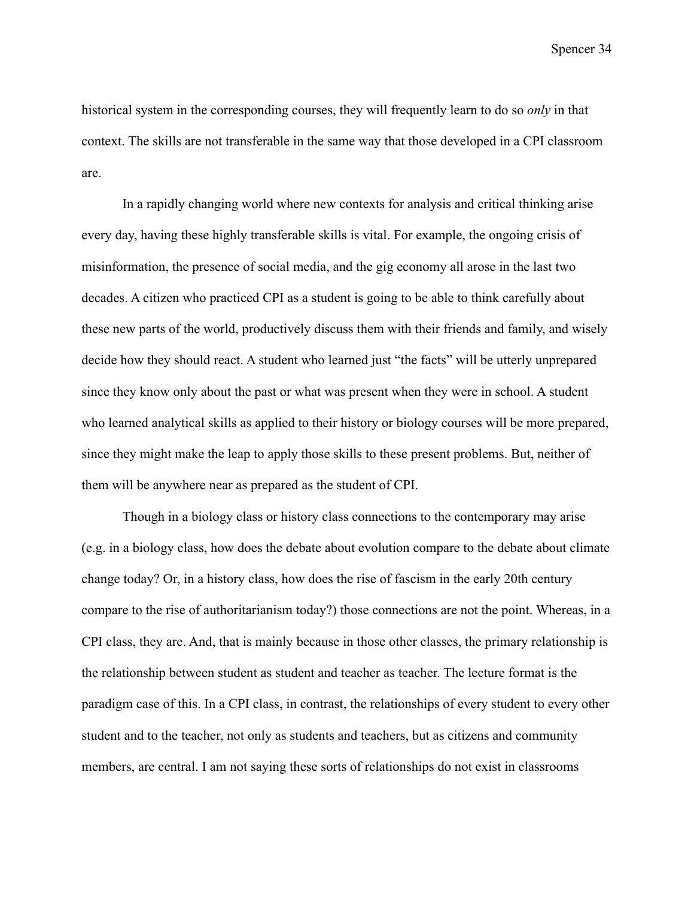historical system in the corresponding courses, they will frequently learn to do so *only* in that context. The skills are not transferable in the same way that those developed in a CPI classroom are.

In a rapidly changing world where new contexts for analysis and critical thinking arise every day, having these highly transferable skills is vital. For example, the ongoing crisis of misinformation, the presence of social media, and the gig economy all arose in the last two decades. A citizen who practiced CPI as a student is going to be able to think carefully about these new parts of the world, productively discuss them with their friends and family, and wisely decide how they should react. A student who learned just "the facts" will be utterly unprepared since they know only about the past or what was present when they were in school. A student who learned analytical skills as applied to their history or biology courses will be more prepared, since they might make the leap to apply those skills to these present problems. But, neither of them will be anywhere near as prepared as the student of CPI.

Though in a biology class or history class connections to the contemporary may arise (e.g. in a biology class, how does the debate about evolution compare to the debate about climate change today? Or, in a history class, how does the rise of fascism in the early 20th century compare to the rise of authoritarianism today?) those connections are not the point. Whereas, in a CPI class, they are. And, that is mainly because in those other classes, the primary relationship is the relationship between student as student and teacher as teacher. The lecture format is the paradigm case of this. In a CPI class, in contrast, the relationships of every student to every other student and to the teacher, not only as students and teachers, but as citizens and community members, are central. I am not saying these sorts of relationships do not exist in classrooms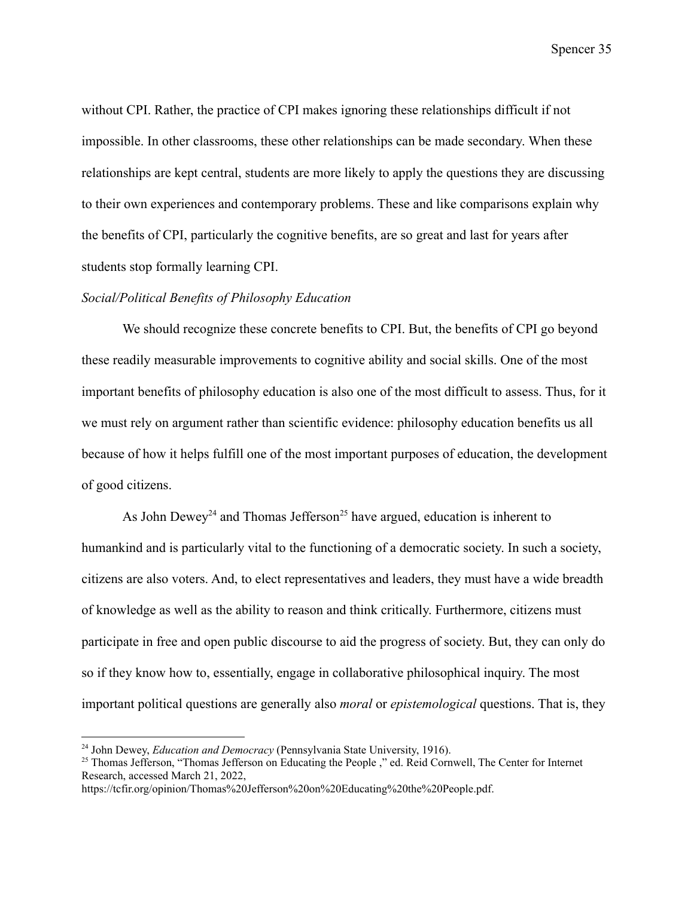without CPI. Rather, the practice of CPI makes ignoring these relationships difficult if not impossible. In other classrooms, these other relationships can be made secondary. When these relationships are kept central, students are more likely to apply the questions they are discussing to their own experiences and contemporary problems. These and like comparisons explain why the benefits of CPI, particularly the cognitive benefits, are so great and last for years after students stop formally learning CPI.

### *Social/Political Benefits of Philosophy Education*

We should recognize these concrete benefits to CPI. But, the benefits of CPI go beyond these readily measurable improvements to cognitive ability and social skills. One of the most important benefits of philosophy education is also one of the most difficult to assess. Thus, for it we must rely on argument rather than scientific evidence: philosophy education benefits us all because of how it helps fulfill one of the most important purposes of education, the development of good citizens.

As John Dewey<sup>24</sup> and Thomas Jefferson<sup>25</sup> have argued, education is inherent to humankind and is particularly vital to the functioning of a democratic society. In such a society, citizens are also voters. And, to elect representatives and leaders, they must have a wide breadth of knowledge as well as the ability to reason and think critically. Furthermore, citizens must participate in free and open public discourse to aid the progress of society. But, they can only do so if they know how to, essentially, engage in collaborative philosophical inquiry. The most important political questions are generally also *moral* or *epistemological* questions. That is, they

<sup>24</sup> John Dewey, *Education and Democracy* (Pennsylvania State University, 1916).

<sup>&</sup>lt;sup>25</sup> Thomas Jefferson, "Thomas Jefferson on Educating the People," ed. Reid Cornwell, The Center for Internet Research, accessed March 21, 2022,

https://tcfir.org/opinion/Thomas%20Jefferson%20on%20Educating%20the%20People.pdf.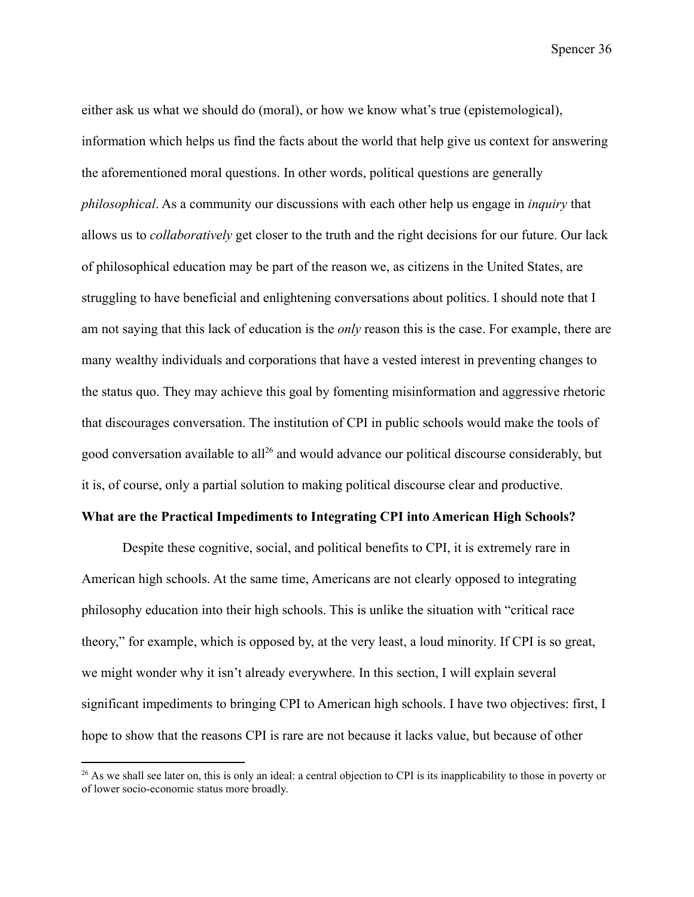either ask us what we should do (moral), or how we know what's true (epistemological), information which helps us find the facts about the world that help give us context for answering the aforementioned moral questions. In other words, political questions are generally *philosophical*. As a community our discussions with each other help us engage in *inquiry* that allows us to *collaboratively* get closer to the truth and the right decisions for our future. Our lack of philosophical education may be part of the reason we, as citizens in the United States, are struggling to have beneficial and enlightening conversations about politics. I should note that I am not saying that this lack of education is the *only* reason this is the case. For example, there are many wealthy individuals and corporations that have a vested interest in preventing changes to the status quo. They may achieve this goal by fomenting misinformation and aggressive rhetoric that discourages conversation. The institution of CPI in public schools would make the tools of good conversation available to all<sup>26</sup> and would advance our political discourse considerably, but it is, of course, only a partial solution to making political discourse clear and productive.

## **What are the Practical Impediments to Integrating CPI into American High Schools?**

Despite these cognitive, social, and political benefits to CPI, it is extremely rare in American high schools. At the same time, Americans are not clearly opposed to integrating philosophy education into their high schools. This is unlike the situation with "critical race theory," for example, which is opposed by, at the very least, a loud minority. If CPI is so great, we might wonder why it isn't already everywhere. In this section, I will explain several significant impediments to bringing CPI to American high schools. I have two objectives: first, I hope to show that the reasons CPI is rare are not because it lacks value, but because of other

 $^{26}$  As we shall see later on, this is only an ideal: a central objection to CPI is its inapplicability to those in poverty or of lower socio-economic status more broadly.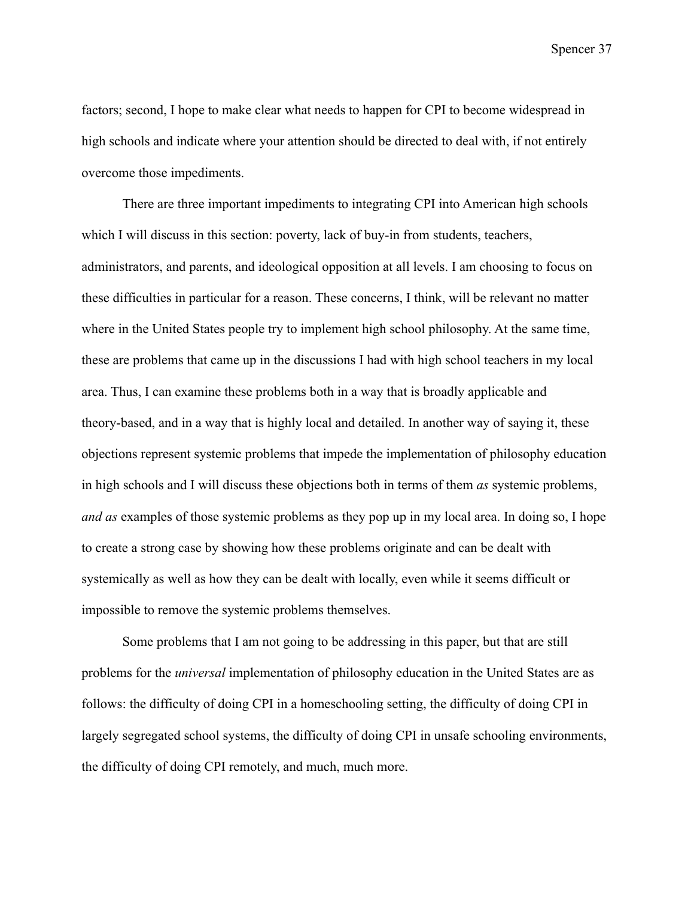factors; second, I hope to make clear what needs to happen for CPI to become widespread in high schools and indicate where your attention should be directed to deal with, if not entirely overcome those impediments.

There are three important impediments to integrating CPI into American high schools which I will discuss in this section: poverty, lack of buy-in from students, teachers, administrators, and parents, and ideological opposition at all levels. I am choosing to focus on these difficulties in particular for a reason. These concerns, I think, will be relevant no matter where in the United States people try to implement high school philosophy. At the same time, these are problems that came up in the discussions I had with high school teachers in my local area. Thus, I can examine these problems both in a way that is broadly applicable and theory-based, and in a way that is highly local and detailed. In another way of saying it, these objections represent systemic problems that impede the implementation of philosophy education in high schools and I will discuss these objections both in terms of them *as* systemic problems, *and as* examples of those systemic problems as they pop up in my local area. In doing so, I hope to create a strong case by showing how these problems originate and can be dealt with systemically as well as how they can be dealt with locally, even while it seems difficult or impossible to remove the systemic problems themselves.

Some problems that I am not going to be addressing in this paper, but that are still problems for the *universal* implementation of philosophy education in the United States are as follows: the difficulty of doing CPI in a homeschooling setting, the difficulty of doing CPI in largely segregated school systems, the difficulty of doing CPI in unsafe schooling environments, the difficulty of doing CPI remotely, and much, much more.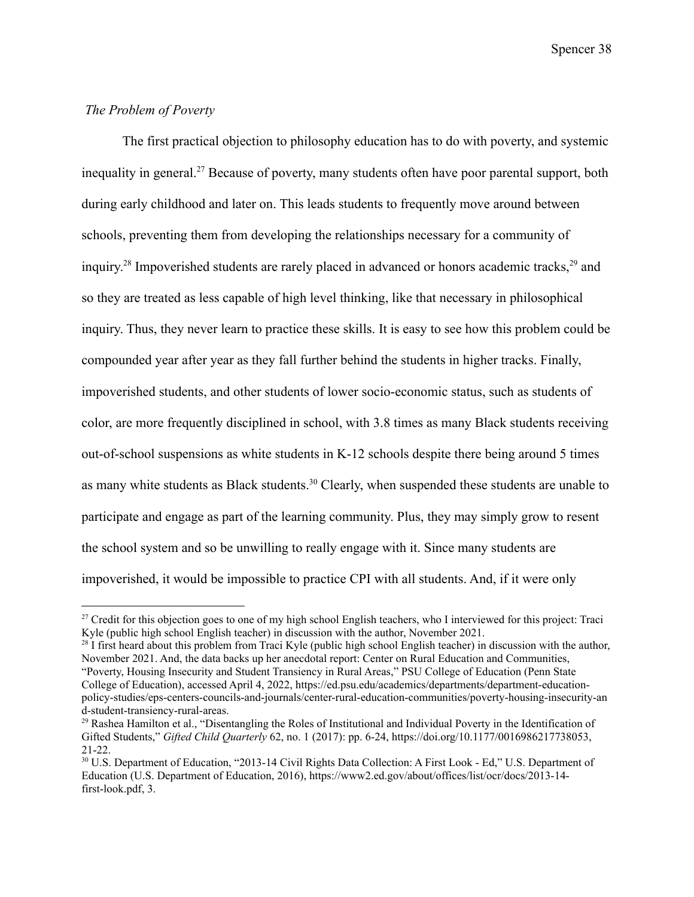## *The Problem of Poverty*

The first practical objection to philosophy education has to do with poverty, and systemic inequality in general.<sup>27</sup> Because of poverty, many students often have poor parental support, both during early childhood and later on. This leads students to frequently move around between schools, preventing them from developing the relationships necessary for a community of inquiry.<sup>28</sup> Impoverished students are rarely placed in advanced or honors academic tracks,<sup>29</sup> and so they are treated as less capable of high level thinking, like that necessary in philosophical inquiry. Thus, they never learn to practice these skills. It is easy to see how this problem could be compounded year after year as they fall further behind the students in higher tracks. Finally, impoverished students, and other students of lower socio-economic status, such as students of color, are more frequently disciplined in school, with 3.8 times as many Black students receiving out-of-school suspensions as white students in K-12 schools despite there being around 5 times as many white students as Black students.<sup>30</sup> Clearly, when suspended these students are unable to participate and engage as part of the learning community. Plus, they may simply grow to resent the school system and so be unwilling to really engage with it. Since many students are impoverished, it would be impossible to practice CPI with all students. And, if it were only

<sup>&</sup>lt;sup>27</sup> Credit for this objection goes to one of my high school English teachers, who I interviewed for this project: Traci Kyle (public high school English teacher) in discussion with the author, November 2021.

 $28$  I first heard about this problem from Traci Kyle (public high school English teacher) in discussion with the author, November 2021. And, the data backs up her anecdotal report: Center on Rural Education and Communities, "Poverty, Housing Insecurity and Student Transiency in Rural Areas," PSU College of Education (Penn State College of Education), accessed April 4, 2022, https://ed.psu.edu/academics/departments/department-educationpolicy-studies/eps-centers-councils-and-journals/center-rural-education-communities/poverty-housing-insecurity-an d-student-transiency-rural-areas.

<sup>&</sup>lt;sup>29</sup> Rashea Hamilton et al., "Disentangling the Roles of Institutional and Individual Poverty in the Identification of Gifted Students," *Gifted Child Quarterly* 62, no. 1 (2017): pp. 6-24, https://doi.org/10.1177/0016986217738053, 21-22.

<sup>30</sup> U.S. Department of Education, "2013-14 Civil Rights Data Collection: A First Look - Ed," U.S. Department of Education (U.S. Department of Education, 2016), https://www2.ed.gov/about/offices/list/ocr/docs/2013-14 first-look.pdf, 3.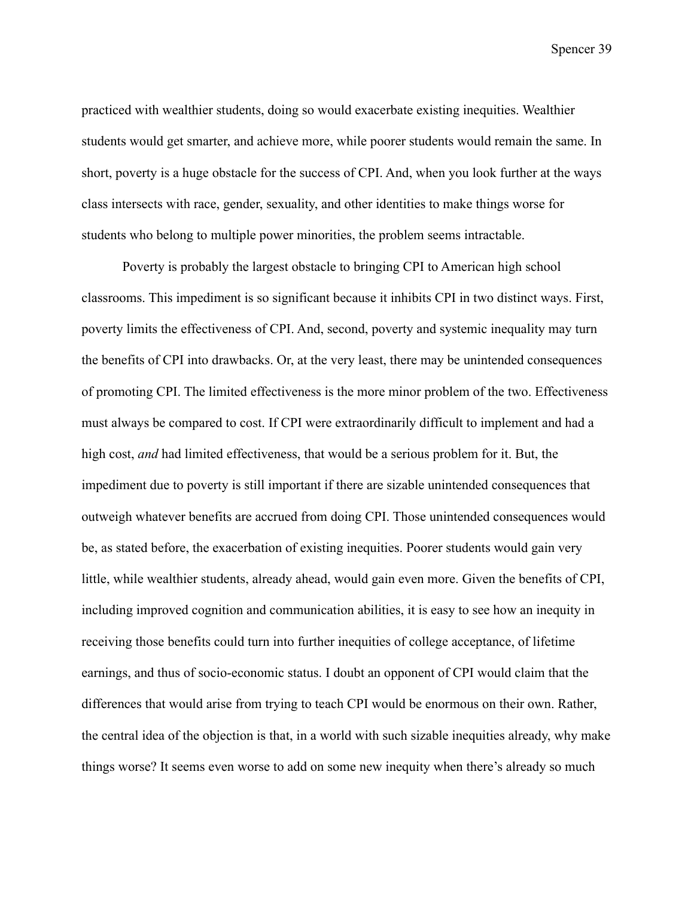practiced with wealthier students, doing so would exacerbate existing inequities. Wealthier students would get smarter, and achieve more, while poorer students would remain the same. In short, poverty is a huge obstacle for the success of CPI. And, when you look further at the ways class intersects with race, gender, sexuality, and other identities to make things worse for students who belong to multiple power minorities, the problem seems intractable.

Poverty is probably the largest obstacle to bringing CPI to American high school classrooms. This impediment is so significant because it inhibits CPI in two distinct ways. First, poverty limits the effectiveness of CPI. And, second, poverty and systemic inequality may turn the benefits of CPI into drawbacks. Or, at the very least, there may be unintended consequences of promoting CPI. The limited effectiveness is the more minor problem of the two. Effectiveness must always be compared to cost. If CPI were extraordinarily difficult to implement and had a high cost, *and* had limited effectiveness, that would be a serious problem for it. But, the impediment due to poverty is still important if there are sizable unintended consequences that outweigh whatever benefits are accrued from doing CPI. Those unintended consequences would be, as stated before, the exacerbation of existing inequities. Poorer students would gain very little, while wealthier students, already ahead, would gain even more. Given the benefits of CPI, including improved cognition and communication abilities, it is easy to see how an inequity in receiving those benefits could turn into further inequities of college acceptance, of lifetime earnings, and thus of socio-economic status. I doubt an opponent of CPI would claim that the differences that would arise from trying to teach CPI would be enormous on their own. Rather, the central idea of the objection is that, in a world with such sizable inequities already, why make things worse? It seems even worse to add on some new inequity when there's already so much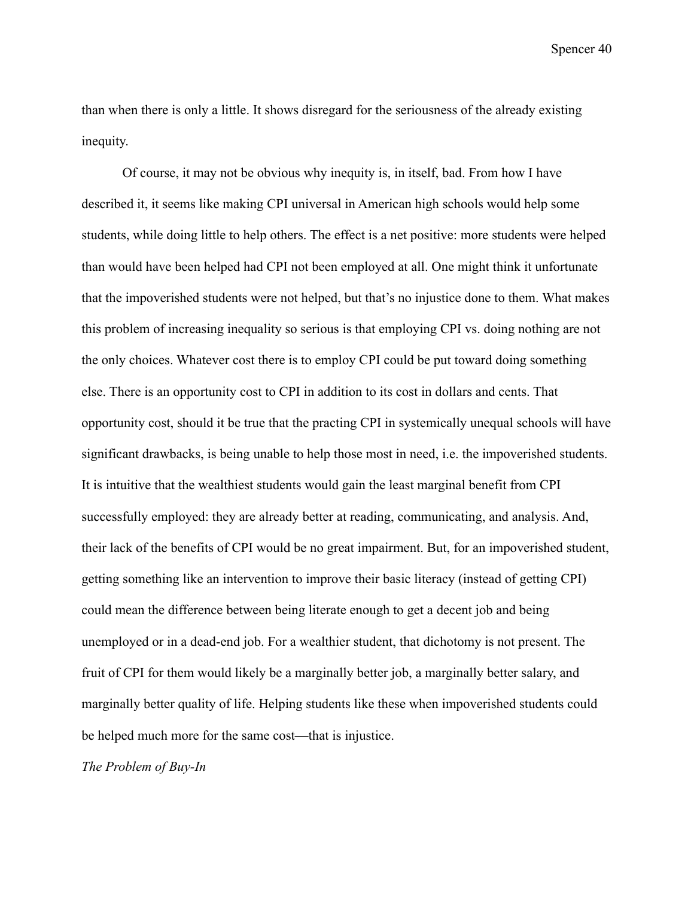than when there is only a little. It shows disregard for the seriousness of the already existing inequity.

Of course, it may not be obvious why inequity is, in itself, bad. From how I have described it, it seems like making CPI universal in American high schools would help some students, while doing little to help others. The effect is a net positive: more students were helped than would have been helped had CPI not been employed at all. One might think it unfortunate that the impoverished students were not helped, but that's no injustice done to them. What makes this problem of increasing inequality so serious is that employing CPI vs. doing nothing are not the only choices. Whatever cost there is to employ CPI could be put toward doing something else. There is an opportunity cost to CPI in addition to its cost in dollars and cents. That opportunity cost, should it be true that the practing CPI in systemically unequal schools will have significant drawbacks, is being unable to help those most in need, i.e. the impoverished students. It is intuitive that the wealthiest students would gain the least marginal benefit from CPI successfully employed: they are already better at reading, communicating, and analysis. And, their lack of the benefits of CPI would be no great impairment. But, for an impoverished student, getting something like an intervention to improve their basic literacy (instead of getting CPI) could mean the difference between being literate enough to get a decent job and being unemployed or in a dead-end job. For a wealthier student, that dichotomy is not present. The fruit of CPI for them would likely be a marginally better job, a marginally better salary, and marginally better quality of life. Helping students like these when impoverished students could be helped much more for the same cost—that is injustice.

*The Problem of Buy-In*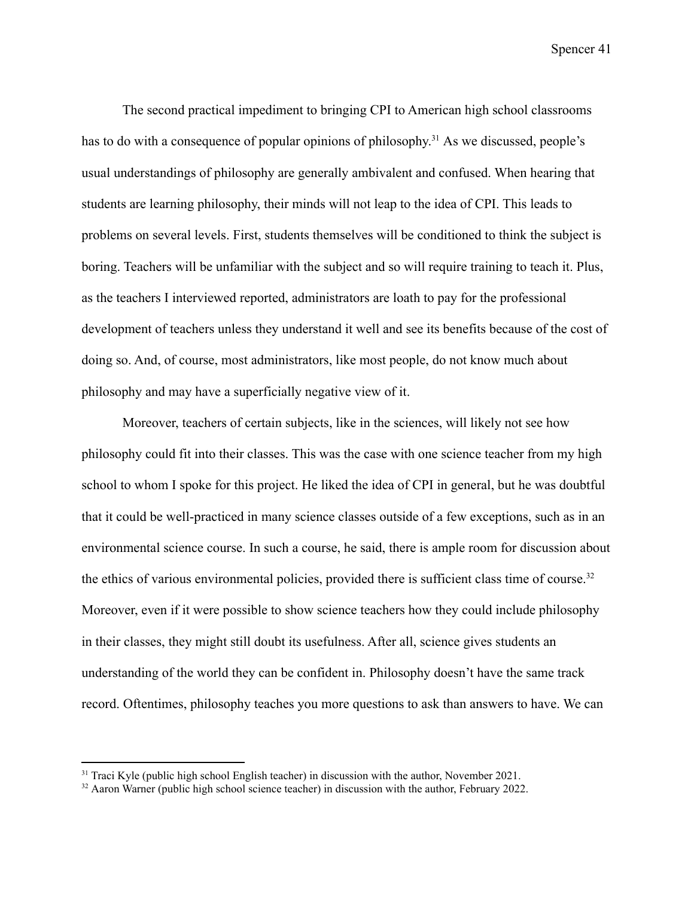The second practical impediment to bringing CPI to American high school classrooms has to do with a consequence of popular opinions of philosophy.<sup>31</sup> As we discussed, people's usual understandings of philosophy are generally ambivalent and confused. When hearing that students are learning philosophy, their minds will not leap to the idea of CPI. This leads to problems on several levels. First, students themselves will be conditioned to think the subject is boring. Teachers will be unfamiliar with the subject and so will require training to teach it. Plus, as the teachers I interviewed reported, administrators are loath to pay for the professional development of teachers unless they understand it well and see its benefits because of the cost of doing so. And, of course, most administrators, like most people, do not know much about philosophy and may have a superficially negative view of it.

Moreover, teachers of certain subjects, like in the sciences, will likely not see how philosophy could fit into their classes. This was the case with one science teacher from my high school to whom I spoke for this project. He liked the idea of CPI in general, but he was doubtful that it could be well-practiced in many science classes outside of a few exceptions, such as in an environmental science course. In such a course, he said, there is ample room for discussion about the ethics of various environmental policies, provided there is sufficient class time of course.<sup>32</sup> Moreover, even if it were possible to show science teachers how they could include philosophy in their classes, they might still doubt its usefulness. After all, science gives students an understanding of the world they can be confident in. Philosophy doesn't have the same track record. Oftentimes, philosophy teaches you more questions to ask than answers to have. We can

<sup>&</sup>lt;sup>31</sup> Traci Kyle (public high school English teacher) in discussion with the author, November 2021.

<sup>&</sup>lt;sup>32</sup> Aaron Warner (public high school science teacher) in discussion with the author, February 2022.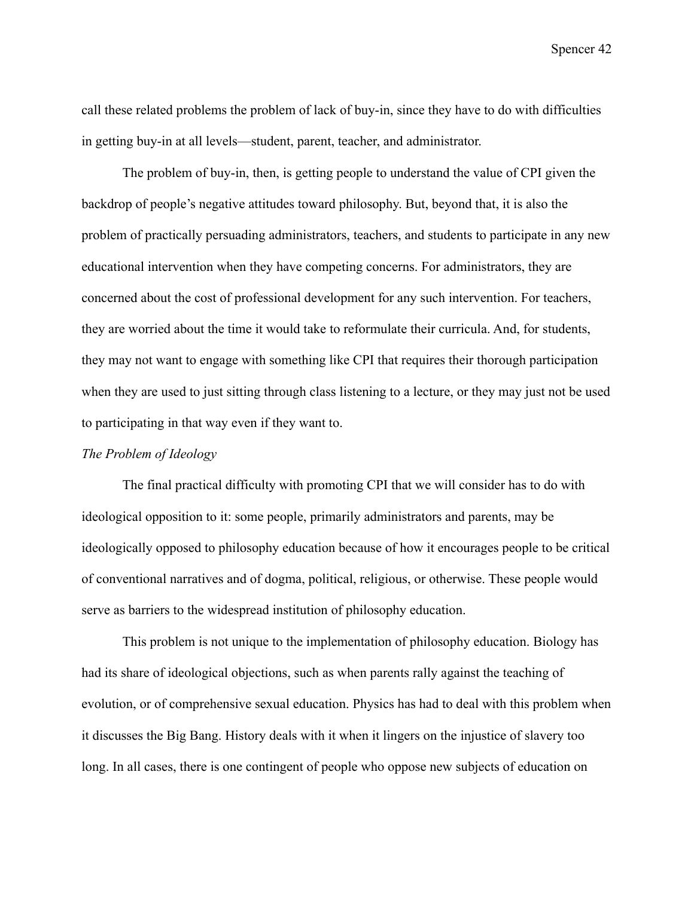call these related problems the problem of lack of buy-in, since they have to do with difficulties in getting buy-in at all levels—student, parent, teacher, and administrator.

The problem of buy-in, then, is getting people to understand the value of CPI given the backdrop of people's negative attitudes toward philosophy. But, beyond that, it is also the problem of practically persuading administrators, teachers, and students to participate in any new educational intervention when they have competing concerns. For administrators, they are concerned about the cost of professional development for any such intervention. For teachers, they are worried about the time it would take to reformulate their curricula. And, for students, they may not want to engage with something like CPI that requires their thorough participation when they are used to just sitting through class listening to a lecture, or they may just not be used to participating in that way even if they want to.

# *The Problem of Ideology*

The final practical difficulty with promoting CPI that we will consider has to do with ideological opposition to it: some people, primarily administrators and parents, may be ideologically opposed to philosophy education because of how it encourages people to be critical of conventional narratives and of dogma, political, religious, or otherwise. These people would serve as barriers to the widespread institution of philosophy education.

This problem is not unique to the implementation of philosophy education. Biology has had its share of ideological objections, such as when parents rally against the teaching of evolution, or of comprehensive sexual education. Physics has had to deal with this problem when it discusses the Big Bang. History deals with it when it lingers on the injustice of slavery too long. In all cases, there is one contingent of people who oppose new subjects of education on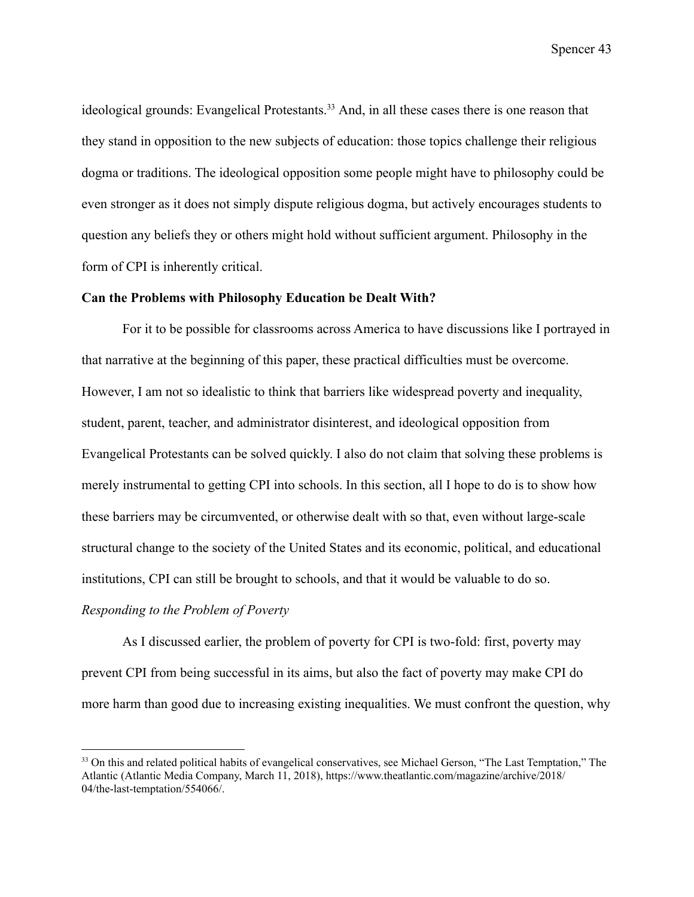ideological grounds: Evangelical Protestants.<sup>33</sup> And, in all these cases there is one reason that they stand in opposition to the new subjects of education: those topics challenge their religious dogma or traditions. The ideological opposition some people might have to philosophy could be even stronger as it does not simply dispute religious dogma, but actively encourages students to question any beliefs they or others might hold without sufficient argument. Philosophy in the form of CPI is inherently critical.

#### **Can the Problems with Philosophy Education be Dealt With?**

For it to be possible for classrooms across America to have discussions like I portrayed in that narrative at the beginning of this paper, these practical difficulties must be overcome. However, I am not so idealistic to think that barriers like widespread poverty and inequality, student, parent, teacher, and administrator disinterest, and ideological opposition from Evangelical Protestants can be solved quickly. I also do not claim that solving these problems is merely instrumental to getting CPI into schools. In this section, all I hope to do is to show how these barriers may be circumvented, or otherwise dealt with so that, even without large-scale structural change to the society of the United States and its economic, political, and educational institutions, CPI can still be brought to schools, and that it would be valuable to do so.

# *Responding to the Problem of Poverty*

As I discussed earlier, the problem of poverty for CPI is two-fold: first, poverty may prevent CPI from being successful in its aims, but also the fact of poverty may make CPI do more harm than good due to increasing existing inequalities. We must confront the question, why

<sup>&</sup>lt;sup>33</sup> On this and related political habits of evangelical conservatives, see Michael Gerson, "The Last Temptation," The Atlantic (Atlantic Media Company, March 11, 2018), https://www.theatlantic.com/magazine/archive/2018/ 04/the-last-temptation/554066/.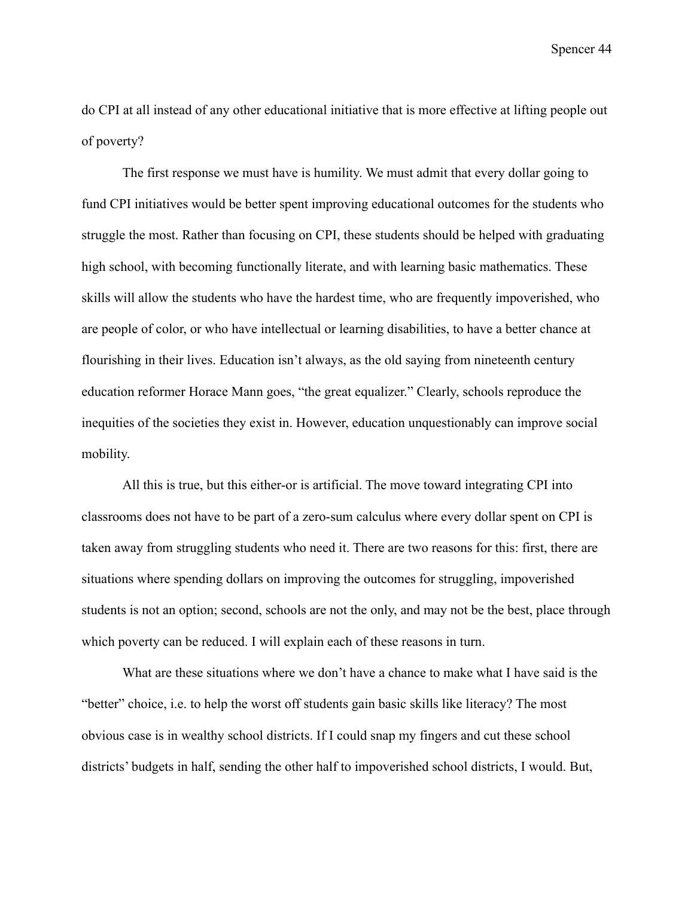do CPI at all instead of any other educational initiative that is more effective at lifting people out of poverty?

The first response we must have is humility. We must admit that every dollar going to fund CPI initiatives would be better spent improving educational outcomes for the students who struggle the most. Rather than focusing on CPI, these students should be helped with graduating high school, with becoming functionally literate, and with learning basic mathematics. These skills will allow the students who have the hardest time, who are frequently impoverished, who are people of color, or who have intellectual or learning disabilities, to have a better chance at flourishing in their lives. Education isn't always, as the old saying from nineteenth century education reformer Horace Mann goes, "the great equalizer." Clearly, schools reproduce the inequities of the societies they exist in. However, education unquestionably can improve social mobility.

All this is true, but this either-or is artificial. The move toward integrating CPI into classrooms does not have to be part of a zero-sum calculus where every dollar spent on CPI is taken away from struggling students who need it. There are two reasons for this: first, there are situations where spending dollars on improving the outcomes for struggling, impoverished students is not an option; second, schools are not the only, and may not be the best, place through which poverty can be reduced. I will explain each of these reasons in turn.

What are these situations where we don't have a chance to make what I have said is the "better" choice, i.e. to help the worst off students gain basic skills like literacy? The most obvious case is in wealthy school districts. If I could snap my fingers and cut these school districts' budgets in half, sending the other half to impoverished school districts, I would. But,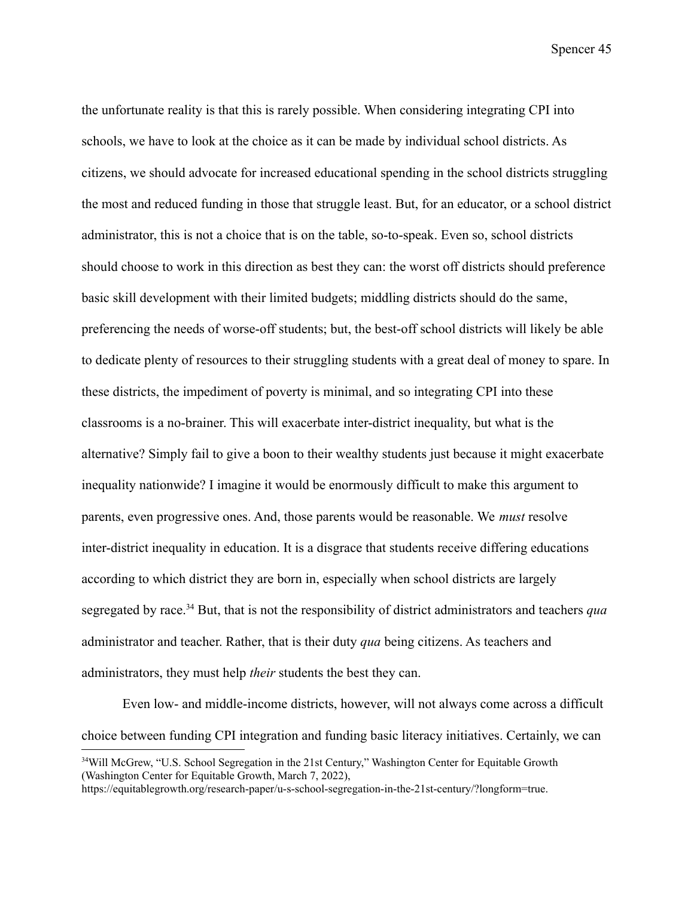the unfortunate reality is that this is rarely possible. When considering integrating CPI into schools, we have to look at the choice as it can be made by individual school districts. As citizens, we should advocate for increased educational spending in the school districts struggling the most and reduced funding in those that struggle least. But, for an educator, or a school district administrator, this is not a choice that is on the table, so-to-speak. Even so, school districts should choose to work in this direction as best they can: the worst off districts should preference basic skill development with their limited budgets; middling districts should do the same, preferencing the needs of worse-off students; but, the best-off school districts will likely be able to dedicate plenty of resources to their struggling students with a great deal of money to spare. In these districts, the impediment of poverty is minimal, and so integrating CPI into these classrooms is a no-brainer. This will exacerbate inter-district inequality, but what is the alternative? Simply fail to give a boon to their wealthy students just because it might exacerbate inequality nationwide? I imagine it would be enormously difficult to make this argument to parents, even progressive ones. And, those parents would be reasonable. We *must* resolve inter-district inequality in education. It is a disgrace that students receive differing educations according to which district they are born in, especially when school districts are largely segregated by race.<sup>34</sup> But, that is not the responsibility of district administrators and teachers *qua* administrator and teacher. Rather, that is their duty *qua* being citizens. As teachers and administrators, they must help *their* students the best they can.

Even low- and middle-income districts, however, will not always come across a difficult choice between funding CPI integration and funding basic literacy initiatives. Certainly, we can

<sup>&</sup>lt;sup>34</sup>Will McGrew, "U.S. School Segregation in the 21st Century," Washington Center for Equitable Growth (Washington Center for Equitable Growth, March 7, 2022),

https://equitablegrowth.org/research-paper/u-s-school-segregation-in-the-21st-century/?longform=true.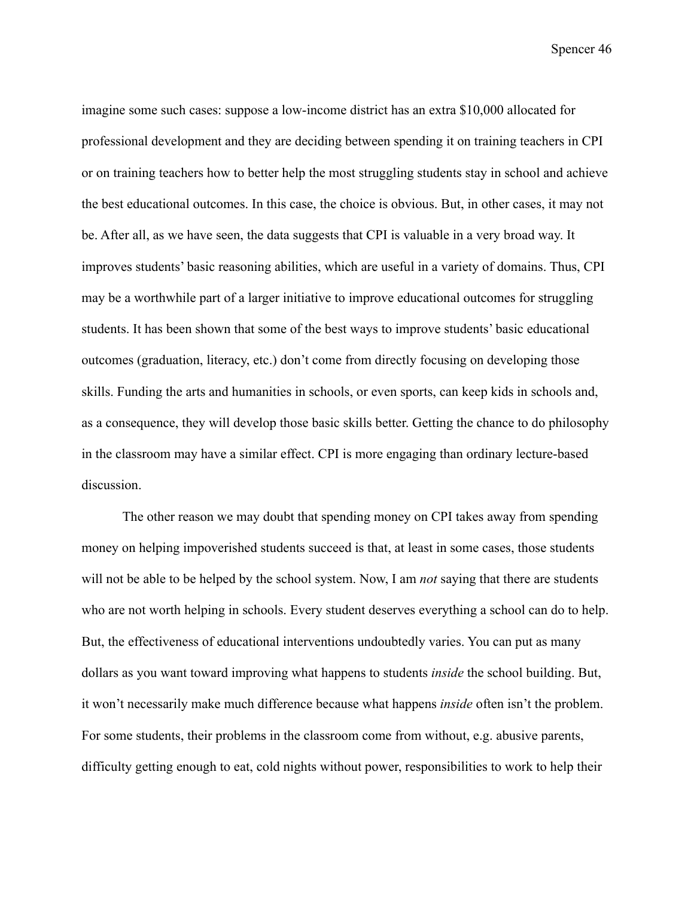imagine some such cases: suppose a low-income district has an extra \$10,000 allocated for professional development and they are deciding between spending it on training teachers in CPI or on training teachers how to better help the most struggling students stay in school and achieve the best educational outcomes. In this case, the choice is obvious. But, in other cases, it may not be. After all, as we have seen, the data suggests that CPI is valuable in a very broad way. It improves students' basic reasoning abilities, which are useful in a variety of domains. Thus, CPI may be a worthwhile part of a larger initiative to improve educational outcomes for struggling students. It has been shown that some of the best ways to improve students' basic educational outcomes (graduation, literacy, etc.) don't come from directly focusing on developing those skills. Funding the arts and humanities in schools, or even sports, can keep kids in schools and, as a consequence, they will develop those basic skills better. Getting the chance to do philosophy in the classroom may have a similar effect. CPI is more engaging than ordinary lecture-based discussion.

The other reason we may doubt that spending money on CPI takes away from spending money on helping impoverished students succeed is that, at least in some cases, those students will not be able to be helped by the school system. Now, I am *not* saying that there are students who are not worth helping in schools. Every student deserves everything a school can do to help. But, the effectiveness of educational interventions undoubtedly varies. You can put as many dollars as you want toward improving what happens to students *inside* the school building. But, it won't necessarily make much difference because what happens *inside* often isn't the problem. For some students, their problems in the classroom come from without, e.g. abusive parents, difficulty getting enough to eat, cold nights without power, responsibilities to work to help their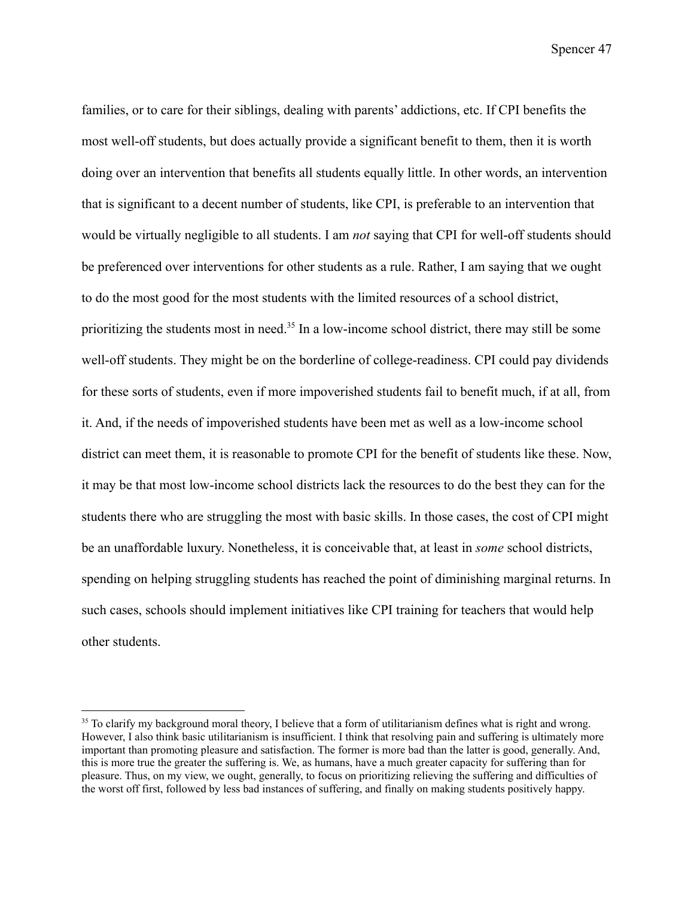families, or to care for their siblings, dealing with parents' addictions, etc. If CPI benefits the most well-off students, but does actually provide a significant benefit to them, then it is worth doing over an intervention that benefits all students equally little. In other words, an intervention that is significant to a decent number of students, like CPI, is preferable to an intervention that would be virtually negligible to all students. I am *not* saying that CPI for well-off students should be preferenced over interventions for other students as a rule. Rather, I am saying that we ought to do the most good for the most students with the limited resources of a school district, prioritizing the students most in need.<sup>35</sup> In a low-income school district, there may still be some well-off students. They might be on the borderline of college-readiness. CPI could pay dividends for these sorts of students, even if more impoverished students fail to benefit much, if at all, from it. And, if the needs of impoverished students have been met as well as a low-income school district can meet them, it is reasonable to promote CPI for the benefit of students like these. Now, it may be that most low-income school districts lack the resources to do the best they can for the students there who are struggling the most with basic skills. In those cases, the cost of CPI might be an unaffordable luxury. Nonetheless, it is conceivable that, at least in *some* school districts, spending on helping struggling students has reached the point of diminishing marginal returns. In such cases, schools should implement initiatives like CPI training for teachers that would help other students.

<sup>&</sup>lt;sup>35</sup> To clarify my background moral theory, I believe that a form of utilitarianism defines what is right and wrong. However, I also think basic utilitarianism is insufficient. I think that resolving pain and suffering is ultimately more important than promoting pleasure and satisfaction. The former is more bad than the latter is good, generally. And, this is more true the greater the suffering is. We, as humans, have a much greater capacity for suffering than for pleasure. Thus, on my view, we ought, generally, to focus on prioritizing relieving the suffering and difficulties of the worst off first, followed by less bad instances of suffering, and finally on making students positively happy.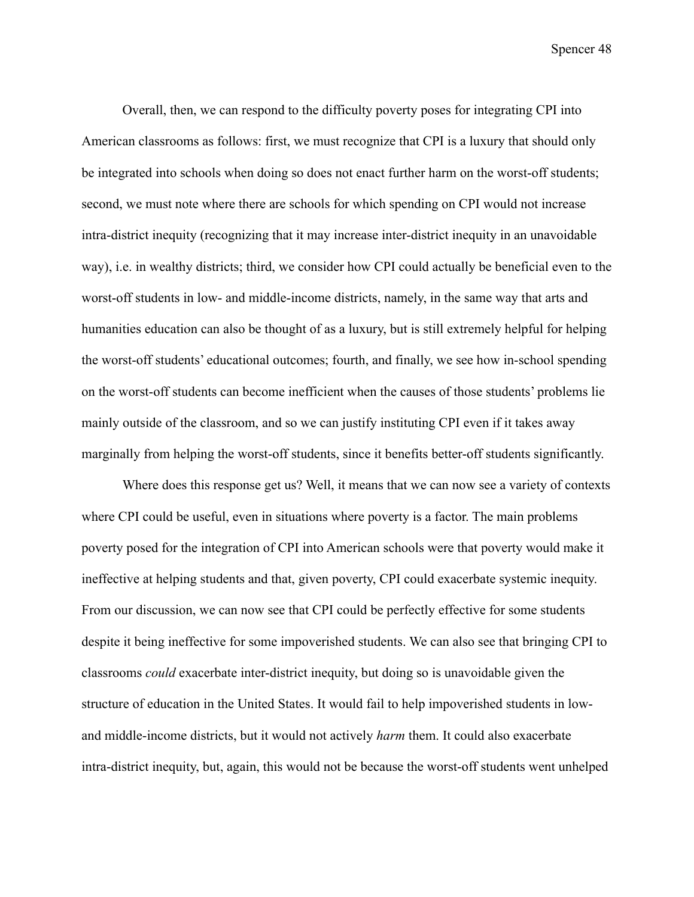Overall, then, we can respond to the difficulty poverty poses for integrating CPI into American classrooms as follows: first, we must recognize that CPI is a luxury that should only be integrated into schools when doing so does not enact further harm on the worst-off students; second, we must note where there are schools for which spending on CPI would not increase intra-district inequity (recognizing that it may increase inter-district inequity in an unavoidable way), i.e. in wealthy districts; third, we consider how CPI could actually be beneficial even to the worst-off students in low- and middle-income districts, namely, in the same way that arts and humanities education can also be thought of as a luxury, but is still extremely helpful for helping the worst-off students' educational outcomes; fourth, and finally, we see how in-school spending on the worst-off students can become inefficient when the causes of those students' problems lie mainly outside of the classroom, and so we can justify instituting CPI even if it takes away marginally from helping the worst-off students, since it benefits better-off students significantly.

Where does this response get us? Well, it means that we can now see a variety of contexts where CPI could be useful, even in situations where poverty is a factor. The main problems poverty posed for the integration of CPI into American schools were that poverty would make it ineffective at helping students and that, given poverty, CPI could exacerbate systemic inequity. From our discussion, we can now see that CPI could be perfectly effective for some students despite it being ineffective for some impoverished students. We can also see that bringing CPI to classrooms *could* exacerbate inter-district inequity, but doing so is unavoidable given the structure of education in the United States. It would fail to help impoverished students in lowand middle-income districts, but it would not actively *harm* them. It could also exacerbate intra-district inequity, but, again, this would not be because the worst-off students went unhelped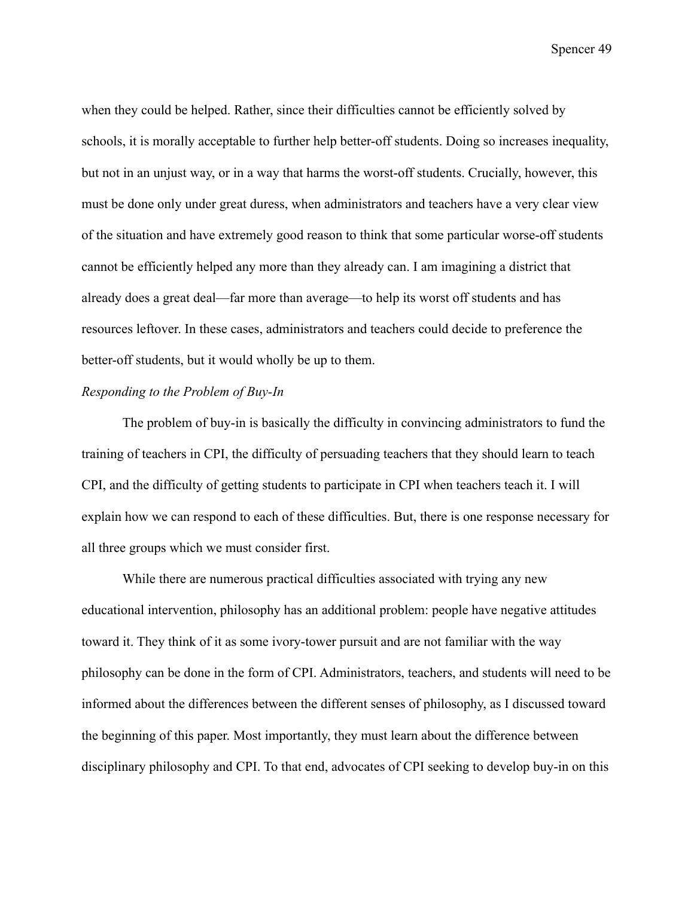when they could be helped. Rather, since their difficulties cannot be efficiently solved by schools, it is morally acceptable to further help better-off students. Doing so increases inequality, but not in an unjust way, or in a way that harms the worst-off students. Crucially, however, this must be done only under great duress, when administrators and teachers have a very clear view of the situation and have extremely good reason to think that some particular worse-off students cannot be efficiently helped any more than they already can. I am imagining a district that already does a great deal—far more than average—to help its worst off students and has resources leftover. In these cases, administrators and teachers could decide to preference the better-off students, but it would wholly be up to them.

### *Responding to the Problem of Buy-In*

The problem of buy-in is basically the difficulty in convincing administrators to fund the training of teachers in CPI, the difficulty of persuading teachers that they should learn to teach CPI, and the difficulty of getting students to participate in CPI when teachers teach it. I will explain how we can respond to each of these difficulties. But, there is one response necessary for all three groups which we must consider first.

While there are numerous practical difficulties associated with trying any new educational intervention, philosophy has an additional problem: people have negative attitudes toward it. They think of it as some ivory-tower pursuit and are not familiar with the way philosophy can be done in the form of CPI. Administrators, teachers, and students will need to be informed about the differences between the different senses of philosophy, as I discussed toward the beginning of this paper. Most importantly, they must learn about the difference between disciplinary philosophy and CPI. To that end, advocates of CPI seeking to develop buy-in on this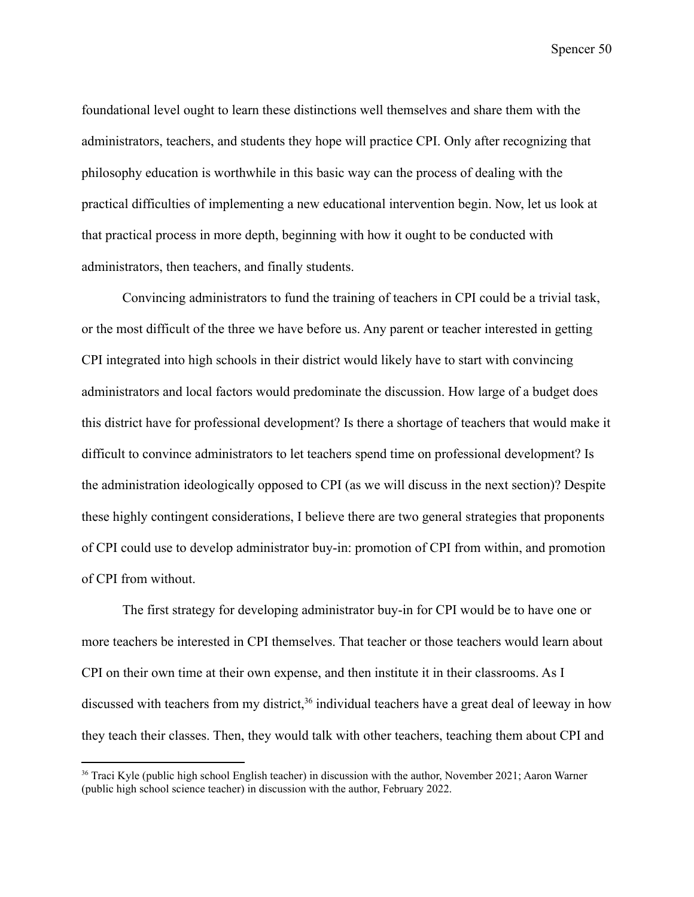foundational level ought to learn these distinctions well themselves and share them with the administrators, teachers, and students they hope will practice CPI. Only after recognizing that philosophy education is worthwhile in this basic way can the process of dealing with the practical difficulties of implementing a new educational intervention begin. Now, let us look at that practical process in more depth, beginning with how it ought to be conducted with administrators, then teachers, and finally students.

Convincing administrators to fund the training of teachers in CPI could be a trivial task, or the most difficult of the three we have before us. Any parent or teacher interested in getting CPI integrated into high schools in their district would likely have to start with convincing administrators and local factors would predominate the discussion. How large of a budget does this district have for professional development? Is there a shortage of teachers that would make it difficult to convince administrators to let teachers spend time on professional development? Is the administration ideologically opposed to CPI (as we will discuss in the next section)? Despite these highly contingent considerations, I believe there are two general strategies that proponents of CPI could use to develop administrator buy-in: promotion of CPI from within, and promotion of CPI from without.

The first strategy for developing administrator buy-in for CPI would be to have one or more teachers be interested in CPI themselves. That teacher or those teachers would learn about CPI on their own time at their own expense, and then institute it in their classrooms. As I discussed with teachers from my district,<sup>36</sup> individual teachers have a great deal of leeway in how they teach their classes. Then, they would talk with other teachers, teaching them about CPI and

<sup>&</sup>lt;sup>36</sup> Traci Kyle (public high school English teacher) in discussion with the author, November 2021; Aaron Warner (public high school science teacher) in discussion with the author, February 2022.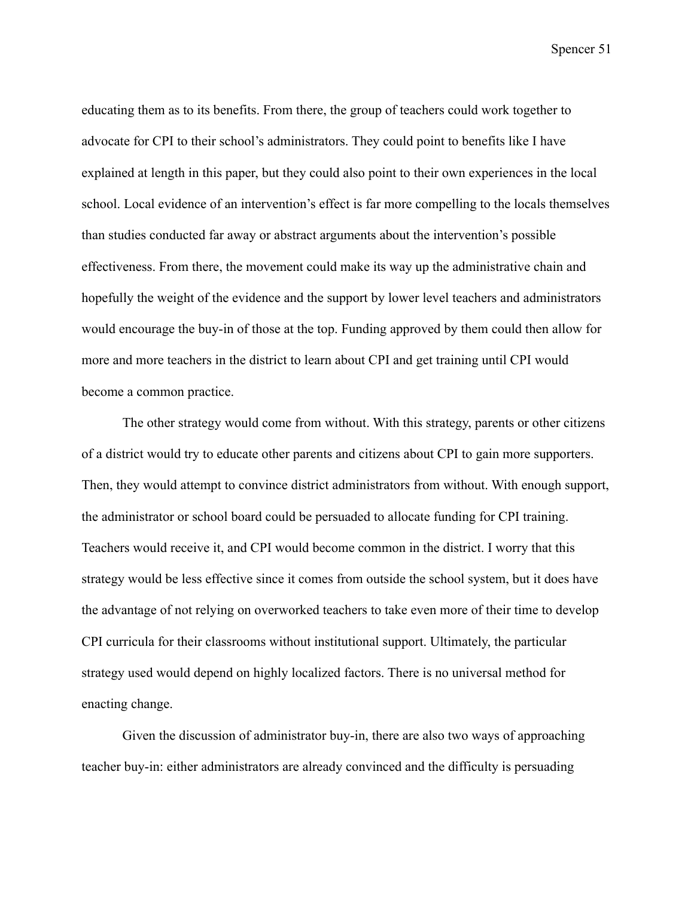educating them as to its benefits. From there, the group of teachers could work together to advocate for CPI to their school's administrators. They could point to benefits like I have explained at length in this paper, but they could also point to their own experiences in the local school. Local evidence of an intervention's effect is far more compelling to the locals themselves than studies conducted far away or abstract arguments about the intervention's possible effectiveness. From there, the movement could make its way up the administrative chain and hopefully the weight of the evidence and the support by lower level teachers and administrators would encourage the buy-in of those at the top. Funding approved by them could then allow for more and more teachers in the district to learn about CPI and get training until CPI would become a common practice.

The other strategy would come from without. With this strategy, parents or other citizens of a district would try to educate other parents and citizens about CPI to gain more supporters. Then, they would attempt to convince district administrators from without. With enough support, the administrator or school board could be persuaded to allocate funding for CPI training. Teachers would receive it, and CPI would become common in the district. I worry that this strategy would be less effective since it comes from outside the school system, but it does have the advantage of not relying on overworked teachers to take even more of their time to develop CPI curricula for their classrooms without institutional support. Ultimately, the particular strategy used would depend on highly localized factors. There is no universal method for enacting change.

Given the discussion of administrator buy-in, there are also two ways of approaching teacher buy-in: either administrators are already convinced and the difficulty is persuading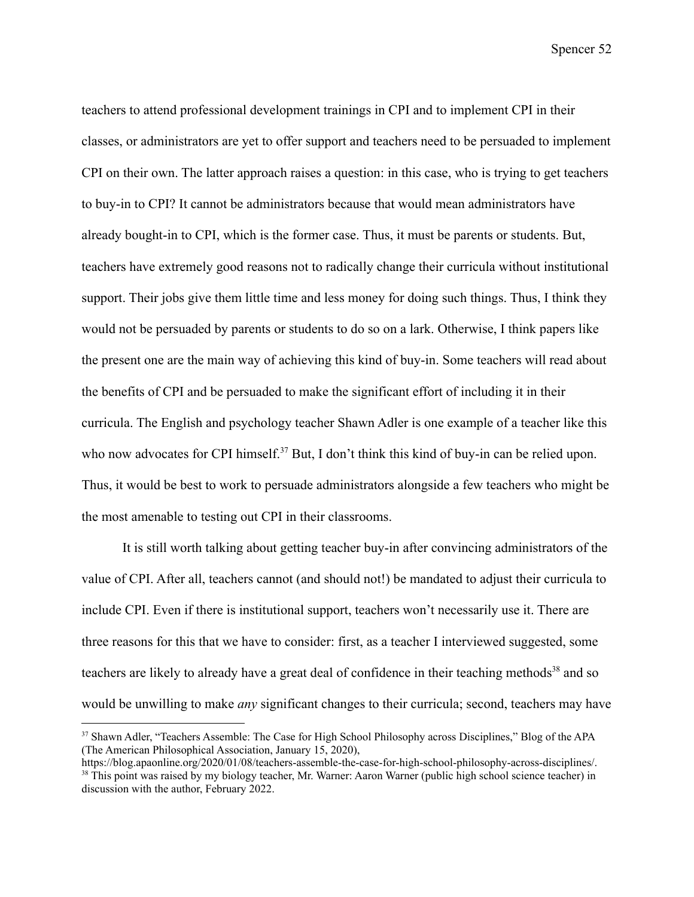teachers to attend professional development trainings in CPI and to implement CPI in their classes, or administrators are yet to offer support and teachers need to be persuaded to implement CPI on their own. The latter approach raises a question: in this case, who is trying to get teachers to buy-in to CPI? It cannot be administrators because that would mean administrators have already bought-in to CPI, which is the former case. Thus, it must be parents or students. But, teachers have extremely good reasons not to radically change their curricula without institutional support. Their jobs give them little time and less money for doing such things. Thus, I think they would not be persuaded by parents or students to do so on a lark. Otherwise, I think papers like the present one are the main way of achieving this kind of buy-in. Some teachers will read about the benefits of CPI and be persuaded to make the significant effort of including it in their curricula. The English and psychology teacher Shawn Adler is one example of a teacher like this who now advocates for CPI himself.<sup>37</sup> But, I don't think this kind of buy-in can be relied upon. Thus, it would be best to work to persuade administrators alongside a few teachers who might be the most amenable to testing out CPI in their classrooms.

It is still worth talking about getting teacher buy-in after convincing administrators of the value of CPI. After all, teachers cannot (and should not!) be mandated to adjust their curricula to include CPI. Even if there is institutional support, teachers won't necessarily use it. There are three reasons for this that we have to consider: first, as a teacher I interviewed suggested, some teachers are likely to already have a great deal of confidence in their teaching methods<sup>38</sup> and so would be unwilling to make *any* significant changes to their curricula; second, teachers may have

<sup>&</sup>lt;sup>37</sup> Shawn Adler, "Teachers Assemble: The Case for High School Philosophy across Disciplines," Blog of the APA (The American Philosophical Association, January 15, 2020),

<sup>&</sup>lt;sup>38</sup> This point was raised by my biology teacher, Mr. Warner: Aaron Warner (public high school science teacher) in https://blog.apaonline.org/2020/01/08/teachers-assemble-the-case-for-high-school-philosophy-across-disciplines/.

discussion with the author, February 2022.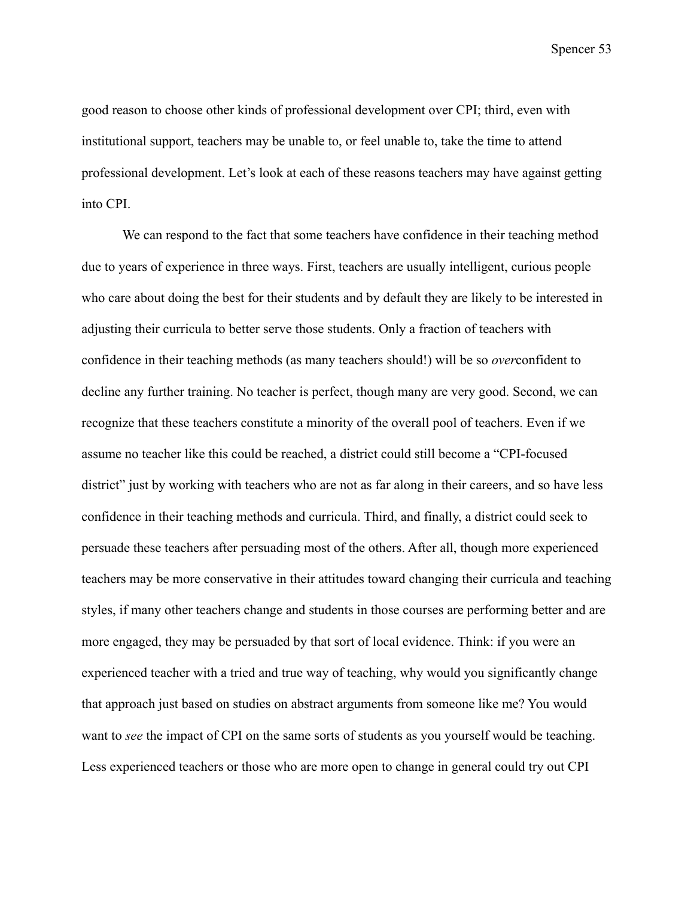good reason to choose other kinds of professional development over CPI; third, even with institutional support, teachers may be unable to, or feel unable to, take the time to attend professional development. Let's look at each of these reasons teachers may have against getting into CPI.

We can respond to the fact that some teachers have confidence in their teaching method due to years of experience in three ways. First, teachers are usually intelligent, curious people who care about doing the best for their students and by default they are likely to be interested in adjusting their curricula to better serve those students. Only a fraction of teachers with confidence in their teaching methods (as many teachers should!) will be so *over*confident to decline any further training. No teacher is perfect, though many are very good. Second, we can recognize that these teachers constitute a minority of the overall pool of teachers. Even if we assume no teacher like this could be reached, a district could still become a "CPI-focused district" just by working with teachers who are not as far along in their careers, and so have less confidence in their teaching methods and curricula. Third, and finally, a district could seek to persuade these teachers after persuading most of the others. After all, though more experienced teachers may be more conservative in their attitudes toward changing their curricula and teaching styles, if many other teachers change and students in those courses are performing better and are more engaged, they may be persuaded by that sort of local evidence. Think: if you were an experienced teacher with a tried and true way of teaching, why would you significantly change that approach just based on studies on abstract arguments from someone like me? You would want to *see* the impact of CPI on the same sorts of students as you yourself would be teaching. Less experienced teachers or those who are more open to change in general could try out CPI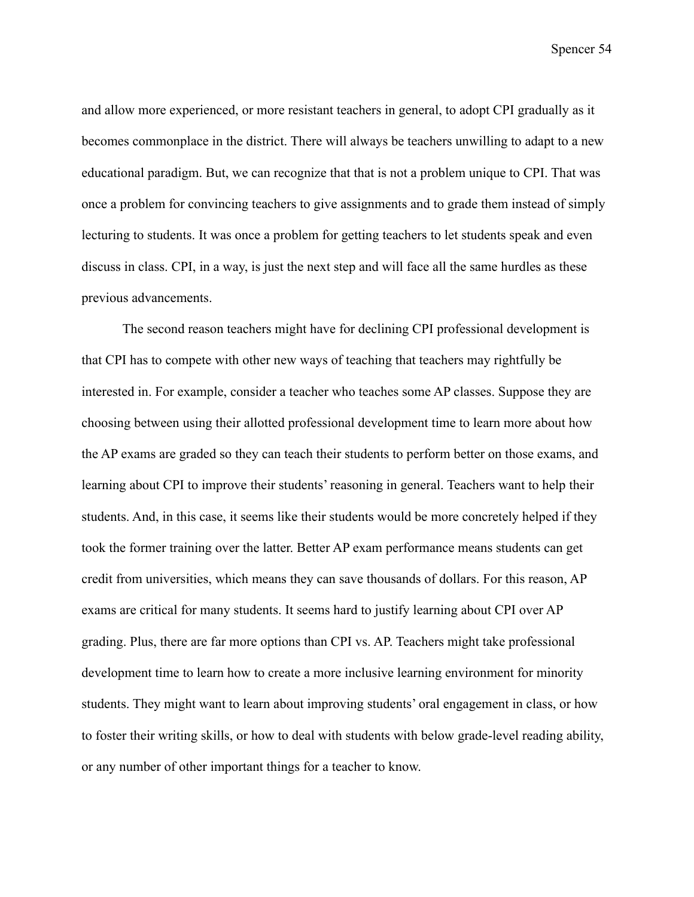and allow more experienced, or more resistant teachers in general, to adopt CPI gradually as it becomes commonplace in the district. There will always be teachers unwilling to adapt to a new educational paradigm. But, we can recognize that that is not a problem unique to CPI. That was once a problem for convincing teachers to give assignments and to grade them instead of simply lecturing to students. It was once a problem for getting teachers to let students speak and even discuss in class. CPI, in a way, is just the next step and will face all the same hurdles as these previous advancements.

The second reason teachers might have for declining CPI professional development is that CPI has to compete with other new ways of teaching that teachers may rightfully be interested in. For example, consider a teacher who teaches some AP classes. Suppose they are choosing between using their allotted professional development time to learn more about how the AP exams are graded so they can teach their students to perform better on those exams, and learning about CPI to improve their students' reasoning in general. Teachers want to help their students. And, in this case, it seems like their students would be more concretely helped if they took the former training over the latter. Better AP exam performance means students can get credit from universities, which means they can save thousands of dollars. For this reason, AP exams are critical for many students. It seems hard to justify learning about CPI over AP grading. Plus, there are far more options than CPI vs. AP. Teachers might take professional development time to learn how to create a more inclusive learning environment for minority students. They might want to learn about improving students' oral engagement in class, or how to foster their writing skills, or how to deal with students with below grade-level reading ability, or any number of other important things for a teacher to know.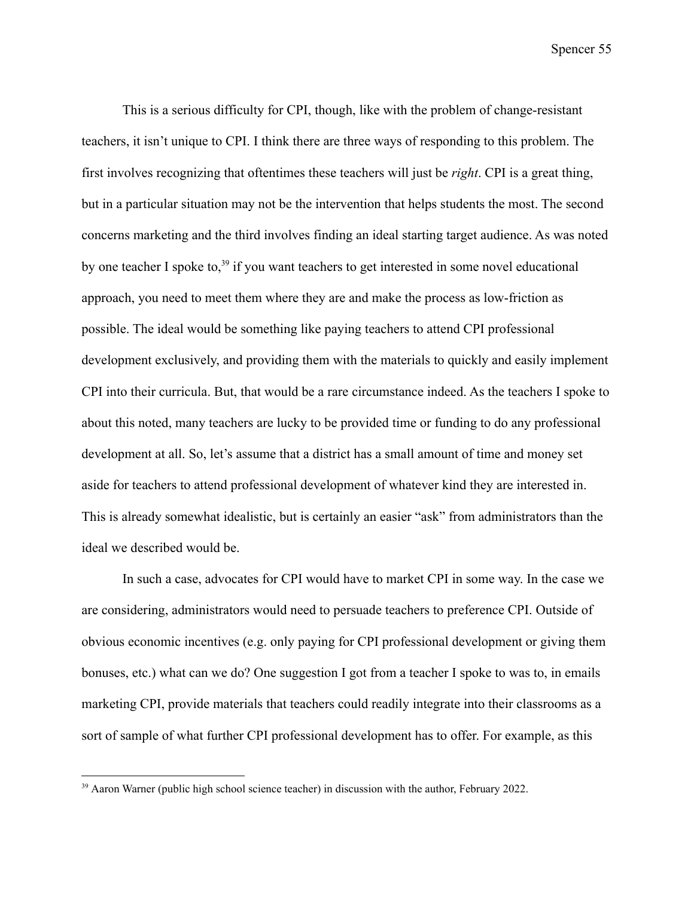This is a serious difficulty for CPI, though, like with the problem of change-resistant teachers, it isn't unique to CPI. I think there are three ways of responding to this problem. The first involves recognizing that oftentimes these teachers will just be *right*. CPI is a great thing, but in a particular situation may not be the intervention that helps students the most. The second concerns marketing and the third involves finding an ideal starting target audience. As was noted by one teacher I spoke to,<sup>39</sup> if you want teachers to get interested in some novel educational approach, you need to meet them where they are and make the process as low-friction as possible. The ideal would be something like paying teachers to attend CPI professional development exclusively, and providing them with the materials to quickly and easily implement CPI into their curricula. But, that would be a rare circumstance indeed. As the teachers I spoke to about this noted, many teachers are lucky to be provided time or funding to do any professional development at all. So, let's assume that a district has a small amount of time and money set aside for teachers to attend professional development of whatever kind they are interested in. This is already somewhat idealistic, but is certainly an easier "ask" from administrators than the ideal we described would be.

In such a case, advocates for CPI would have to market CPI in some way. In the case we are considering, administrators would need to persuade teachers to preference CPI. Outside of obvious economic incentives (e.g. only paying for CPI professional development or giving them bonuses, etc.) what can we do? One suggestion I got from a teacher I spoke to was to, in emails marketing CPI, provide materials that teachers could readily integrate into their classrooms as a sort of sample of what further CPI professional development has to offer. For example, as this

<sup>&</sup>lt;sup>39</sup> Aaron Warner (public high school science teacher) in discussion with the author, February 2022.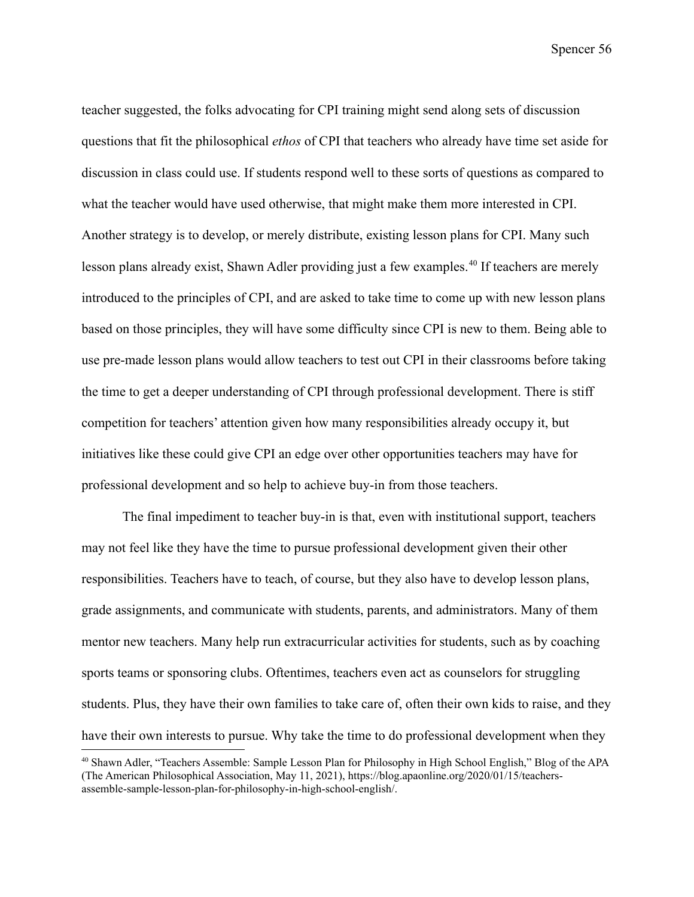teacher suggested, the folks advocating for CPI training might send along sets of discussion questions that fit the philosophical *ethos* of CPI that teachers who already have time set aside for discussion in class could use. If students respond well to these sorts of questions as compared to what the teacher would have used otherwise, that might make them more interested in CPI. Another strategy is to develop, or merely distribute, existing lesson plans for CPI. Many such lesson plans already exist, Shawn Adler providing just a few examples.<sup>40</sup> If teachers are merely introduced to the principles of CPI, and are asked to take time to come up with new lesson plans based on those principles, they will have some difficulty since CPI is new to them. Being able to use pre-made lesson plans would allow teachers to test out CPI in their classrooms before taking the time to get a deeper understanding of CPI through professional development. There is stiff competition for teachers' attention given how many responsibilities already occupy it, but initiatives like these could give CPI an edge over other opportunities teachers may have for professional development and so help to achieve buy-in from those teachers.

The final impediment to teacher buy-in is that, even with institutional support, teachers may not feel like they have the time to pursue professional development given their other responsibilities. Teachers have to teach, of course, but they also have to develop lesson plans, grade assignments, and communicate with students, parents, and administrators. Many of them mentor new teachers. Many help run extracurricular activities for students, such as by coaching sports teams or sponsoring clubs. Oftentimes, teachers even act as counselors for struggling students. Plus, they have their own families to take care of, often their own kids to raise, and they have their own interests to pursue. Why take the time to do professional development when they

<sup>40</sup> Shawn Adler, "Teachers Assemble: Sample Lesson Plan for Philosophy in High School English," Blog of the APA (The American Philosophical Association, May 11, 2021), https://blog.apaonline.org/2020/01/15/teachersassemble-sample-lesson-plan-for-philosophy-in-high-school-english/.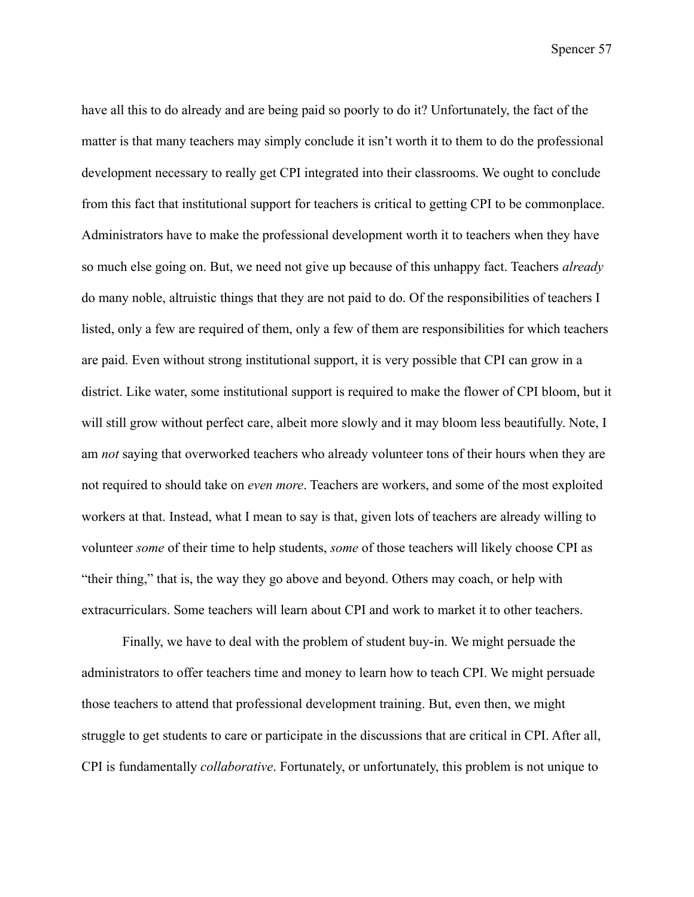have all this to do already and are being paid so poorly to do it? Unfortunately, the fact of the matter is that many teachers may simply conclude it isn't worth it to them to do the professional development necessary to really get CPI integrated into their classrooms. We ought to conclude from this fact that institutional support for teachers is critical to getting CPI to be commonplace. Administrators have to make the professional development worth it to teachers when they have so much else going on. But, we need not give up because of this unhappy fact. Teachers *already* do many noble, altruistic things that they are not paid to do. Of the responsibilities of teachers I listed, only a few are required of them, only a few of them are responsibilities for which teachers are paid. Even without strong institutional support, it is very possible that CPI can grow in a district. Like water, some institutional support is required to make the flower of CPI bloom, but it will still grow without perfect care, albeit more slowly and it may bloom less beautifully. Note, I am *not* saying that overworked teachers who already volunteer tons of their hours when they are not required to should take on *even more*. Teachers are workers, and some of the most exploited workers at that. Instead, what I mean to say is that, given lots of teachers are already willing to volunteer *some* of their time to help students, *some* of those teachers will likely choose CPI as "their thing," that is, the way they go above and beyond. Others may coach, or help with extracurriculars. Some teachers will learn about CPI and work to market it to other teachers.

Finally, we have to deal with the problem of student buy-in. We might persuade the administrators to offer teachers time and money to learn how to teach CPI. We might persuade those teachers to attend that professional development training. But, even then, we might struggle to get students to care or participate in the discussions that are critical in CPI. After all, CPI is fundamentally *collaborative*. Fortunately, or unfortunately, this problem is not unique to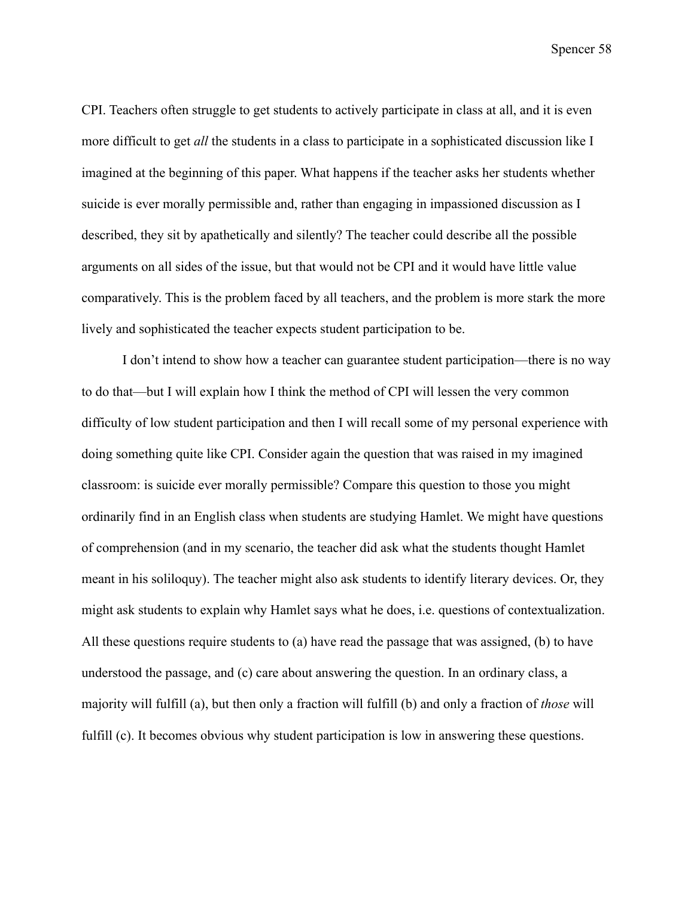CPI. Teachers often struggle to get students to actively participate in class at all, and it is even more difficult to get *all* the students in a class to participate in a sophisticated discussion like I imagined at the beginning of this paper. What happens if the teacher asks her students whether suicide is ever morally permissible and, rather than engaging in impassioned discussion as I described, they sit by apathetically and silently? The teacher could describe all the possible arguments on all sides of the issue, but that would not be CPI and it would have little value comparatively. This is the problem faced by all teachers, and the problem is more stark the more lively and sophisticated the teacher expects student participation to be.

I don't intend to show how a teacher can guarantee student participation—there is no way to do that—but I will explain how I think the method of CPI will lessen the very common difficulty of low student participation and then I will recall some of my personal experience with doing something quite like CPI. Consider again the question that was raised in my imagined classroom: is suicide ever morally permissible? Compare this question to those you might ordinarily find in an English class when students are studying Hamlet. We might have questions of comprehension (and in my scenario, the teacher did ask what the students thought Hamlet meant in his soliloquy). The teacher might also ask students to identify literary devices. Or, they might ask students to explain why Hamlet says what he does, i.e. questions of contextualization. All these questions require students to (a) have read the passage that was assigned, (b) to have understood the passage, and (c) care about answering the question. In an ordinary class, a majority will fulfill (a), but then only a fraction will fulfill (b) and only a fraction of *those* will fulfill (c). It becomes obvious why student participation is low in answering these questions.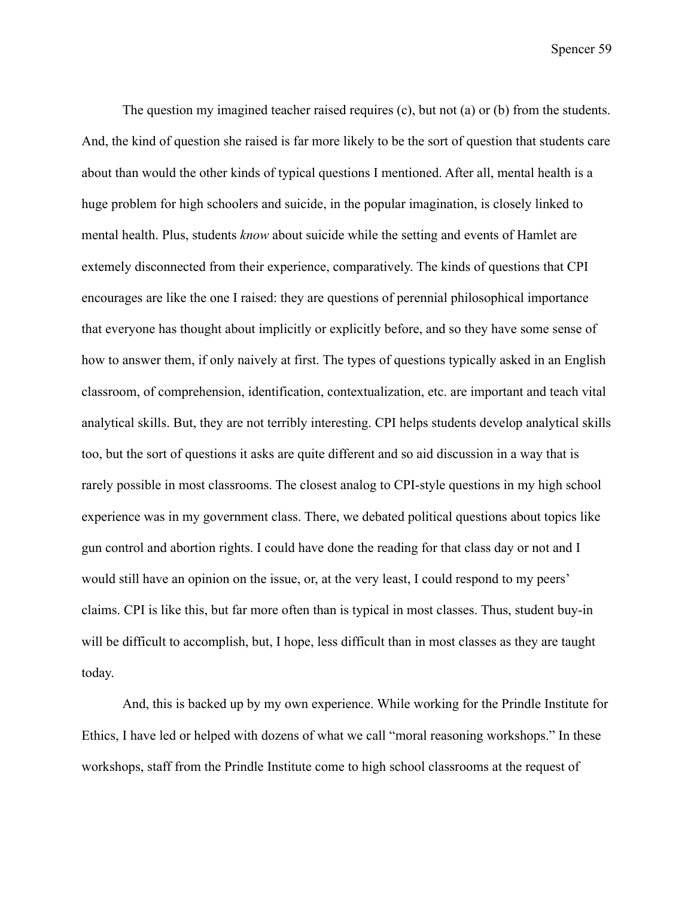The question my imagined teacher raised requires (c), but not (a) or (b) from the students. And, the kind of question she raised is far more likely to be the sort of question that students care about than would the other kinds of typical questions I mentioned. After all, mental health is a huge problem for high schoolers and suicide, in the popular imagination, is closely linked to mental health. Plus, students *know* about suicide while the setting and events of Hamlet are extemely disconnected from their experience, comparatively. The kinds of questions that CPI encourages are like the one I raised: they are questions of perennial philosophical importance that everyone has thought about implicitly or explicitly before, and so they have some sense of how to answer them, if only naively at first. The types of questions typically asked in an English classroom, of comprehension, identification, contextualization, etc. are important and teach vital analytical skills. But, they are not terribly interesting. CPI helps students develop analytical skills too, but the sort of questions it asks are quite different and so aid discussion in a way that is rarely possible in most classrooms. The closest analog to CPI-style questions in my high school experience was in my government class. There, we debated political questions about topics like gun control and abortion rights. I could have done the reading for that class day or not and I would still have an opinion on the issue, or, at the very least, I could respond to my peers' claims. CPI is like this, but far more often than is typical in most classes. Thus, student buy-in will be difficult to accomplish, but, I hope, less difficult than in most classes as they are taught today.

And, this is backed up by my own experience. While working for the Prindle Institute for Ethics, I have led or helped with dozens of what we call "moral reasoning workshops." In these workshops, staff from the Prindle Institute come to high school classrooms at the request of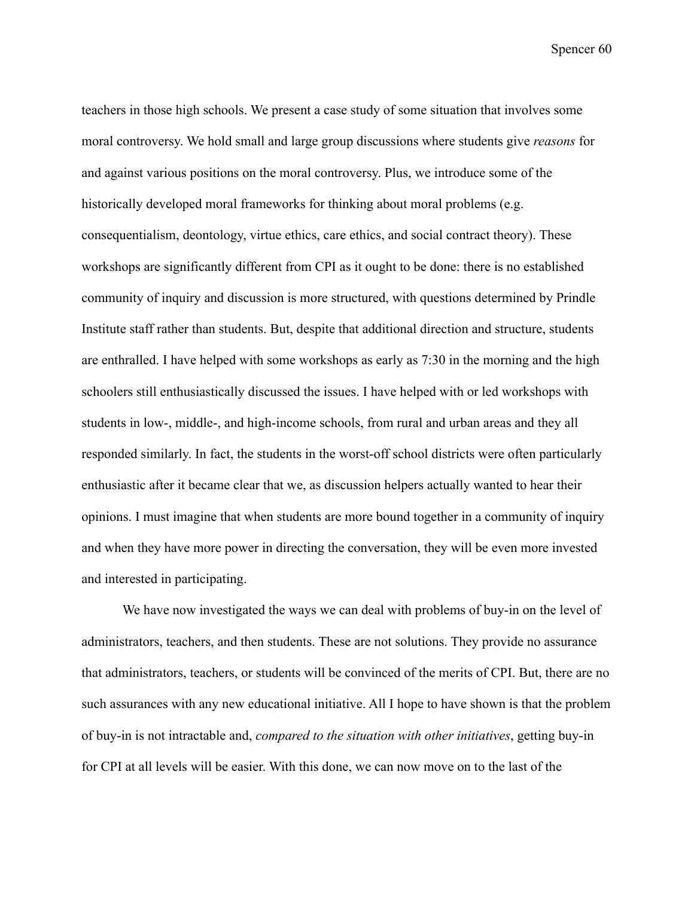teachers in those high schools. We present a case study of some situation that involves some moral controversy. We hold small and large group discussions where students give *reasons* for and against various positions on the moral controversy. Plus, we introduce some of the historically developed moral frameworks for thinking about moral problems (e.g. consequentialism, deontology, virtue ethics, care ethics, and social contract theory). These workshops are significantly different from CPI as it ought to be done: there is no established community of inquiry and discussion is more structured, with questions determined by Prindle Institute staff rather than students. But, despite that additional direction and structure, students are enthralled. I have helped with some workshops as early as 7:30 in the morning and the high schoolers still enthusiastically discussed the issues. I have helped with or led workshops with students in low-, middle-, and high-income schools, from rural and urban areas and they all responded similarly. In fact, the students in the worst-off school districts were often particularly enthusiastic after it became clear that we, as discussion helpers actually wanted to hear their opinions. I must imagine that when students are more bound together in a community of inquiry and when they have more power in directing the conversation, they will be even more invested and interested in participating.

We have now investigated the ways we can deal with problems of buy-in on the level of administrators, teachers, and then students. These are not solutions. They provide no assurance that administrators, teachers, or students will be convinced of the merits of CPI. But, there are no such assurances with any new educational initiative. All I hope to have shown is that the problem of buy-in is not intractable and, *compared to the situation with other initiatives*, getting buy-in for CPI at all levels will be easier. With this done, we can now move on to the last of the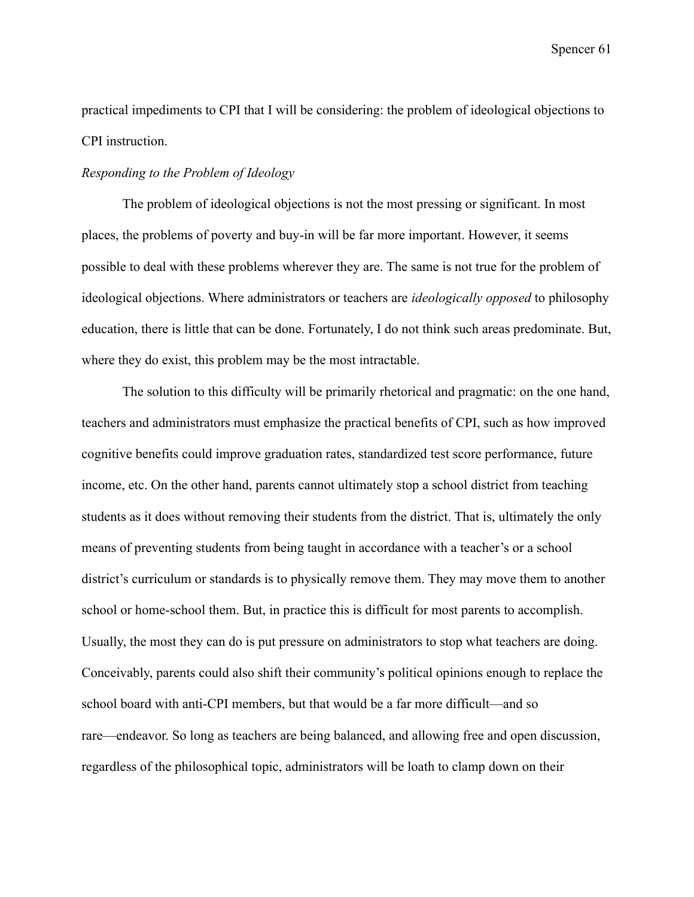practical impediments to CPI that I will be considering: the problem of ideological objections to CPI instruction.

### *Responding to the Problem of Ideology*

The problem of ideological objections is not the most pressing or significant. In most places, the problems of poverty and buy-in will be far more important. However, it seems possible to deal with these problems wherever they are. The same is not true for the problem of ideological objections. Where administrators or teachers are *ideologically opposed* to philosophy education, there is little that can be done. Fortunately, I do not think such areas predominate. But, where they do exist, this problem may be the most intractable.

The solution to this difficulty will be primarily rhetorical and pragmatic: on the one hand, teachers and administrators must emphasize the practical benefits of CPI, such as how improved cognitive benefits could improve graduation rates, standardized test score performance, future income, etc. On the other hand, parents cannot ultimately stop a school district from teaching students as it does without removing their students from the district. That is, ultimately the only means of preventing students from being taught in accordance with a teacher's or a school district's curriculum or standards is to physically remove them. They may move them to another school or home-school them. But, in practice this is difficult for most parents to accomplish. Usually, the most they can do is put pressure on administrators to stop what teachers are doing. Conceivably, parents could also shift their community's political opinions enough to replace the school board with anti-CPI members, but that would be a far more difficult—and so rare—endeavor. So long as teachers are being balanced, and allowing free and open discussion, regardless of the philosophical topic, administrators will be loath to clamp down on their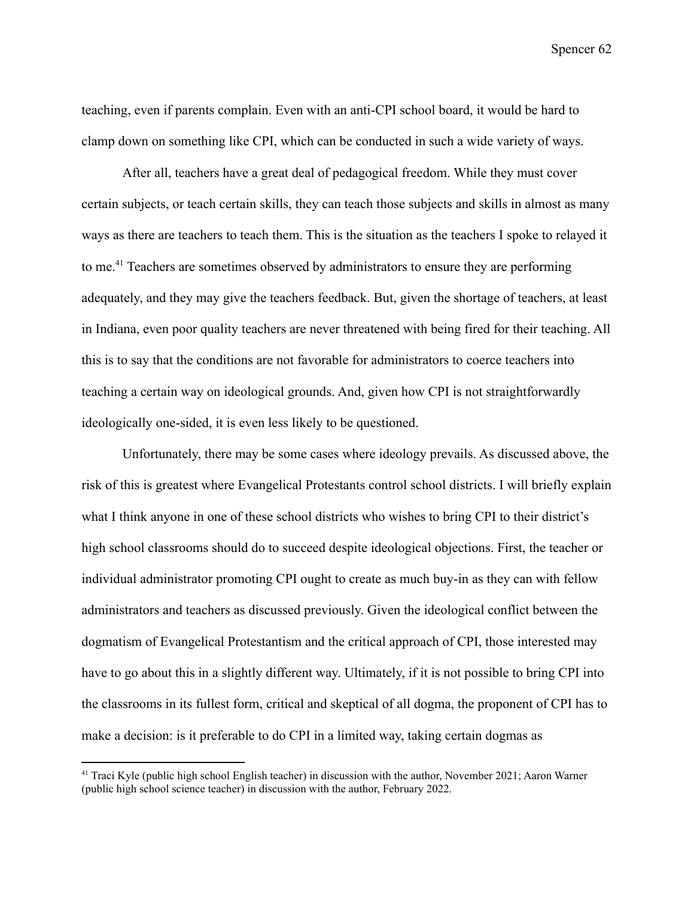teaching, even if parents complain. Even with an anti-CPI school board, it would be hard to clamp down on something like CPI, which can be conducted in such a wide variety of ways.

After all, teachers have a great deal of pedagogical freedom. While they must cover certain subjects, or teach certain skills, they can teach those subjects and skills in almost as many ways as there are teachers to teach them. This is the situation as the teachers I spoke to relayed it to me.<sup>41</sup> Teachers are sometimes observed by administrators to ensure they are performing adequately, and they may give the teachers feedback. But, given the shortage of teachers, at least in Indiana, even poor quality teachers are never threatened with being fired for their teaching. All this is to say that the conditions are not favorable for administrators to coerce teachers into teaching a certain way on ideological grounds. And, given how CPI is not straightforwardly ideologically one-sided, it is even less likely to be questioned.

Unfortunately, there may be some cases where ideology prevails. As discussed above, the risk of this is greatest where Evangelical Protestants control school districts. I will briefly explain what I think anyone in one of these school districts who wishes to bring CPI to their district's high school classrooms should do to succeed despite ideological objections. First, the teacher or individual administrator promoting CPI ought to create as much buy-in as they can with fellow administrators and teachers as discussed previously. Given the ideological conflict between the dogmatism of Evangelical Protestantism and the critical approach of CPI, those interested may have to go about this in a slightly different way. Ultimately, if it is not possible to bring CPI into the classrooms in its fullest form, critical and skeptical of all dogma, the proponent of CPI has to make a decision: is it preferable to do CPI in a limited way, taking certain dogmas as

<sup>&</sup>lt;sup>41</sup> Traci Kyle (public high school English teacher) in discussion with the author, November 2021; Aaron Warner (public high school science teacher) in discussion with the author, February 2022.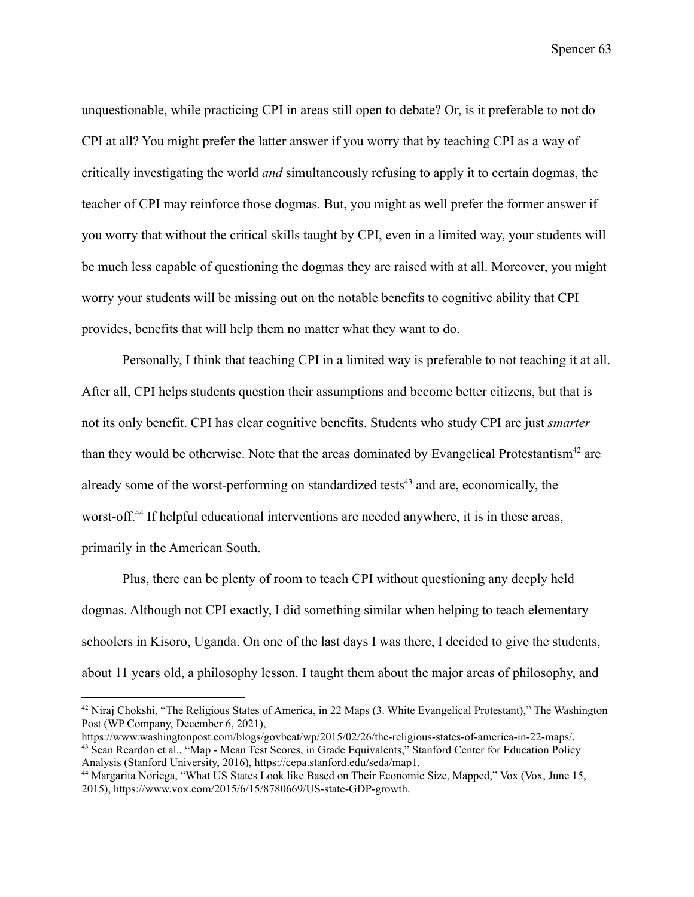unquestionable, while practicing CPI in areas still open to debate? Or, is it preferable to not do CPI at all? You might prefer the latter answer if you worry that by teaching CPI as a way of critically investigating the world *and* simultaneously refusing to apply it to certain dogmas, the teacher of CPI may reinforce those dogmas. But, you might as well prefer the former answer if you worry that without the critical skills taught by CPI, even in a limited way, your students will be much less capable of questioning the dogmas they are raised with at all. Moreover, you might worry your students will be missing out on the notable benefits to cognitive ability that CPI provides, benefits that will help them no matter what they want to do.

Personally, I think that teaching CPI in a limited way is preferable to not teaching it at all. After all, CPI helps students question their assumptions and become better citizens, but that is not its only benefit. CPI has clear cognitive benefits. Students who study CPI are just *smarter* than they would be otherwise. Note that the areas dominated by Evangelical Protestantism<sup>42</sup> are already some of the worst-performing on standardized tests<sup>43</sup> and are, economically, the worst-off.<sup>44</sup> If helpful educational interventions are needed anywhere, it is in these areas, primarily in the American South.

Plus, there can be plenty of room to teach CPI without questioning any deeply held dogmas. Although not CPI exactly, I did something similar when helping to teach elementary schoolers in Kisoro, Uganda. On one of the last days I was there, I decided to give the students, about 11 years old, a philosophy lesson. I taught them about the major areas of philosophy, and

<sup>&</sup>lt;sup>42</sup> Niraj Chokshi, "The Religious States of America, in 22 Maps (3. White Evangelical Protestant)," The Washington Post (WP Company, December 6, 2021),

<sup>43</sup> Sean Reardon et al., "Map - Mean Test Scores, in Grade Equivalents," Stanford Center for Education Policy Analysis (Stanford University, 2016), https://cepa.stanford.edu/seda/map1. https://www.washingtonpost.com/blogs/govbeat/wp/2015/02/26/the-religious-states-of-america-in-22-maps/.

<sup>44</sup> Margarita Noriega, "What US States Look like Based on Their Economic Size, Mapped," Vox (Vox, June 15, 2015), https://www.vox.com/2015/6/15/8780669/US-state-GDP-growth.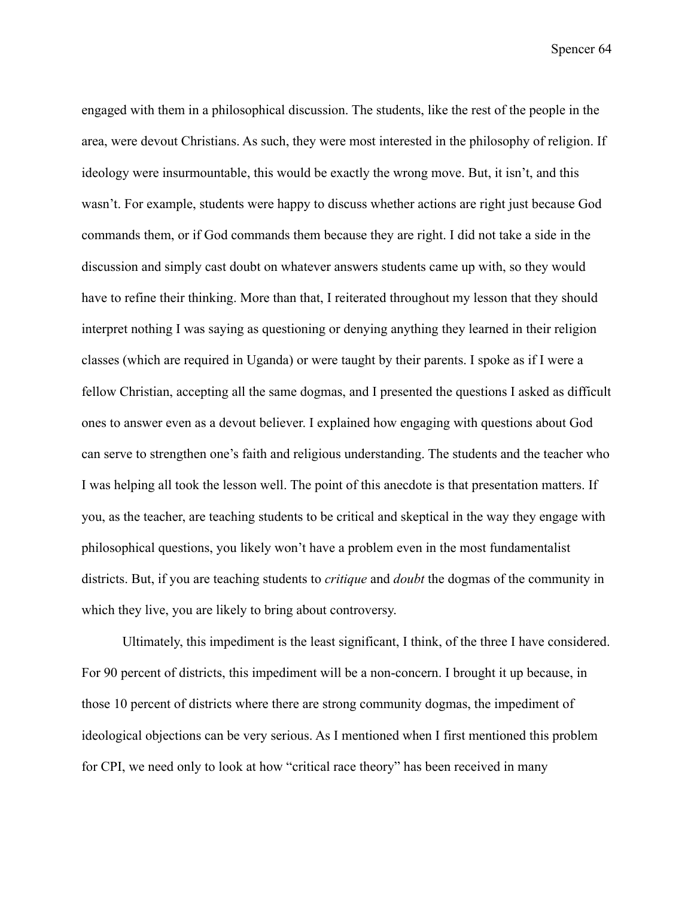engaged with them in a philosophical discussion. The students, like the rest of the people in the area, were devout Christians. As such, they were most interested in the philosophy of religion. If ideology were insurmountable, this would be exactly the wrong move. But, it isn't, and this wasn't. For example, students were happy to discuss whether actions are right just because God commands them, or if God commands them because they are right. I did not take a side in the discussion and simply cast doubt on whatever answers students came up with, so they would have to refine their thinking. More than that, I reiterated throughout my lesson that they should interpret nothing I was saying as questioning or denying anything they learned in their religion classes (which are required in Uganda) or were taught by their parents. I spoke as if I were a fellow Christian, accepting all the same dogmas, and I presented the questions I asked as difficult ones to answer even as a devout believer. I explained how engaging with questions about God can serve to strengthen one's faith and religious understanding. The students and the teacher who I was helping all took the lesson well. The point of this anecdote is that presentation matters. If you, as the teacher, are teaching students to be critical and skeptical in the way they engage with philosophical questions, you likely won't have a problem even in the most fundamentalist districts. But, if you are teaching students to *critique* and *doubt* the dogmas of the community in which they live, you are likely to bring about controversy.

Ultimately, this impediment is the least significant, I think, of the three I have considered. For 90 percent of districts, this impediment will be a non-concern. I brought it up because, in those 10 percent of districts where there are strong community dogmas, the impediment of ideological objections can be very serious. As I mentioned when I first mentioned this problem for CPI, we need only to look at how "critical race theory" has been received in many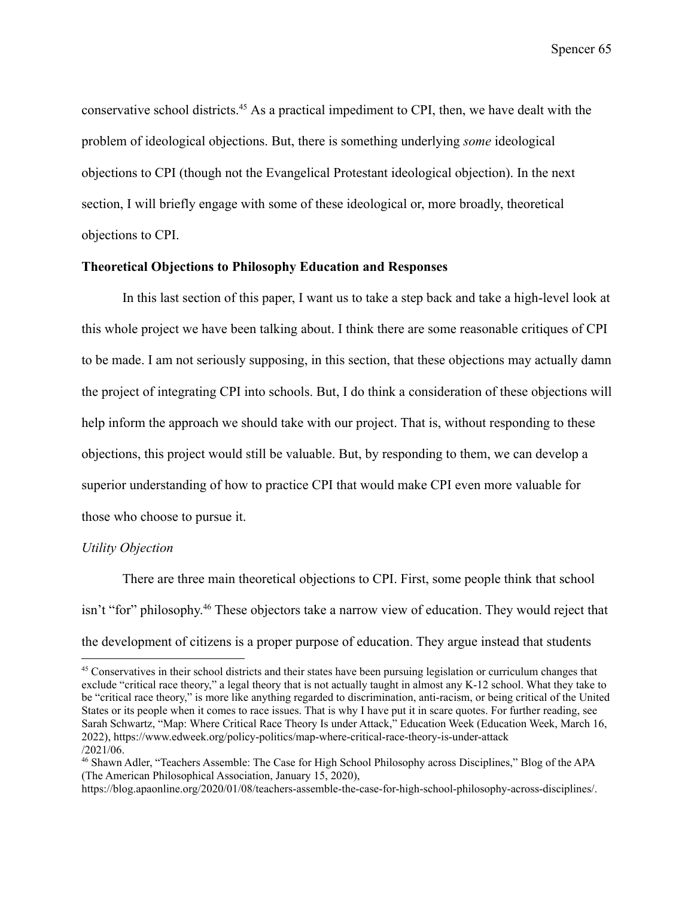conservative school districts.<sup>45</sup> As a practical impediment to CPI, then, we have dealt with the problem of ideological objections. But, there is something underlying *some* ideological objections to CPI (though not the Evangelical Protestant ideological objection). In the next section, I will briefly engage with some of these ideological or, more broadly, theoretical objections to CPI.

### **Theoretical Objections to Philosophy Education and Responses**

In this last section of this paper, I want us to take a step back and take a high-level look at this whole project we have been talking about. I think there are some reasonable critiques of CPI to be made. I am not seriously supposing, in this section, that these objections may actually damn the project of integrating CPI into schools. But, I do think a consideration of these objections will help inform the approach we should take with our project. That is, without responding to these objections, this project would still be valuable. But, by responding to them, we can develop a superior understanding of how to practice CPI that would make CPI even more valuable for those who choose to pursue it.

### *Utility Objection*

There are three main theoretical objections to CPI. First, some people think that school isn't "for" philosophy. <sup>46</sup> These objectors take a narrow view of education. They would reject that the development of citizens is a proper purpose of education. They argue instead that students

<sup>&</sup>lt;sup>45</sup> Conservatives in their school districts and their states have been pursuing legislation or curriculum changes that exclude "critical race theory," a legal theory that is not actually taught in almost any K-12 school. What they take to be "critical race theory," is more like anything regarded to discrimination, anti-racism, or being critical of the United States or its people when it comes to race issues. That is why I have put it in scare quotes. For further reading, see Sarah Schwartz, "Map: Where Critical Race Theory Is under Attack," Education Week (Education Week, March 16, 2022), https://www.edweek.org/policy-politics/map-where-critical-race-theory-is-under-attack /2021/06.

<sup>46</sup> Shawn Adler, "Teachers Assemble: The Case for High School Philosophy across Disciplines," Blog of the APA (The American Philosophical Association, January 15, 2020),

https://blog.apaonline.org/2020/01/08/teachers-assemble-the-case-for-high-school-philosophy-across-disciplines/.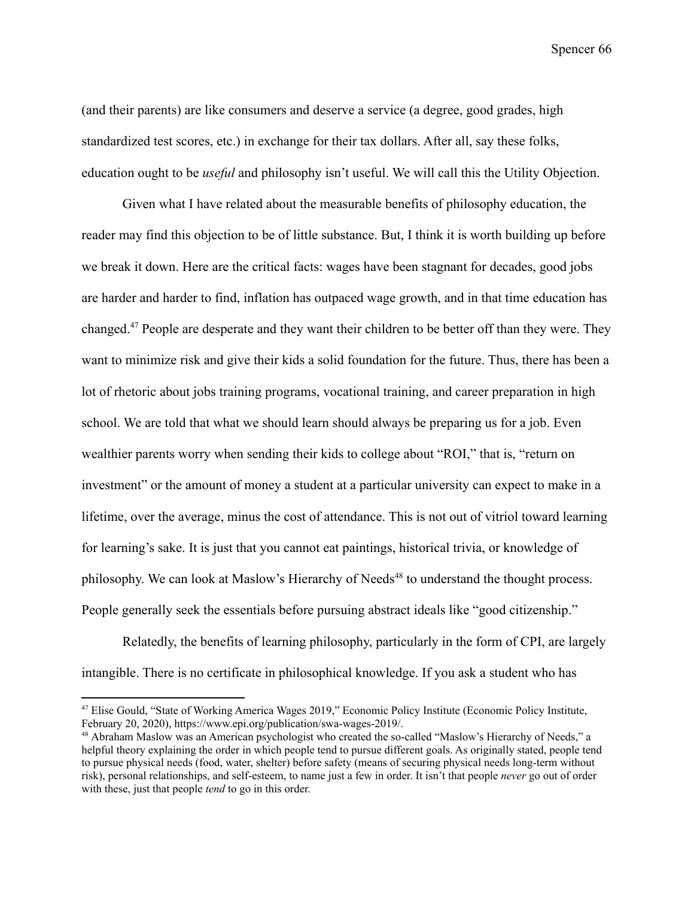(and their parents) are like consumers and deserve a service (a degree, good grades, high standardized test scores, etc.) in exchange for their tax dollars. After all, say these folks, education ought to be *useful* and philosophy isn't useful. We will call this the Utility Objection.

Given what I have related about the measurable benefits of philosophy education, the reader may find this objection to be of little substance. But, I think it is worth building up before we break it down. Here are the critical facts: wages have been stagnant for decades, good jobs are harder and harder to find, inflation has outpaced wage growth, and in that time education has changed.<sup>47</sup> People are desperate and they want their children to be better off than they were. They want to minimize risk and give their kids a solid foundation for the future. Thus, there has been a lot of rhetoric about jobs training programs, vocational training, and career preparation in high school. We are told that what we should learn should always be preparing us for a job. Even wealthier parents worry when sending their kids to college about "ROI," that is, "return on investment" or the amount of money a student at a particular university can expect to make in a lifetime, over the average, minus the cost of attendance. This is not out of vitriol toward learning for learning's sake. It is just that you cannot eat paintings, historical trivia, or knowledge of philosophy. We can look at Maslow's Hierarchy of Needs<sup>48</sup> to understand the thought process. People generally seek the essentials before pursuing abstract ideals like "good citizenship."

Relatedly, the benefits of learning philosophy, particularly in the form of CPI, are largely intangible. There is no certificate in philosophical knowledge. If you ask a student who has

<sup>47</sup> Elise Gould, "State of Working America Wages 2019," Economic Policy Institute (Economic Policy Institute, February 20, 2020), https://www.epi.org/publication/swa-wages-2019/.

<sup>48</sup> Abraham Maslow was an American psychologist who created the so-called "Maslow's Hierarchy of Needs," a helpful theory explaining the order in which people tend to pursue different goals. As originally stated, people tend to pursue physical needs (food, water, shelter) before safety (means of securing physical needs long-term without risk), personal relationships, and self-esteem, to name just a few in order. It isn't that people *never* go out of order with these, just that people *tend* to go in this order.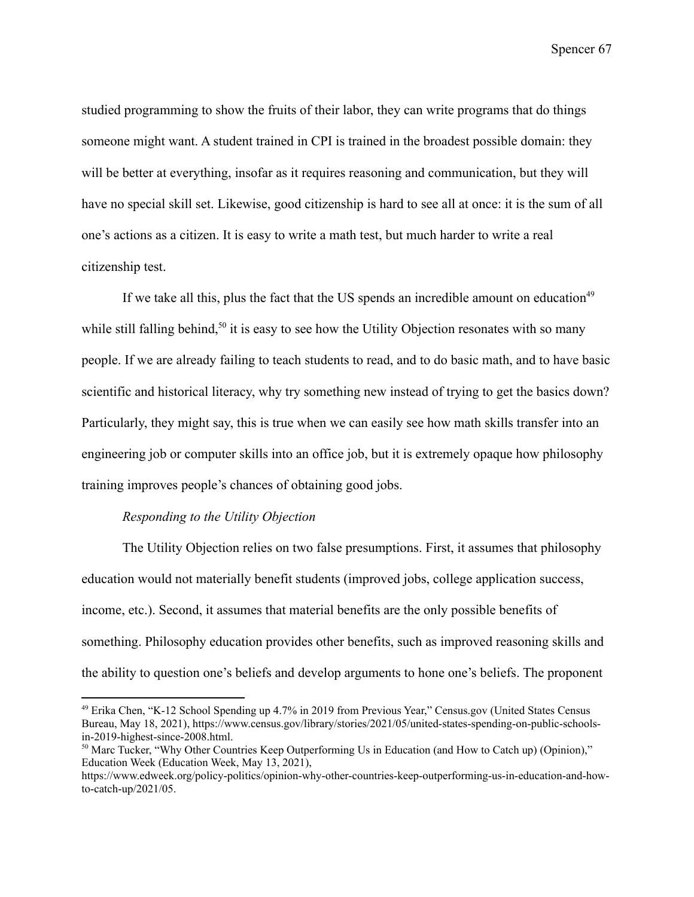studied programming to show the fruits of their labor, they can write programs that do things someone might want. A student trained in CPI is trained in the broadest possible domain: they will be better at everything, insofar as it requires reasoning and communication, but they will have no special skill set. Likewise, good citizenship is hard to see all at once: it is the sum of all one's actions as a citizen. It is easy to write a math test, but much harder to write a real citizenship test.

If we take all this, plus the fact that the US spends an incredible amount on education<sup>49</sup> while still falling behind,<sup>50</sup> it is easy to see how the Utility Objection resonates with so many people. If we are already failing to teach students to read, and to do basic math, and to have basic scientific and historical literacy, why try something new instead of trying to get the basics down? Particularly, they might say, this is true when we can easily see how math skills transfer into an engineering job or computer skills into an office job, but it is extremely opaque how philosophy training improves people's chances of obtaining good jobs.

### *Responding to the Utility Objection*

The Utility Objection relies on two false presumptions. First, it assumes that philosophy education would not materially benefit students (improved jobs, college application success, income, etc.). Second, it assumes that material benefits are the only possible benefits of something. Philosophy education provides other benefits, such as improved reasoning skills and the ability to question one's beliefs and develop arguments to hone one's beliefs. The proponent

<sup>49</sup> Erika Chen, "K-12 School Spending up 4.7% in 2019 from Previous Year," Census.gov (United States Census Bureau, May 18, 2021), https://www.census.gov/library/stories/2021/05/united-states-spending-on-public-schoolsin-2019-highest-since-2008.html.

<sup>&</sup>lt;sup>50</sup> Marc Tucker, "Why Other Countries Keep Outperforming Us in Education (and How to Catch up) (Opinion)," Education Week (Education Week, May 13, 2021),

https://www.edweek.org/policy-politics/opinion-why-other-countries-keep-outperforming-us-in-education-and-howto-catch-up/2021/05.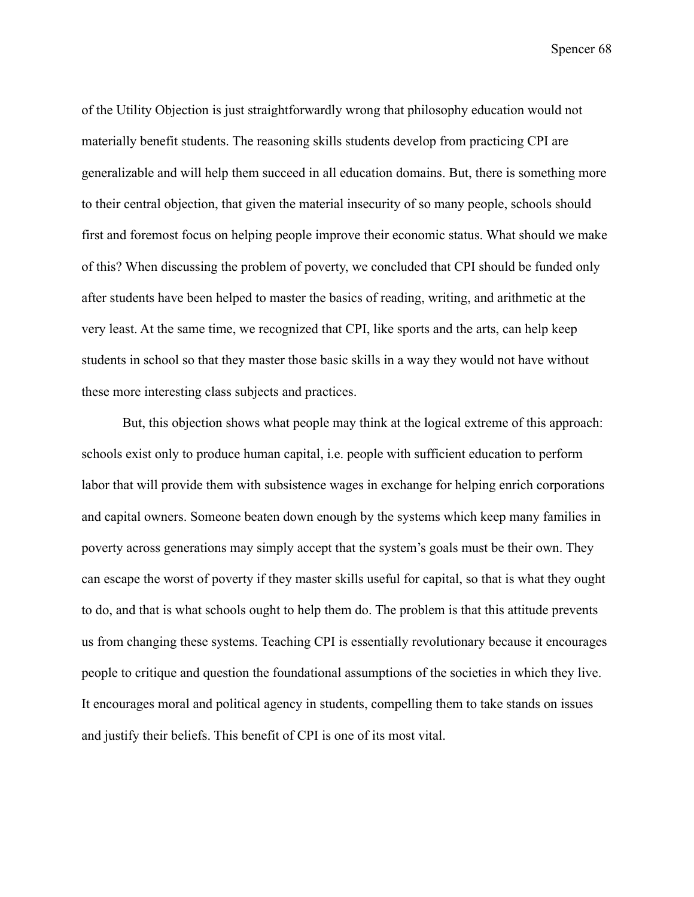of the Utility Objection is just straightforwardly wrong that philosophy education would not materially benefit students. The reasoning skills students develop from practicing CPI are generalizable and will help them succeed in all education domains. But, there is something more to their central objection, that given the material insecurity of so many people, schools should first and foremost focus on helping people improve their economic status. What should we make of this? When discussing the problem of poverty, we concluded that CPI should be funded only after students have been helped to master the basics of reading, writing, and arithmetic at the very least. At the same time, we recognized that CPI, like sports and the arts, can help keep students in school so that they master those basic skills in a way they would not have without these more interesting class subjects and practices.

But, this objection shows what people may think at the logical extreme of this approach: schools exist only to produce human capital, i.e. people with sufficient education to perform labor that will provide them with subsistence wages in exchange for helping enrich corporations and capital owners. Someone beaten down enough by the systems which keep many families in poverty across generations may simply accept that the system's goals must be their own. They can escape the worst of poverty if they master skills useful for capital, so that is what they ought to do, and that is what schools ought to help them do. The problem is that this attitude prevents us from changing these systems. Teaching CPI is essentially revolutionary because it encourages people to critique and question the foundational assumptions of the societies in which they live. It encourages moral and political agency in students, compelling them to take stands on issues and justify their beliefs. This benefit of CPI is one of its most vital.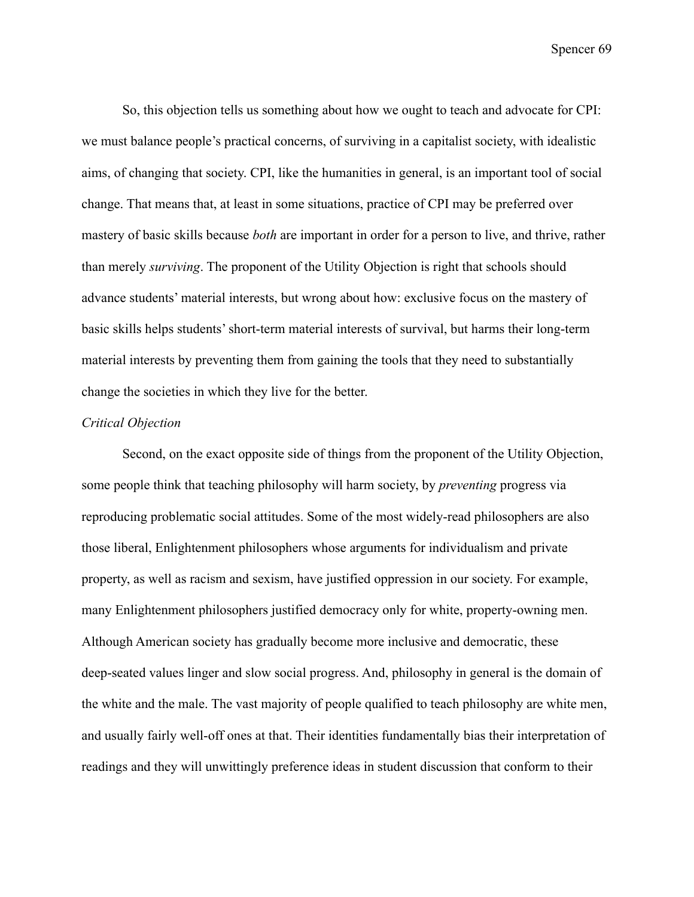So, this objection tells us something about how we ought to teach and advocate for CPI: we must balance people's practical concerns, of surviving in a capitalist society, with idealistic aims, of changing that society. CPI, like the humanities in general, is an important tool of social change. That means that, at least in some situations, practice of CPI may be preferred over mastery of basic skills because *both* are important in order for a person to live, and thrive, rather than merely *surviving*. The proponent of the Utility Objection is right that schools should advance students' material interests, but wrong about how: exclusive focus on the mastery of basic skills helps students' short-term material interests of survival, but harms their long-term material interests by preventing them from gaining the tools that they need to substantially change the societies in which they live for the better.

## *Critical Objection*

Second, on the exact opposite side of things from the proponent of the Utility Objection, some people think that teaching philosophy will harm society, by *preventing* progress via reproducing problematic social attitudes. Some of the most widely-read philosophers are also those liberal, Enlightenment philosophers whose arguments for individualism and private property, as well as racism and sexism, have justified oppression in our society. For example, many Enlightenment philosophers justified democracy only for white, property-owning men. Although American society has gradually become more inclusive and democratic, these deep-seated values linger and slow social progress. And, philosophy in general is the domain of the white and the male. The vast majority of people qualified to teach philosophy are white men, and usually fairly well-off ones at that. Their identities fundamentally bias their interpretation of readings and they will unwittingly preference ideas in student discussion that conform to their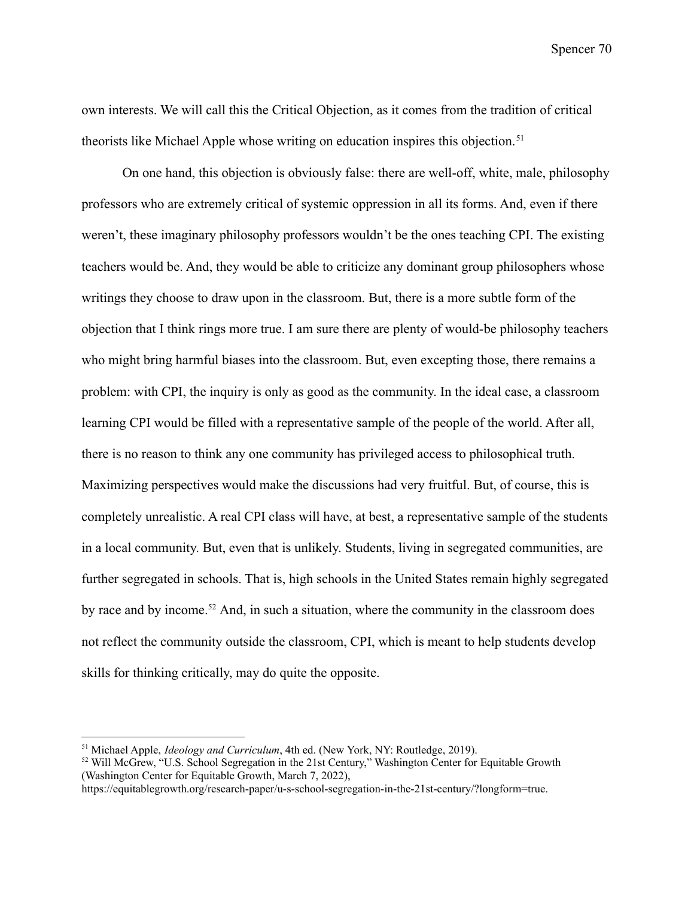own interests. We will call this the Critical Objection, as it comes from the tradition of critical theorists like Michael Apple whose writing on education inspires this objection.<sup>51</sup>

On one hand, this objection is obviously false: there are well-off, white, male, philosophy professors who are extremely critical of systemic oppression in all its forms. And, even if there weren't, these imaginary philosophy professors wouldn't be the ones teaching CPI. The existing teachers would be. And, they would be able to criticize any dominant group philosophers whose writings they choose to draw upon in the classroom. But, there is a more subtle form of the objection that I think rings more true. I am sure there are plenty of would-be philosophy teachers who might bring harmful biases into the classroom. But, even excepting those, there remains a problem: with CPI, the inquiry is only as good as the community. In the ideal case, a classroom learning CPI would be filled with a representative sample of the people of the world. After all, there is no reason to think any one community has privileged access to philosophical truth. Maximizing perspectives would make the discussions had very fruitful. But, of course, this is completely unrealistic. A real CPI class will have, at best, a representative sample of the students in a local community. But, even that is unlikely. Students, living in segregated communities, are further segregated in schools. That is, high schools in the United States remain highly segregated by race and by income.<sup>52</sup> And, in such a situation, where the community in the classroom does not reflect the community outside the classroom, CPI, which is meant to help students develop skills for thinking critically, may do quite the opposite.

<sup>51</sup> Michael Apple, *Ideology and Curriculum*, 4th ed. (New York, NY: Routledge, 2019).

<sup>52</sup> Will McGrew, "U.S. School Segregation in the 21st Century," Washington Center for Equitable Growth (Washington Center for Equitable Growth, March 7, 2022),

https://equitablegrowth.org/research-paper/u-s-school-segregation-in-the-21st-century/?longform=true.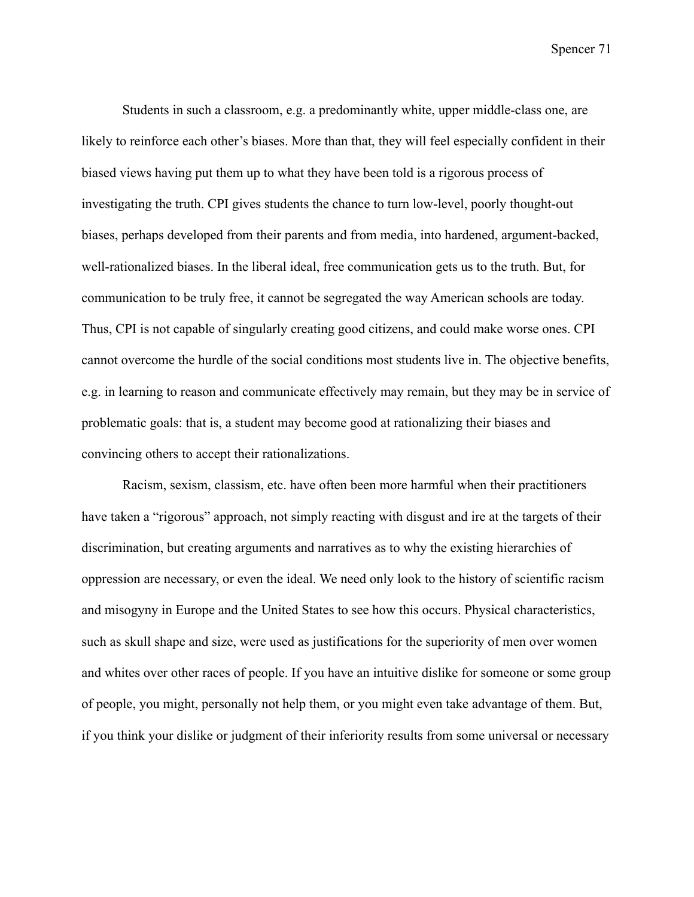Students in such a classroom, e.g. a predominantly white, upper middle-class one, are likely to reinforce each other's biases. More than that, they will feel especially confident in their biased views having put them up to what they have been told is a rigorous process of investigating the truth. CPI gives students the chance to turn low-level, poorly thought-out biases, perhaps developed from their parents and from media, into hardened, argument-backed, well-rationalized biases. In the liberal ideal, free communication gets us to the truth. But, for communication to be truly free, it cannot be segregated the way American schools are today. Thus, CPI is not capable of singularly creating good citizens, and could make worse ones. CPI cannot overcome the hurdle of the social conditions most students live in. The objective benefits, e.g. in learning to reason and communicate effectively may remain, but they may be in service of problematic goals: that is, a student may become good at rationalizing their biases and convincing others to accept their rationalizations.

Racism, sexism, classism, etc. have often been more harmful when their practitioners have taken a "rigorous" approach, not simply reacting with disgust and ire at the targets of their discrimination, but creating arguments and narratives as to why the existing hierarchies of oppression are necessary, or even the ideal. We need only look to the history of scientific racism and misogyny in Europe and the United States to see how this occurs. Physical characteristics, such as skull shape and size, were used as justifications for the superiority of men over women and whites over other races of people. If you have an intuitive dislike for someone or some group of people, you might, personally not help them, or you might even take advantage of them. But, if you think your dislike or judgment of their inferiority results from some universal or necessary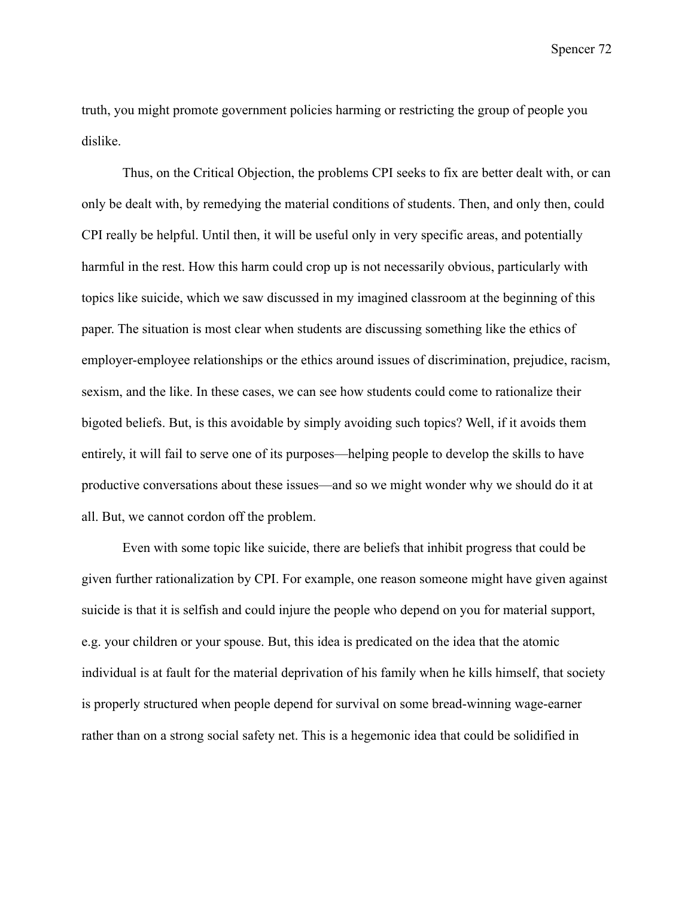truth, you might promote government policies harming or restricting the group of people you dislike.

Thus, on the Critical Objection, the problems CPI seeks to fix are better dealt with, or can only be dealt with, by remedying the material conditions of students. Then, and only then, could CPI really be helpful. Until then, it will be useful only in very specific areas, and potentially harmful in the rest. How this harm could crop up is not necessarily obvious, particularly with topics like suicide, which we saw discussed in my imagined classroom at the beginning of this paper. The situation is most clear when students are discussing something like the ethics of employer-employee relationships or the ethics around issues of discrimination, prejudice, racism, sexism, and the like. In these cases, we can see how students could come to rationalize their bigoted beliefs. But, is this avoidable by simply avoiding such topics? Well, if it avoids them entirely, it will fail to serve one of its purposes—helping people to develop the skills to have productive conversations about these issues—and so we might wonder why we should do it at all. But, we cannot cordon off the problem.

Even with some topic like suicide, there are beliefs that inhibit progress that could be given further rationalization by CPI. For example, one reason someone might have given against suicide is that it is selfish and could injure the people who depend on you for material support, e.g. your children or your spouse. But, this idea is predicated on the idea that the atomic individual is at fault for the material deprivation of his family when he kills himself, that society is properly structured when people depend for survival on some bread-winning wage-earner rather than on a strong social safety net. This is a hegemonic idea that could be solidified in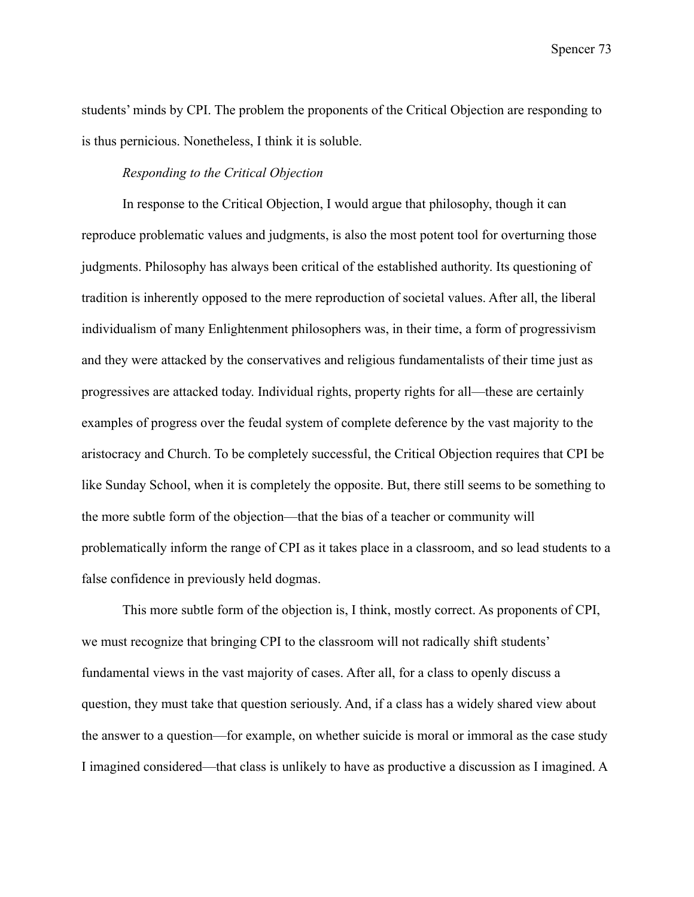students' minds by CPI. The problem the proponents of the Critical Objection are responding to is thus pernicious. Nonetheless, I think it is soluble.

## *Responding to the Critical Objection*

In response to the Critical Objection, I would argue that philosophy, though it can reproduce problematic values and judgments, is also the most potent tool for overturning those judgments. Philosophy has always been critical of the established authority. Its questioning of tradition is inherently opposed to the mere reproduction of societal values. After all, the liberal individualism of many Enlightenment philosophers was, in their time, a form of progressivism and they were attacked by the conservatives and religious fundamentalists of their time just as progressives are attacked today. Individual rights, property rights for all—these are certainly examples of progress over the feudal system of complete deference by the vast majority to the aristocracy and Church. To be completely successful, the Critical Objection requires that CPI be like Sunday School, when it is completely the opposite. But, there still seems to be something to the more subtle form of the objection—that the bias of a teacher or community will problematically inform the range of CPI as it takes place in a classroom, and so lead students to a false confidence in previously held dogmas.

This more subtle form of the objection is, I think, mostly correct. As proponents of CPI, we must recognize that bringing CPI to the classroom will not radically shift students' fundamental views in the vast majority of cases. After all, for a class to openly discuss a question, they must take that question seriously. And, if a class has a widely shared view about the answer to a question—for example, on whether suicide is moral or immoral as the case study I imagined considered—that class is unlikely to have as productive a discussion as I imagined. A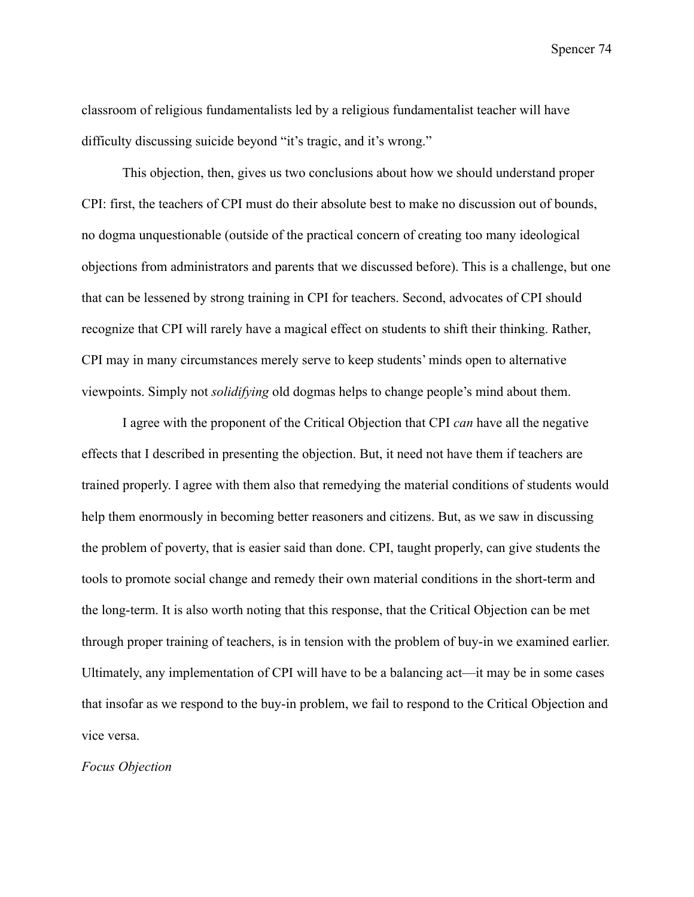classroom of religious fundamentalists led by a religious fundamentalist teacher will have difficulty discussing suicide beyond "it's tragic, and it's wrong."

This objection, then, gives us two conclusions about how we should understand proper CPI: first, the teachers of CPI must do their absolute best to make no discussion out of bounds, no dogma unquestionable (outside of the practical concern of creating too many ideological objections from administrators and parents that we discussed before). This is a challenge, but one that can be lessened by strong training in CPI for teachers. Second, advocates of CPI should recognize that CPI will rarely have a magical effect on students to shift their thinking. Rather, CPI may in many circumstances merely serve to keep students' minds open to alternative viewpoints. Simply not *solidifying* old dogmas helps to change people's mind about them.

I agree with the proponent of the Critical Objection that CPI *can* have all the negative effects that I described in presenting the objection. But, it need not have them if teachers are trained properly. I agree with them also that remedying the material conditions of students would help them enormously in becoming better reasoners and citizens. But, as we saw in discussing the problem of poverty, that is easier said than done. CPI, taught properly, can give students the tools to promote social change and remedy their own material conditions in the short-term and the long-term. It is also worth noting that this response, that the Critical Objection can be met through proper training of teachers, is in tension with the problem of buy-in we examined earlier. Ultimately, any implementation of CPI will have to be a balancing act—it may be in some cases that insofar as we respond to the buy-in problem, we fail to respond to the Critical Objection and vice versa.

# *Focus Objection*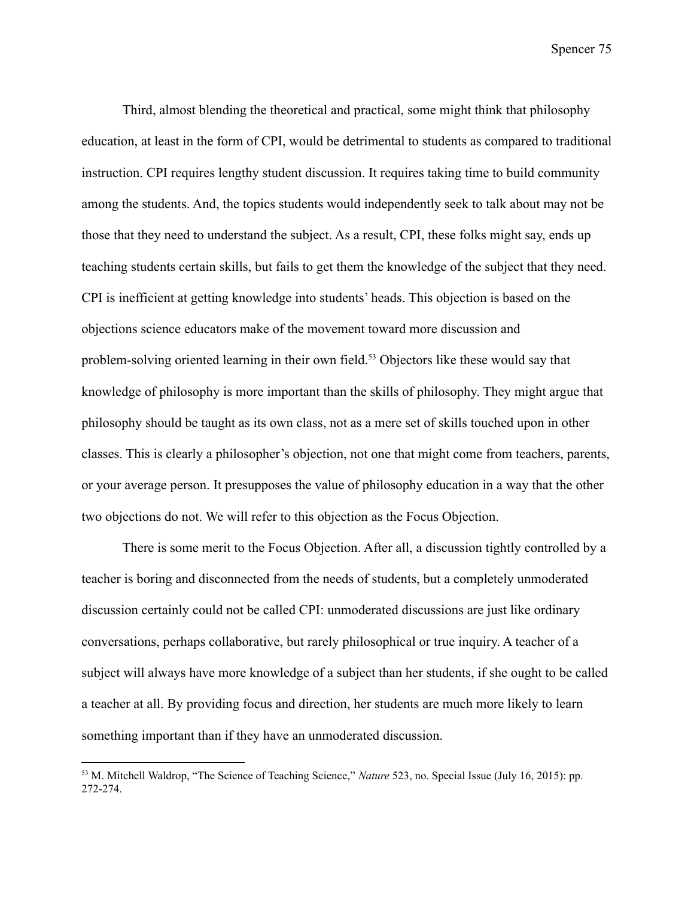Third, almost blending the theoretical and practical, some might think that philosophy education, at least in the form of CPI, would be detrimental to students as compared to traditional instruction. CPI requires lengthy student discussion. It requires taking time to build community among the students. And, the topics students would independently seek to talk about may not be those that they need to understand the subject. As a result, CPI, these folks might say, ends up teaching students certain skills, but fails to get them the knowledge of the subject that they need. CPI is inefficient at getting knowledge into students' heads. This objection is based on the objections science educators make of the movement toward more discussion and problem-solving oriented learning in their own field.<sup>53</sup> Objectors like these would say that knowledge of philosophy is more important than the skills of philosophy. They might argue that philosophy should be taught as its own class, not as a mere set of skills touched upon in other classes. This is clearly a philosopher's objection, not one that might come from teachers, parents, or your average person. It presupposes the value of philosophy education in a way that the other two objections do not. We will refer to this objection as the Focus Objection.

There is some merit to the Focus Objection. After all, a discussion tightly controlled by a teacher is boring and disconnected from the needs of students, but a completely unmoderated discussion certainly could not be called CPI: unmoderated discussions are just like ordinary conversations, perhaps collaborative, but rarely philosophical or true inquiry. A teacher of a subject will always have more knowledge of a subject than her students, if she ought to be called a teacher at all. By providing focus and direction, her students are much more likely to learn something important than if they have an unmoderated discussion.

<sup>53</sup> M. Mitchell Waldrop, "The Science of Teaching Science," *Nature* 523, no. Special Issue (July 16, 2015): pp. 272-274.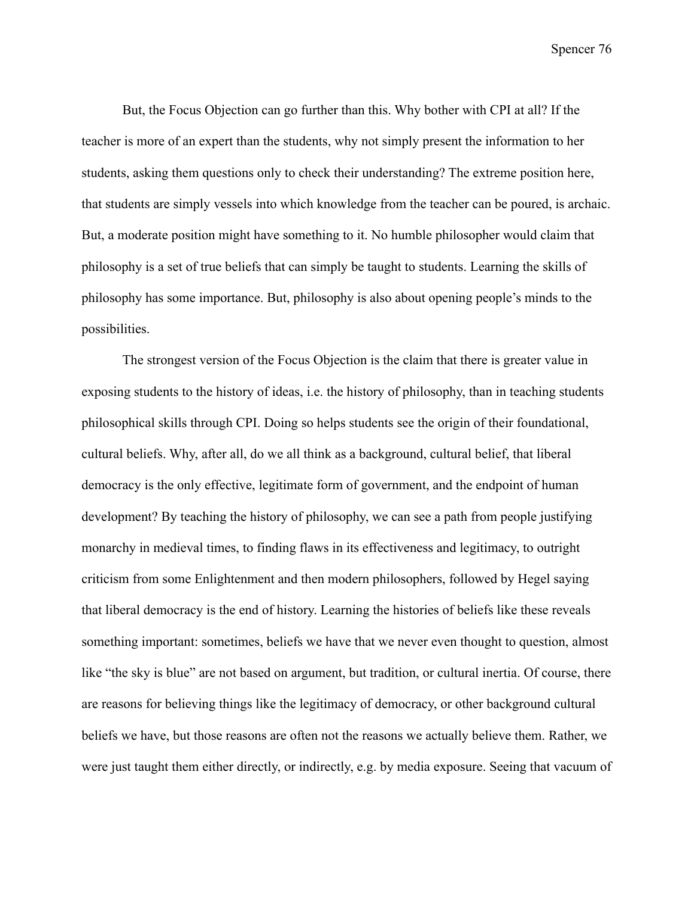But, the Focus Objection can go further than this. Why bother with CPI at all? If the teacher is more of an expert than the students, why not simply present the information to her students, asking them questions only to check their understanding? The extreme position here, that students are simply vessels into which knowledge from the teacher can be poured, is archaic. But, a moderate position might have something to it. No humble philosopher would claim that philosophy is a set of true beliefs that can simply be taught to students. Learning the skills of philosophy has some importance. But, philosophy is also about opening people's minds to the possibilities.

The strongest version of the Focus Objection is the claim that there is greater value in exposing students to the history of ideas, i.e. the history of philosophy, than in teaching students philosophical skills through CPI. Doing so helps students see the origin of their foundational, cultural beliefs. Why, after all, do we all think as a background, cultural belief, that liberal democracy is the only effective, legitimate form of government, and the endpoint of human development? By teaching the history of philosophy, we can see a path from people justifying monarchy in medieval times, to finding flaws in its effectiveness and legitimacy, to outright criticism from some Enlightenment and then modern philosophers, followed by Hegel saying that liberal democracy is the end of history. Learning the histories of beliefs like these reveals something important: sometimes, beliefs we have that we never even thought to question, almost like "the sky is blue" are not based on argument, but tradition, or cultural inertia. Of course, there are reasons for believing things like the legitimacy of democracy, or other background cultural beliefs we have, but those reasons are often not the reasons we actually believe them. Rather, we were just taught them either directly, or indirectly, e.g. by media exposure. Seeing that vacuum of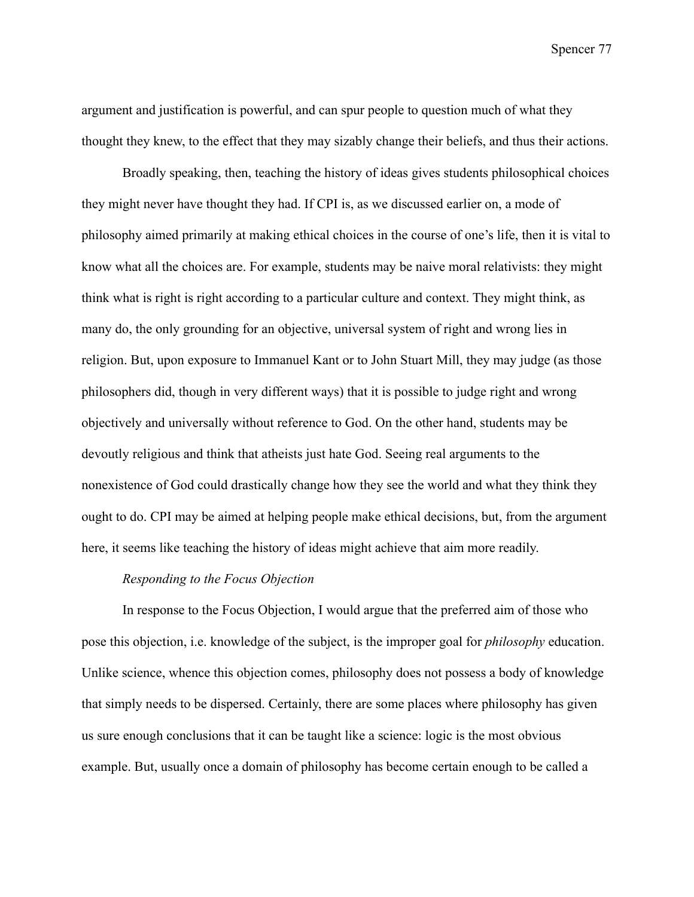argument and justification is powerful, and can spur people to question much of what they thought they knew, to the effect that they may sizably change their beliefs, and thus their actions.

Broadly speaking, then, teaching the history of ideas gives students philosophical choices they might never have thought they had. If CPI is, as we discussed earlier on, a mode of philosophy aimed primarily at making ethical choices in the course of one's life, then it is vital to know what all the choices are. For example, students may be naive moral relativists: they might think what is right is right according to a particular culture and context. They might think, as many do, the only grounding for an objective, universal system of right and wrong lies in religion. But, upon exposure to Immanuel Kant or to John Stuart Mill, they may judge (as those philosophers did, though in very different ways) that it is possible to judge right and wrong objectively and universally without reference to God. On the other hand, students may be devoutly religious and think that atheists just hate God. Seeing real arguments to the nonexistence of God could drastically change how they see the world and what they think they ought to do. CPI may be aimed at helping people make ethical decisions, but, from the argument here, it seems like teaching the history of ideas might achieve that aim more readily.

# *Responding to the Focus Objection*

In response to the Focus Objection, I would argue that the preferred aim of those who pose this objection, i.e. knowledge of the subject, is the improper goal for *philosophy* education. Unlike science, whence this objection comes, philosophy does not possess a body of knowledge that simply needs to be dispersed. Certainly, there are some places where philosophy has given us sure enough conclusions that it can be taught like a science: logic is the most obvious example. But, usually once a domain of philosophy has become certain enough to be called a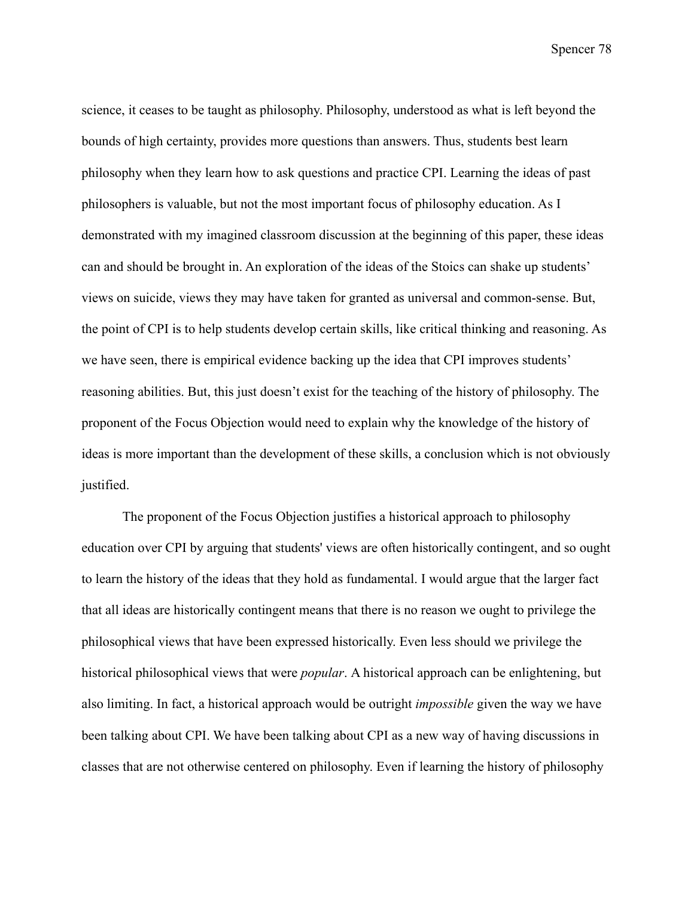science, it ceases to be taught as philosophy. Philosophy, understood as what is left beyond the bounds of high certainty, provides more questions than answers. Thus, students best learn philosophy when they learn how to ask questions and practice CPI. Learning the ideas of past philosophers is valuable, but not the most important focus of philosophy education. As I demonstrated with my imagined classroom discussion at the beginning of this paper, these ideas can and should be brought in. An exploration of the ideas of the Stoics can shake up students' views on suicide, views they may have taken for granted as universal and common-sense. But, the point of CPI is to help students develop certain skills, like critical thinking and reasoning. As we have seen, there is empirical evidence backing up the idea that CPI improves students' reasoning abilities. But, this just doesn't exist for the teaching of the history of philosophy. The proponent of the Focus Objection would need to explain why the knowledge of the history of ideas is more important than the development of these skills, a conclusion which is not obviously justified.

The proponent of the Focus Objection justifies a historical approach to philosophy education over CPI by arguing that students' views are often historically contingent, and so ought to learn the history of the ideas that they hold as fundamental. I would argue that the larger fact that all ideas are historically contingent means that there is no reason we ought to privilege the philosophical views that have been expressed historically. Even less should we privilege the historical philosophical views that were *popular*. A historical approach can be enlightening, but also limiting. In fact, a historical approach would be outright *impossible* given the way we have been talking about CPI. We have been talking about CPI as a new way of having discussions in classes that are not otherwise centered on philosophy. Even if learning the history of philosophy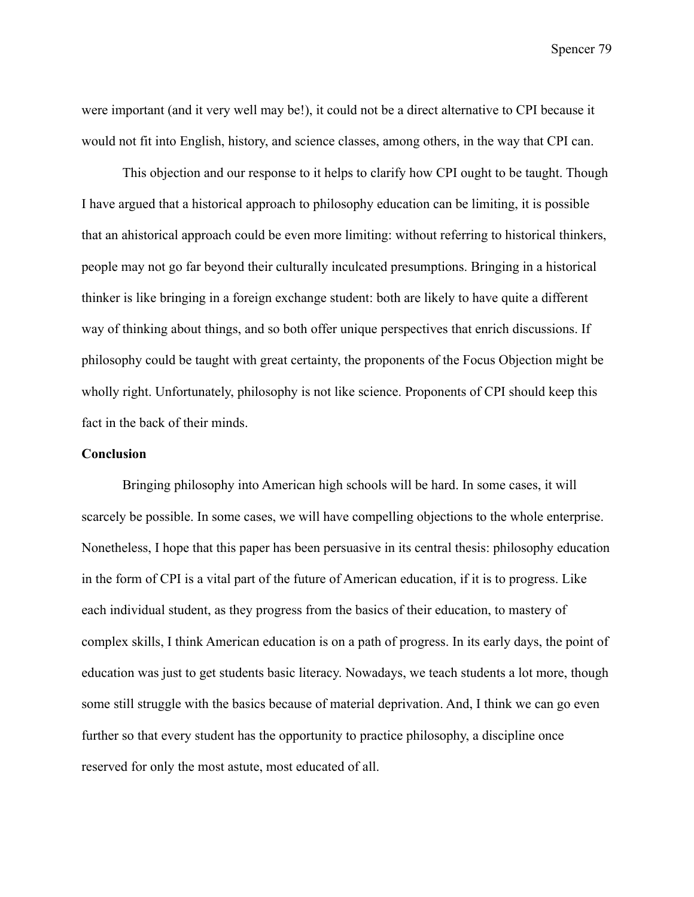were important (and it very well may be!), it could not be a direct alternative to CPI because it would not fit into English, history, and science classes, among others, in the way that CPI can.

This objection and our response to it helps to clarify how CPI ought to be taught. Though I have argued that a historical approach to philosophy education can be limiting, it is possible that an ahistorical approach could be even more limiting: without referring to historical thinkers, people may not go far beyond their culturally inculcated presumptions. Bringing in a historical thinker is like bringing in a foreign exchange student: both are likely to have quite a different way of thinking about things, and so both offer unique perspectives that enrich discussions. If philosophy could be taught with great certainty, the proponents of the Focus Objection might be wholly right. Unfortunately, philosophy is not like science. Proponents of CPI should keep this fact in the back of their minds.

# **Conclusion**

Bringing philosophy into American high schools will be hard. In some cases, it will scarcely be possible. In some cases, we will have compelling objections to the whole enterprise. Nonetheless, I hope that this paper has been persuasive in its central thesis: philosophy education in the form of CPI is a vital part of the future of American education, if it is to progress. Like each individual student, as they progress from the basics of their education, to mastery of complex skills, I think American education is on a path of progress. In its early days, the point of education was just to get students basic literacy. Nowadays, we teach students a lot more, though some still struggle with the basics because of material deprivation. And, I think we can go even further so that every student has the opportunity to practice philosophy, a discipline once reserved for only the most astute, most educated of all.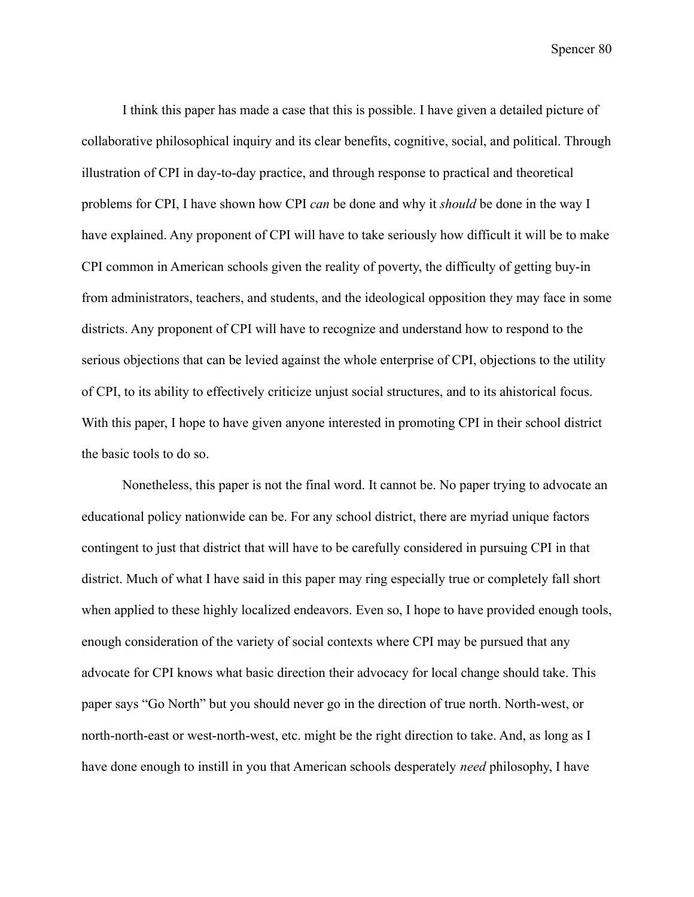I think this paper has made a case that this is possible. I have given a detailed picture of collaborative philosophical inquiry and its clear benefits, cognitive, social, and political. Through illustration of CPI in day-to-day practice, and through response to practical and theoretical problems for CPI, I have shown how CPI *can* be done and why it *should* be done in the way I have explained. Any proponent of CPI will have to take seriously how difficult it will be to make CPI common in American schools given the reality of poverty, the difficulty of getting buy-in from administrators, teachers, and students, and the ideological opposition they may face in some districts. Any proponent of CPI will have to recognize and understand how to respond to the serious objections that can be levied against the whole enterprise of CPI, objections to the utility of CPI, to its ability to effectively criticize unjust social structures, and to its ahistorical focus. With this paper, I hope to have given anyone interested in promoting CPI in their school district the basic tools to do so.

Nonetheless, this paper is not the final word. It cannot be. No paper trying to advocate an educational policy nationwide can be. For any school district, there are myriad unique factors contingent to just that district that will have to be carefully considered in pursuing CPI in that district. Much of what I have said in this paper may ring especially true or completely fall short when applied to these highly localized endeavors. Even so, I hope to have provided enough tools, enough consideration of the variety of social contexts where CPI may be pursued that any advocate for CPI knows what basic direction their advocacy for local change should take. This paper says "Go North" but you should never go in the direction of true north. North-west, or north-north-east or west-north-west, etc. might be the right direction to take. And, as long as I have done enough to instill in you that American schools desperately *need* philosophy, I have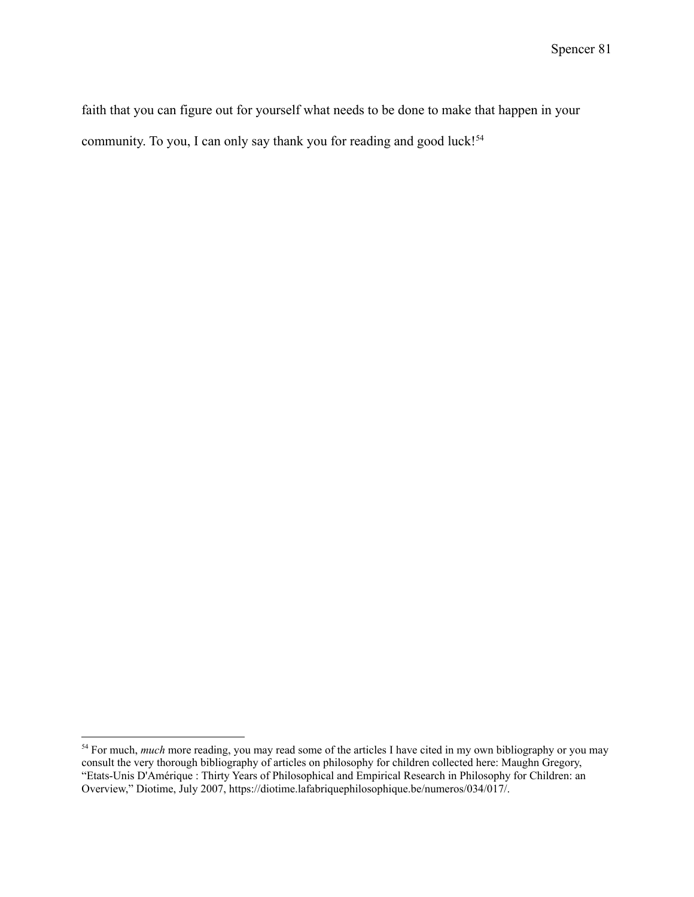faith that you can figure out for yourself what needs to be done to make that happen in your community. To you, I can only say thank you for reading and good luck!<sup>54</sup>

<sup>&</sup>lt;sup>54</sup> For much, *much* more reading, you may read some of the articles I have cited in my own bibliography or you may consult the very thorough bibliography of articles on philosophy for children collected here: Maughn Gregory, "Etats-Unis D'Amérique : Thirty Years of Philosophical and Empirical Research in Philosophy for Children: an Overview," Diotime, July 2007, https://diotime.lafabriquephilosophique.be/numeros/034/017/.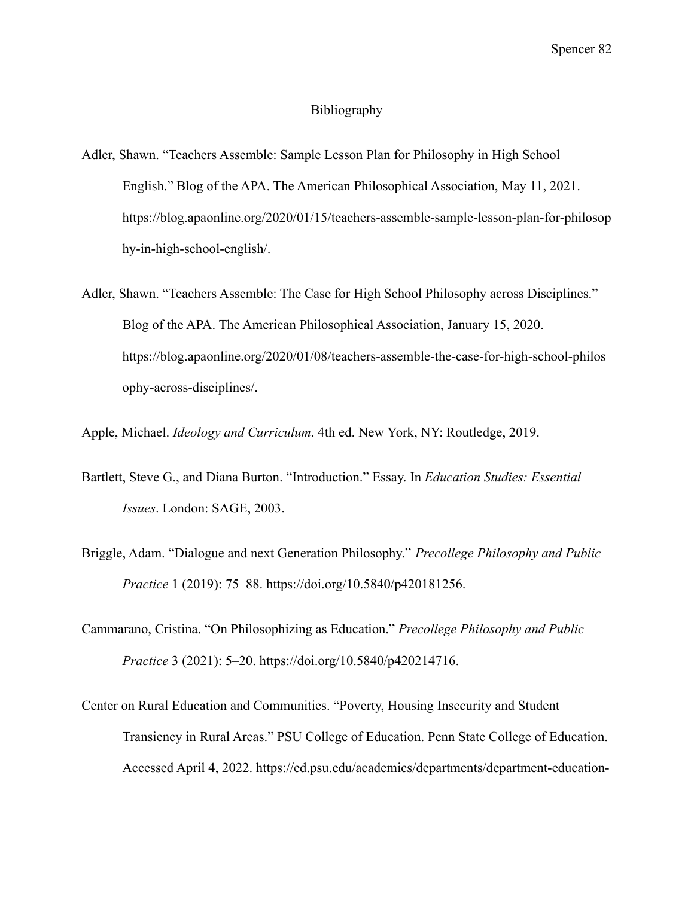#### Bibliography

- Adler, Shawn. "Teachers Assemble: Sample Lesson Plan for Philosophy in High School English." Blog of the APA. The American Philosophical Association, May 11, 2021. https://blog.apaonline.org/2020/01/15/teachers-assemble-sample-lesson-plan-for-philosop hy-in-high-school-english/.
- Adler, Shawn. "Teachers Assemble: The Case for High School Philosophy across Disciplines." Blog of the APA. The American Philosophical Association, January 15, 2020. https://blog.apaonline.org/2020/01/08/teachers-assemble-the-case-for-high-school-philos ophy-across-disciplines/.

Apple, Michael. *Ideology and Curriculum*. 4th ed. New York, NY: Routledge, 2019.

- Bartlett, Steve G., and Diana Burton. "Introduction." Essay. In *Education Studies: Essential Issues*. London: SAGE, 2003.
- Briggle, Adam. "Dialogue and next Generation Philosophy." *Precollege Philosophy and Public Practice* 1 (2019): 75–88. https://doi.org/10.5840/p420181256.
- Cammarano, Cristina. "On Philosophizing as Education." *Precollege Philosophy and Public Practice* 3 (2021): 5–20. https://doi.org/10.5840/p420214716.
- Center on Rural Education and Communities. "Poverty, Housing Insecurity and Student Transiency in Rural Areas." PSU College of Education. Penn State College of Education. Accessed April 4, 2022. https://ed.psu.edu/academics/departments/department-education-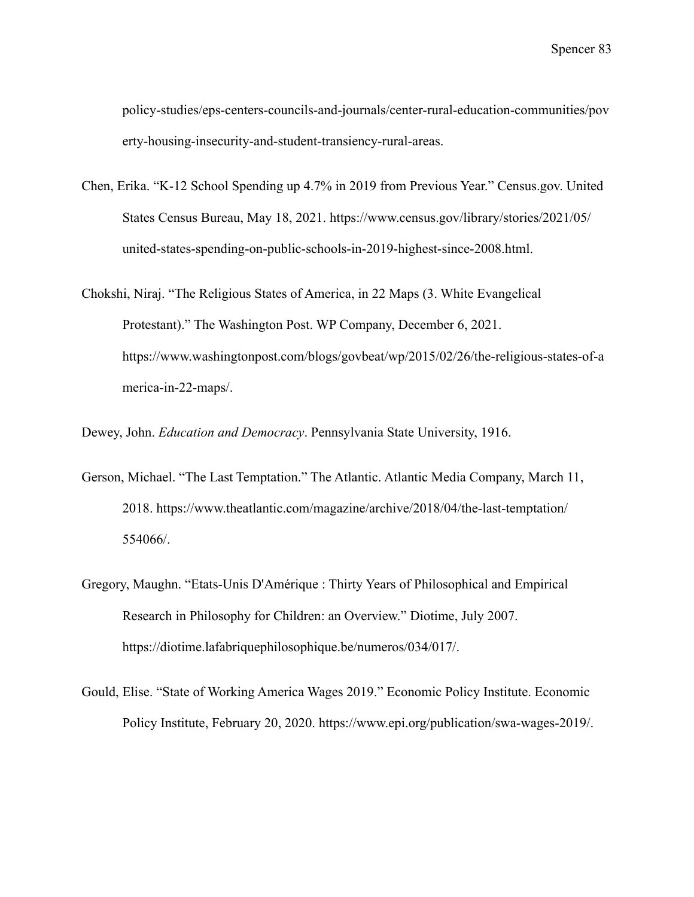policy-studies/eps-centers-councils-and-journals/center-rural-education-communities/pov erty-housing-insecurity-and-student-transiency-rural-areas.

- Chen, Erika. "K-12 School Spending up 4.7% in 2019 from Previous Year." Census.gov. United States Census Bureau, May 18, 2021. https://www.census.gov/library/stories/2021/05/ united-states-spending-on-public-schools-in-2019-highest-since-2008.html.
- Chokshi, Niraj. "The Religious States of America, in 22 Maps (3. White Evangelical Protestant)." The Washington Post. WP Company, December 6, 2021. https://www.washingtonpost.com/blogs/govbeat/wp/2015/02/26/the-religious-states-of-a merica-in-22-maps/.

Dewey, John. *Education and Democracy*. Pennsylvania State University, 1916.

- Gerson, Michael. "The Last Temptation." The Atlantic. Atlantic Media Company, March 11, 2018. https://www.theatlantic.com/magazine/archive/2018/04/the-last-temptation/ 554066/.
- Gregory, Maughn. "Etats-Unis D'Amérique : Thirty Years of Philosophical and Empirical Research in Philosophy for Children: an Overview." Diotime, July 2007. https://diotime.lafabriquephilosophique.be/numeros/034/017/.
- Gould, Elise. "State of Working America Wages 2019." Economic Policy Institute. Economic Policy Institute, February 20, 2020. https://www.epi.org/publication/swa-wages-2019/.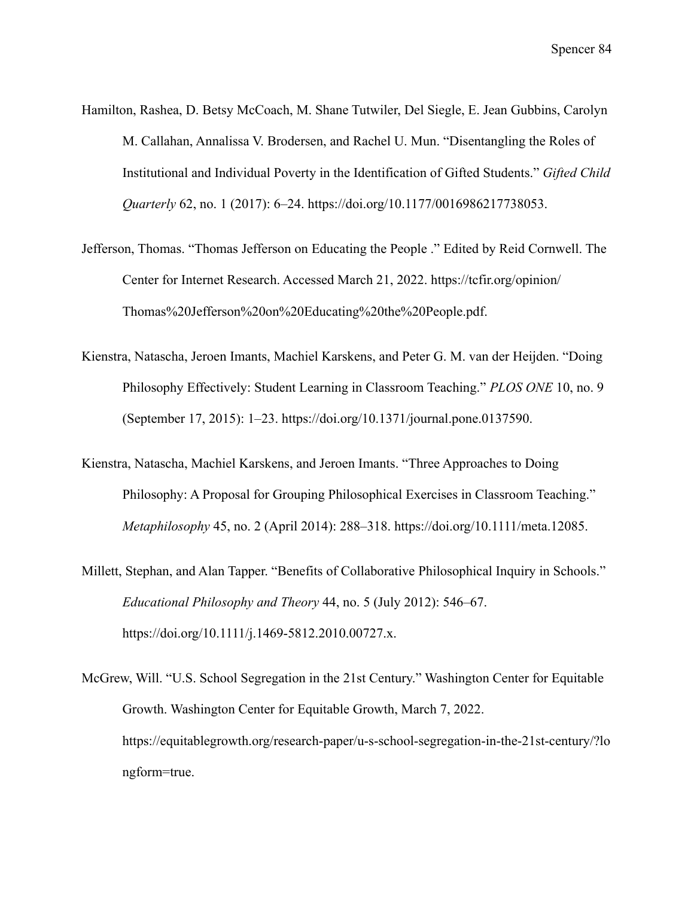- Hamilton, Rashea, D. Betsy McCoach, M. Shane Tutwiler, Del Siegle, E. Jean Gubbins, Carolyn M. Callahan, Annalissa V. Brodersen, and Rachel U. Mun. "Disentangling the Roles of Institutional and Individual Poverty in the Identification of Gifted Students." *Gifted Child Quarterly* 62, no. 1 (2017): 6–24. https://doi.org/10.1177/0016986217738053.
- Jefferson, Thomas. "Thomas Jefferson on Educating the People ." Edited by Reid Cornwell. The Center for Internet Research. Accessed March 21, 2022. https://tcfir.org/opinion/ Thomas%20Jefferson%20on%20Educating%20the%20People.pdf.
- Kienstra, Natascha, Jeroen Imants, Machiel Karskens, and Peter G. M. van der Heijden. "Doing Philosophy Effectively: Student Learning in Classroom Teaching." *PLOS ONE* 10, no. 9 (September 17, 2015): 1–23. https://doi.org/10.1371/journal.pone.0137590.
- Kienstra, Natascha, Machiel Karskens, and Jeroen Imants. "Three Approaches to Doing Philosophy: A Proposal for Grouping Philosophical Exercises in Classroom Teaching." *Metaphilosophy* 45, no. 2 (April 2014): 288–318. https://doi.org/10.1111/meta.12085.
- Millett, Stephan, and Alan Tapper. "Benefits of Collaborative Philosophical Inquiry in Schools." *Educational Philosophy and Theory* 44, no. 5 (July 2012): 546–67. https://doi.org/10.1111/j.1469-5812.2010.00727.x.
- McGrew, Will. "U.S. School Segregation in the 21st Century." Washington Center for Equitable Growth. Washington Center for Equitable Growth, March 7, 2022. https://equitablegrowth.org/research-paper/u-s-school-segregation-in-the-21st-century/?lo ngform=true.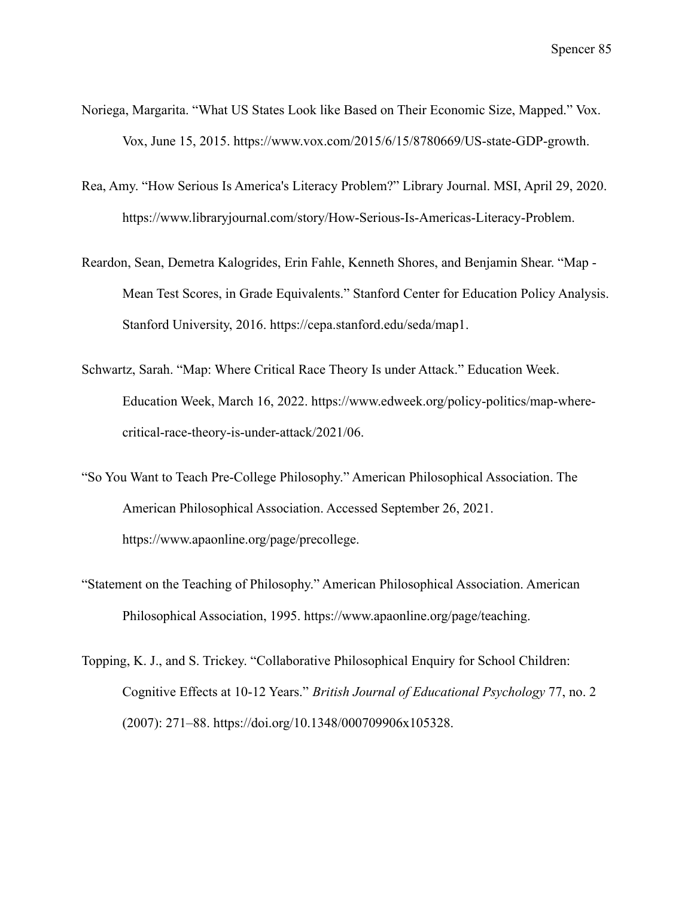- Noriega, Margarita. "What US States Look like Based on Their Economic Size, Mapped." Vox. Vox, June 15, 2015. https://www.vox.com/2015/6/15/8780669/US-state-GDP-growth.
- Rea, Amy. "How Serious Is America's Literacy Problem?" Library Journal. MSI, April 29, 2020. https://www.libraryjournal.com/story/How-Serious-Is-Americas-Literacy-Problem.
- Reardon, Sean, Demetra Kalogrides, Erin Fahle, Kenneth Shores, and Benjamin Shear. "Map Mean Test Scores, in Grade Equivalents." Stanford Center for Education Policy Analysis. Stanford University, 2016. https://cepa.stanford.edu/seda/map1.
- Schwartz, Sarah. "Map: Where Critical Race Theory Is under Attack." Education Week. Education Week, March 16, 2022. https://www.edweek.org/policy-politics/map-wherecritical-race-theory-is-under-attack/2021/06.
- "So You Want to Teach Pre-College Philosophy." American Philosophical Association. The American Philosophical Association. Accessed September 26, 2021. https://www.apaonline.org/page/precollege.
- "Statement on the Teaching of Philosophy." American Philosophical Association. American Philosophical Association, 1995. https://www.apaonline.org/page/teaching.
- Topping, K. J., and S. Trickey. "Collaborative Philosophical Enquiry for School Children: Cognitive Effects at 10-12 Years." *British Journal of Educational Psychology* 77, no. 2 (2007): 271–88. https://doi.org/10.1348/000709906x105328.